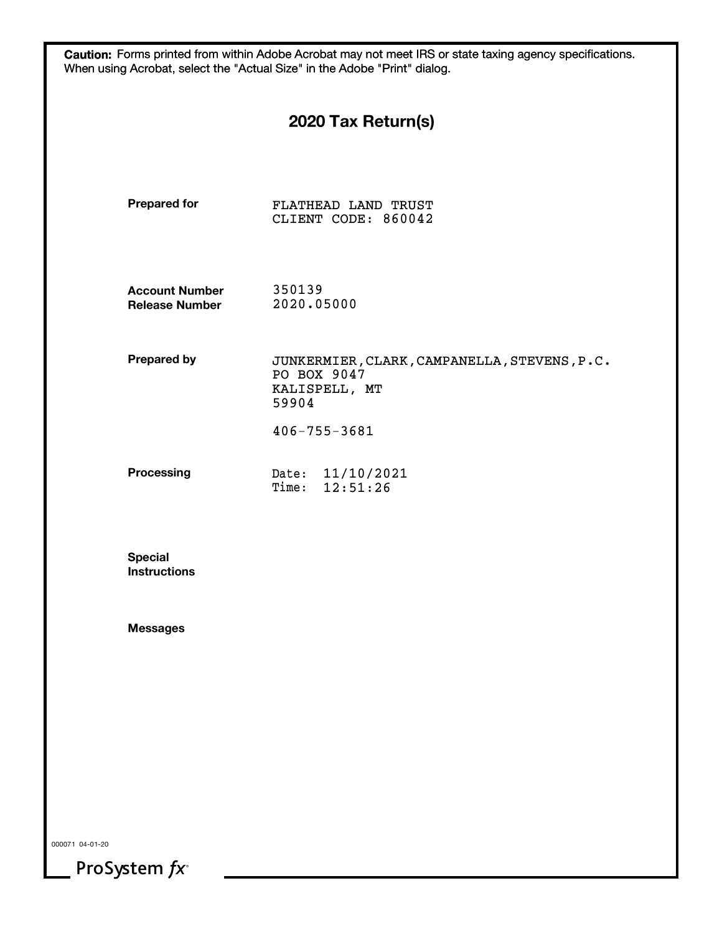| 2020 Tax Return(s)                             |                                                                                       |  |
|------------------------------------------------|---------------------------------------------------------------------------------------|--|
| <b>Prepared for</b>                            | FLATHEAD LAND TRUST<br>CLIENT CODE: 860042                                            |  |
| <b>Account Number</b><br><b>Release Number</b> | 350139<br>2020.05000                                                                  |  |
| <b>Prepared by</b>                             | JUNKERMIER, CLARK, CAMPANELLA, STEVENS, P.C.<br>PO BOX 9047<br>KALISPELL, MT<br>59904 |  |
|                                                | $406 - 755 - 3681$                                                                    |  |
| Processing                                     | Date: 11/10/2021<br>Time: 12:51:26                                                    |  |
| <b>Special</b><br><b>Instructions</b>          |                                                                                       |  |
| <b>Messages</b>                                |                                                                                       |  |
|                                                |                                                                                       |  |
|                                                |                                                                                       |  |
|                                                |                                                                                       |  |
|                                                |                                                                                       |  |

ProSystem  $fx^*$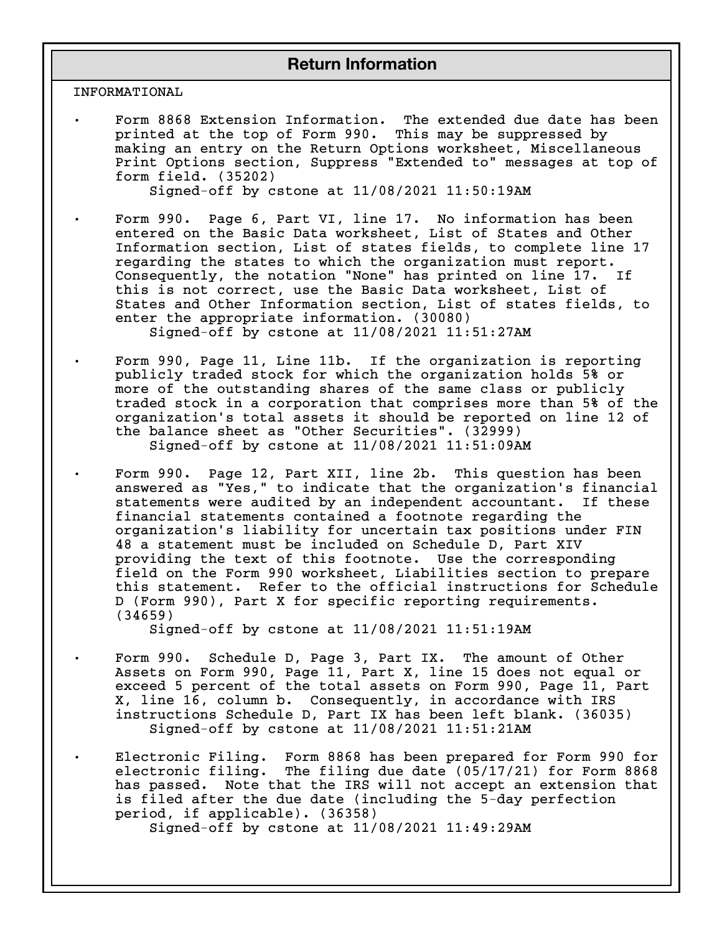### **Return Information**

INFORMATIONAL

Form 8868 Extension Information. The extended due date has been printed at the top of Form 990. This may be suppressed by making an entry on the Return Options worksheet, Miscellaneous Print Options section, Suppress "Extended to" messages at top of form field. (35202)

Signed-off by cstone at 11/08/2021 11:50:19AM

Form 990. Page 6, Part VI, line 17. No information has been entered on the Basic Data worksheet, List of States and Other Information section, List of states fields, to complete line 17 regarding the states to which the organization must report. Consequently, the notation "None" has printed on line 17. If this is not correct, use the Basic Data worksheet, List of States and Other Information section, List of states fields, to enter the appropriate information. (30080)

Signed-off by cstone at 11/08/2021 11:51:27AM

Form 990, Page 11, Line 11b. If the organization is reporting publicly traded stock for which the organization holds 5% or more of the outstanding shares of the same class or publicly traded stock in a corporation that comprises more than 5% of the organization's total assets it should be reported on line 12 of the balance sheet as "Other Securities". (32999) Signed-off by cstone at 11/08/2021 11:51:09AM

Form 990. Page 12, Part XII, line 2b. This question has been answered as "Yes," to indicate that the organization's financial statements were audited by an independent accountant. If these financial statements contained a footnote regarding the organization's liability for uncertain tax positions under FIN 48 a statement must be included on Schedule D, Part XIV providing the text of this footnote. Use the corresponding field on the Form 990 worksheet, Liabilities section to prepare this statement. Refer to the official instructions for Schedule D (Form 990), Part X for specific reporting requirements. (34659)

Signed-off by cstone at 11/08/2021 11:51:19AM

Form 990. Schedule D, Page 3, Part IX. The amount of Other Assets on Form 990, Page 11, Part X, line 15 does not equal or exceed 5 percent of the total assets on Form 990, Page 11, Part X, line 16, column b. Consequently, in accordance with IRS instructions Schedule D, Part IX has been left blank. (36035) Signed-off by cstone at 11/08/2021 11:51:21AM

{ Electronic Filing. Form 8868 has been prepared for Form 990 for electronic filing. The filing due date (05/17/21) for Form 8868 has passed. Note that the IRS will not accept an extension that is filed after the due date (including the 5-day perfection period, if applicable). (36358)

Signed-off by cstone at 11/08/2021 11:49:29AM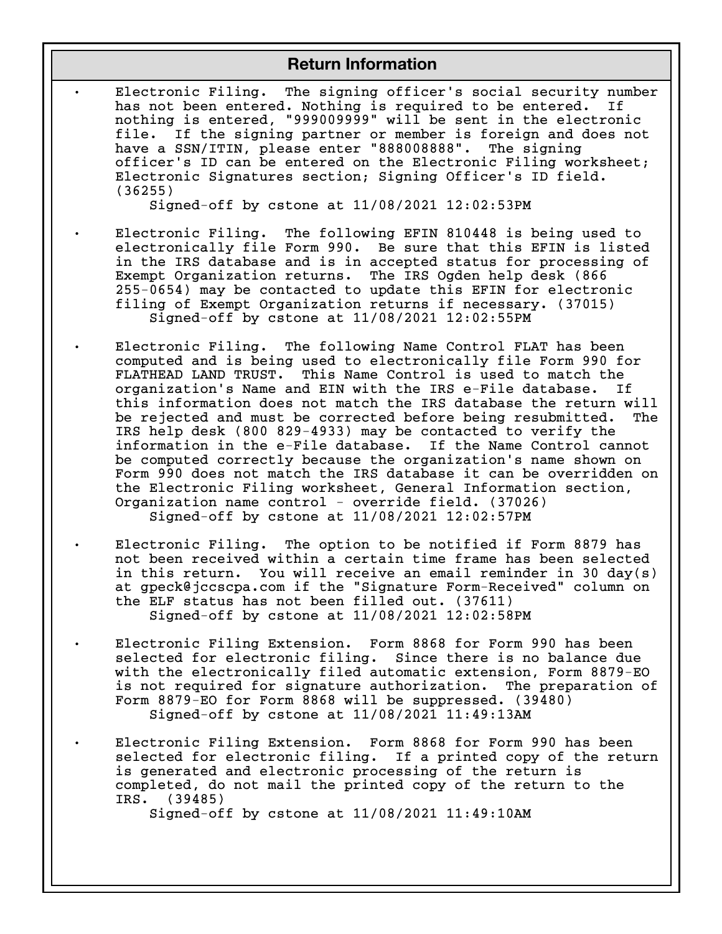### **Return Information**

{ Electronic Filing. The signing officer's social security number has not been entered. Nothing is required to be entered. If nothing is entered, "999009999" will be sent in the electronic file. If the signing partner or member is foreign and does not have a SSN/ITIN, please enter "888008888". The signing officer's ID can be entered on the Electronic Filing worksheet; Electronic Signatures section; Signing Officer's ID field. (36255)

Signed-off by cstone at 11/08/2021 12:02:53PM

Electronic Filing. The following EFIN 810448 is being used to electronically file Form 990. Be sure that this EFIN is listed in the IRS database and is in accepted status for processing of Exempt Organization returns. The IRS Ogden help desk (866 255-0654) may be contacted to update this EFIN for electronic filing of Exempt Organization returns if necessary. (37015) Signed-off by cstone at 11/08/2021 12:02:55PM

Electronic Filing. The following Name Control FLAT has been computed and is being used to electronically file Form 990 for FLATHEAD LAND TRUST. This Name Control is used to match the organization's Name and EIN with the IRS e-File database. If this information does not match the IRS database the return will be rejected and must be corrected before being resubmitted. The IRS help desk (800 829-4933) may be contacted to verify the information in the e-File database. If the Name Control cannot be computed correctly because the organization's name shown on Form 990 does not match the IRS database it can be overridden on the Electronic Filing worksheet, General Information section, Organization name control - override field. (37026)

Signed-off by cstone at 11/08/2021 12:02:57PM

Electronic Filing. The option to be notified if Form 8879 has not been received within a certain time frame has been selected in this return. You will receive an email reminder in 30 day(s) at gpeck@jccscpa.com if the "Signature Form-Received" column on the ELF status has not been filled out. (37611)

Signed-off by cstone at 11/08/2021 12:02:58PM

Electronic Filing Extension. Form 8868 for Form 990 has been selected for electronic filing. Since there is no balance due with the electronically filed automatic extension, Form 8879-EO is not required for signature authorization. The preparation of Form 8879-EO for Form 8868 will be suppressed. (39480) Signed-off by cstone at 11/08/2021 11:49:13AM

Electronic Filing Extension. Form 8868 for Form 990 has been selected for electronic filing. If a printed copy of the return is generated and electronic processing of the return is completed, do not mail the printed copy of the return to the IRS. (39485)

Signed-off by cstone at 11/08/2021 11:49:10AM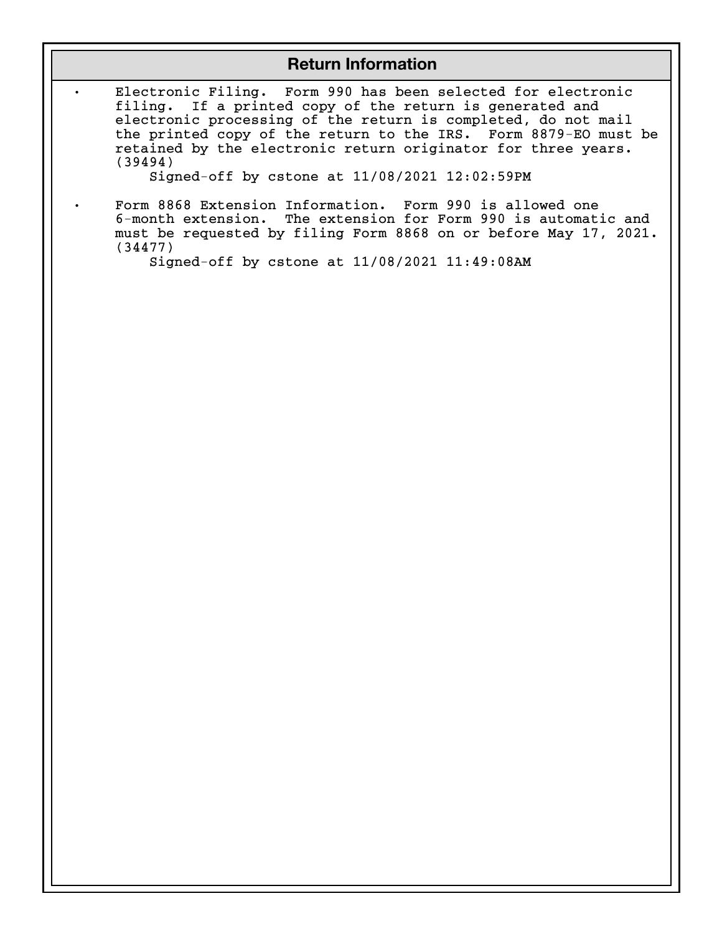### **Return Information**

{ Electronic Filing. Form 990 has been selected for electronic filing. If a printed copy of the return is generated and electronic processing of the return is completed, do not mail the printed copy of the return to the IRS. Form 8879-EO must be retained by the electronic return originator for three years. (39494)

Signed-off by cstone at 11/08/2021 12:02:59PM

Form 8868 Extension Information. Form 990 is allowed one 6-month extension. The extension for Form 990 is automatic and must be requested by filing Form 8868 on or before May 17, 2021. (34477)

Signed-off by cstone at 11/08/2021 11:49:08AM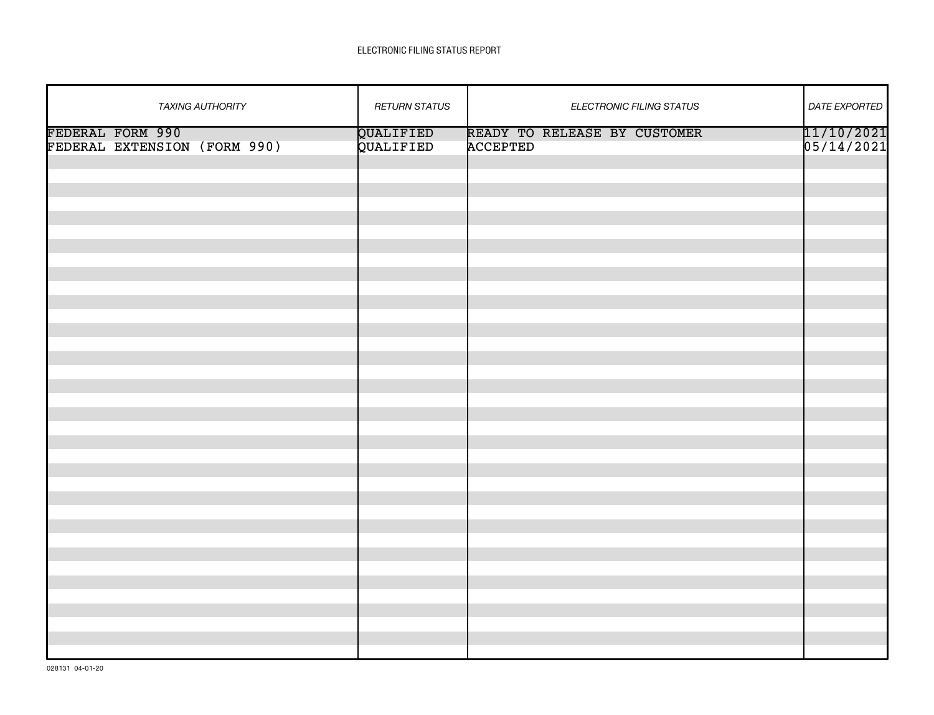#### ELECTRONIC FILING STATUS REPORT

| <b>RETURN STATUS</b>   | ELECTRONIC FILING STATUS | <b>DATE EXPORTED</b>         |
|------------------------|--------------------------|------------------------------|
| QUALIFIED<br>QUALIFIED | <b>ACCEPTED</b>          | 11/10/2021<br>05/14/2021     |
|                        |                          |                              |
|                        |                          |                              |
|                        |                          |                              |
|                        |                          |                              |
|                        |                          |                              |
|                        |                          |                              |
|                        |                          |                              |
|                        |                          |                              |
|                        |                          |                              |
|                        |                          |                              |
|                        |                          |                              |
|                        |                          |                              |
|                        |                          |                              |
|                        |                          |                              |
|                        |                          |                              |
|                        |                          | READY TO RELEASE BY CUSTOMER |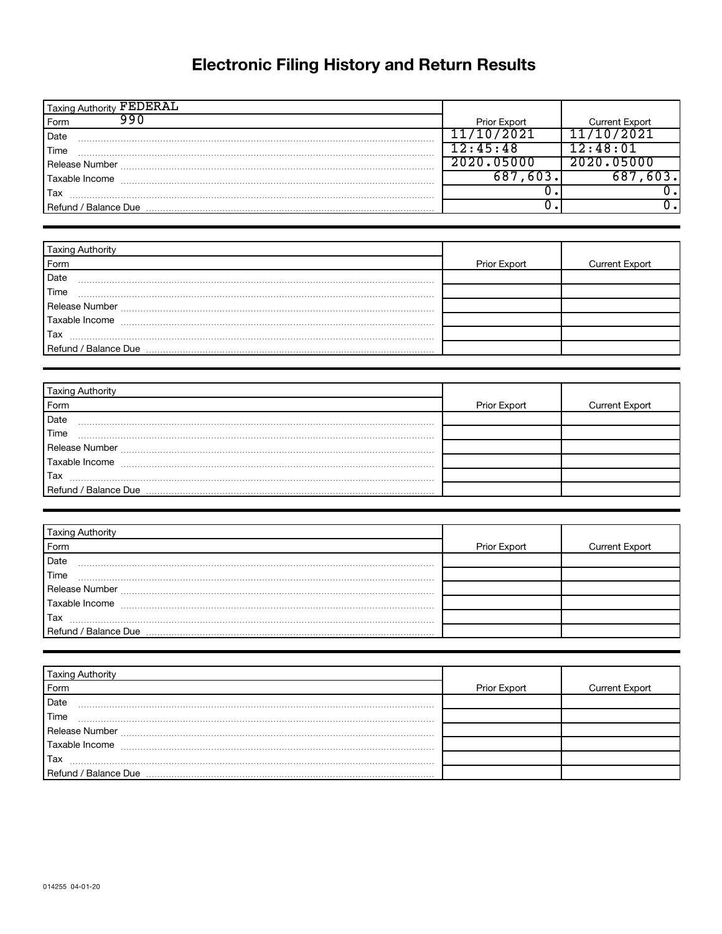## **Electronic Filing History and Return Results**

| Taxing Authority FEDERAL |              |                       |
|--------------------------|--------------|-----------------------|
| Form                     | Prior Export | <b>Current Export</b> |
| Date                     |              |                       |
| Time                     | : 45: 48     |                       |
| Release Number           | 2020.05000   |                       |
| Taxable Income           |              |                       |
| Tax                      |              |                       |
| Refund / Balance Due     |              |                       |

| Taxing               |              |                       |
|----------------------|--------------|-----------------------|
| Form                 | Prior Export | <b>Current Export</b> |
| Date<br>             |              |                       |
| Time                 |              |                       |
| Release Number       |              |                       |
| Taxable Income<br>   |              |                       |
| Tax                  |              |                       |
| Refund / Balance Due |              |                       |

| <b>Taxing Authority</b> |              |                       |
|-------------------------|--------------|-----------------------|
| Form                    | Prior Export | <b>Current Export</b> |
| Date                    |              |                       |
| Time                    |              |                       |
| Release Number          |              |                       |
| Taxable Income          |              |                       |
| Tax                     |              |                       |
| Refund / Balance Due    |              |                       |

| Taxing Authority     |              |                       |
|----------------------|--------------|-----------------------|
| Form                 | Prior Export | <b>Current Export</b> |
| Date                 |              |                       |
| Time                 |              |                       |
| Release Number       |              |                       |
| Taxable Income       |              |                       |
| Tax                  |              |                       |
| Refund / Balance Due |              |                       |

| <b>Taxing Authority</b> |              |                       |
|-------------------------|--------------|-----------------------|
| Form                    | Prior Export | <b>Current Export</b> |
| Date<br>                |              |                       |
| Time                    |              |                       |
| Release Number          |              |                       |
| Taxable Income          |              |                       |
| Tax                     |              |                       |
| Refund / Balance Due    |              |                       |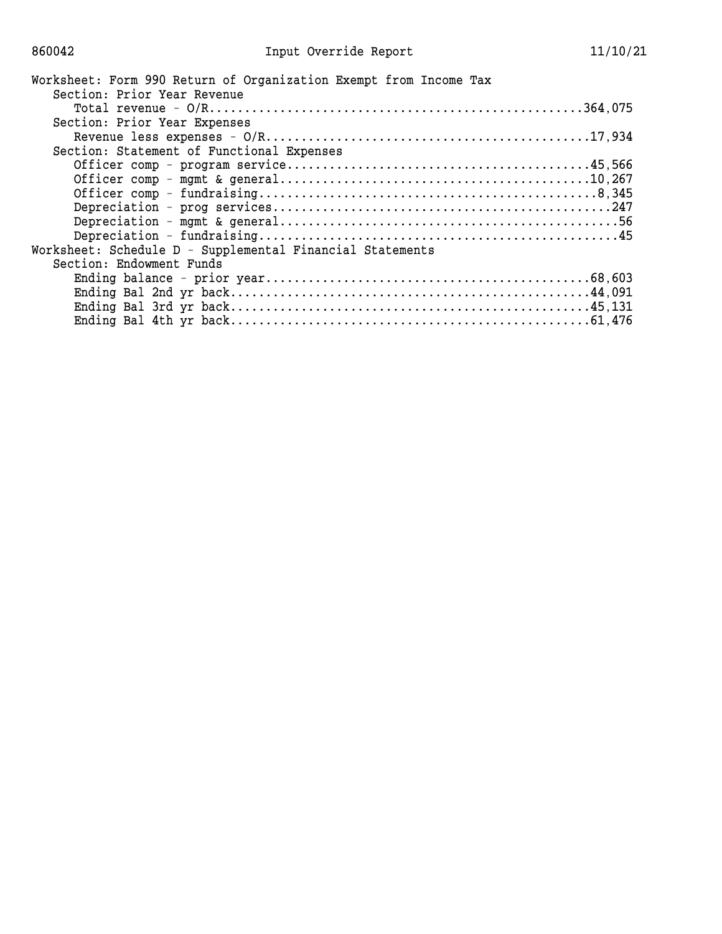| Worksheet: Form 990 Return of Organization Exempt from Income Tax |  |
|-------------------------------------------------------------------|--|
| Section: Prior Year Revenue                                       |  |
|                                                                   |  |
| Section: Prior Year Expenses                                      |  |
|                                                                   |  |
| Section: Statement of Functional Expenses                         |  |
|                                                                   |  |
|                                                                   |  |
|                                                                   |  |
|                                                                   |  |
|                                                                   |  |
|                                                                   |  |
|                                                                   |  |
| Worksheet: Schedule D - Supplemental Financial Statements         |  |
| Section: Endowment Funds                                          |  |
|                                                                   |  |
|                                                                   |  |
|                                                                   |  |
|                                                                   |  |
|                                                                   |  |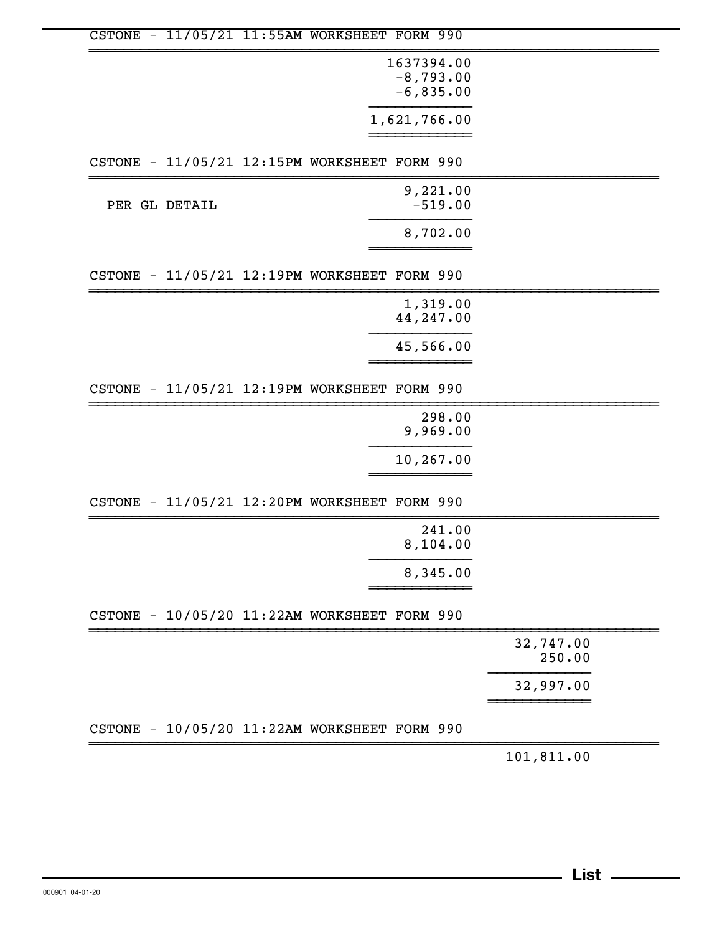| CSTONE - 11/05/21 11:55AM WORKSHEET FORM 990 |                                          |                     |
|----------------------------------------------|------------------------------------------|---------------------|
|                                              | 1637394.00<br>$-8,793.00$<br>$-6,835.00$ |                     |
|                                              | 1,621,766.00                             |                     |
| CSTONE - 11/05/21 12:15PM WORKSHEET FORM 990 |                                          |                     |
| PER GL DETAIL                                | 9,221.00<br>$-519.00$                    |                     |
|                                              | 8,702.00                                 |                     |
| CSTONE - 11/05/21 12:19PM WORKSHEET FORM 990 |                                          |                     |
|                                              | 1,319.00<br>44, 247.00                   |                     |
|                                              | 45,566.00                                |                     |
| CSTONE - 11/05/21 12:19PM WORKSHEET FORM 990 |                                          |                     |
|                                              | 298.00<br>9,969.00                       |                     |
|                                              | 10,267.00                                |                     |
| CSTONE - 11/05/21 12:20PM WORKSHEET FORM 990 |                                          |                     |
|                                              | 241.00<br>8,104.00                       |                     |
|                                              | 8,345.00                                 |                     |
| CSTONE - 10/05/20 11:22AM WORKSHEET FORM 990 |                                          |                     |
|                                              |                                          | 32,747.00<br>250.00 |
|                                              |                                          | 32,997.00           |
| CSTONE - 10/05/20 11:22AM WORKSHEET FORM 990 |                                          |                     |

101,811.00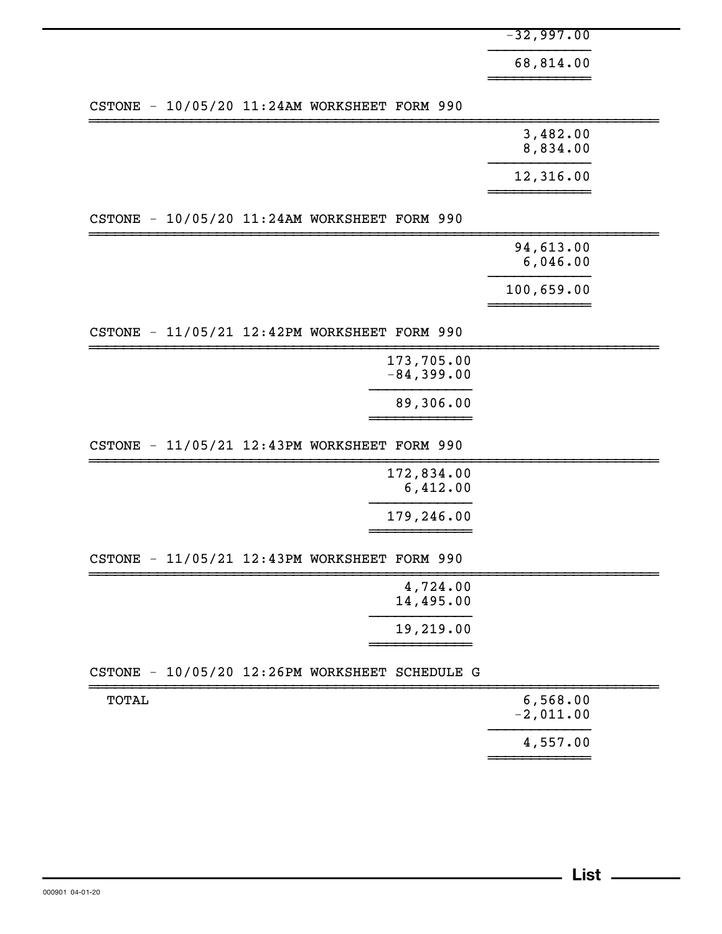|                                              |                             | $-32,997.00$          |  |
|----------------------------------------------|-----------------------------|-----------------------|--|
|                                              |                             | 68,814.00             |  |
| CSTONE - 10/05/20 11:24AM WORKSHEET FORM 990 |                             |                       |  |
|                                              |                             | 3,482.00<br>8,834.00  |  |
|                                              |                             | 12,316.00             |  |
| CSTONE - 10/05/20 11:24AM WORKSHEET FORM 990 |                             |                       |  |
|                                              |                             | 94,613.00<br>6,046.00 |  |
|                                              |                             | 100,659.00            |  |
| CSTONE - 11/05/21 12:42PM WORKSHEET FORM 990 |                             |                       |  |
|                                              | 173,705.00<br>$-84, 399.00$ |                       |  |
|                                              | 89,306.00                   |                       |  |
| CSTONE - 11/05/21 12:43PM WORKSHEET FORM 990 |                             |                       |  |
|                                              | 172,834.00<br>6,412.00      |                       |  |
|                                              | 179,246.00                  |                       |  |

CSTONE - 11/05/21 12:43PM WORKSHEET FORM 990

| 4,724.00  |
|-----------|
| 14,495.00 |
| 19,219.00 |
|           |

~~~~~~~~~~~~

CSTONE - 10/05/20 12:26PM WORKSHEET SCHEDULE G

| TOTAL | 6,568.00<br>$-2,011.00$ |
|-------|-------------------------|
|       | 4,557.00                |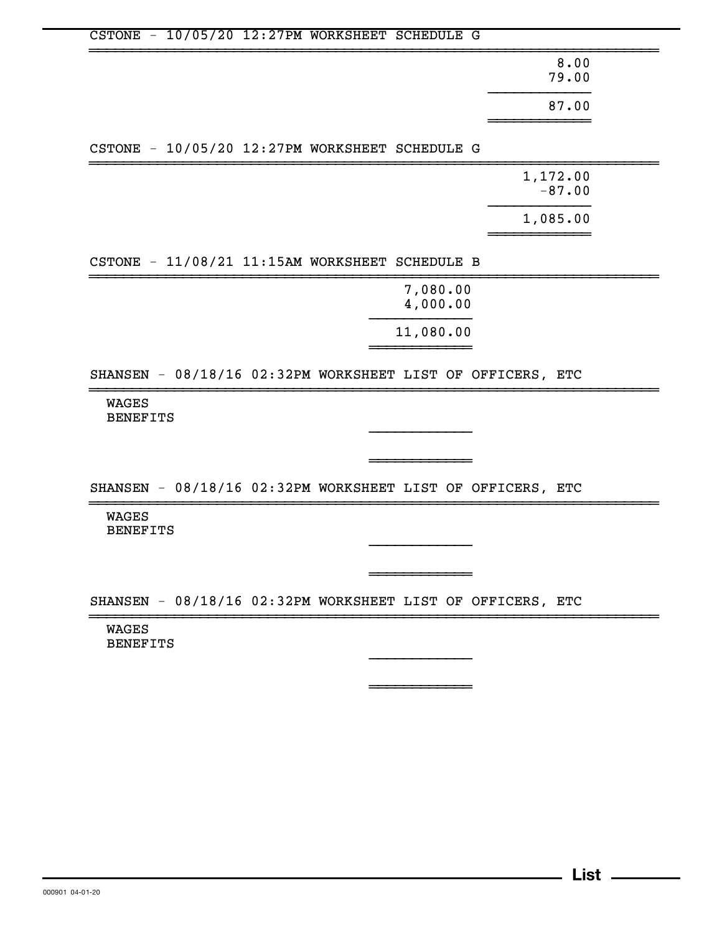|  |  | CSTONE - 10/05/20 12:27PM WORKSHEET SCHEDULE G |               |  |
|--|--|------------------------------------------------|---------------|--|
|  |  |                                                | 8.00<br>79.00 |  |
|  |  |                                                | 87.00         |  |
|  |  |                                                |               |  |

CSTONE - 10/05/20 12:27PM WORKSHEET SCHEDULE G

| 1,172.00<br>$-87.00$ |  |
|----------------------|--|
| 1,085.00             |  |
|                      |  |

CSTONE - 11/08/21 11:15AM WORKSHEET SCHEDULE B

| 7,080.00<br>4,000.00 |  |
|----------------------|--|
| 11,080.00            |  |
|                      |  |

}}}}}}}}}}}}

}}}}}}}}}}}}

~~~~~~~~~~~~

}}}}}}}}}}}}

~~~~~~~~~~~~

~~~~~~~~~~~~

SHANSEN - 08/18/16 02:32PM WORKSHEET LIST OF OFFICERS, ETC

~~~~~~~~~~~~~~~~~~~~~~~~~~~~~~~~~~~~~~~~~~~~~~~~~~~~~~~~~~~~~~~~~~~

~~~~~~~~~~~~~~~~~~~~~~~~~~~~~~~~~~~~~~~~~~~~~~~~~~~~~~~~~~~~~~~~~~~

~~~~~~~~~~~~~~~~~~~~~~~~~~~~~~~~~~~~~~~~~~~~~~~~~~~~~~~~~~~~~~~~~~~

WAGES BENEFITS

SHANSEN - 08/18/16 02:32PM WORKSHEET LIST OF OFFICERS, ETC

WAGES BENEFITS

SHANSEN - 08/18/16 02:32PM WORKSHEET LIST OF OFFICERS, ETC

WAGES BENEFITS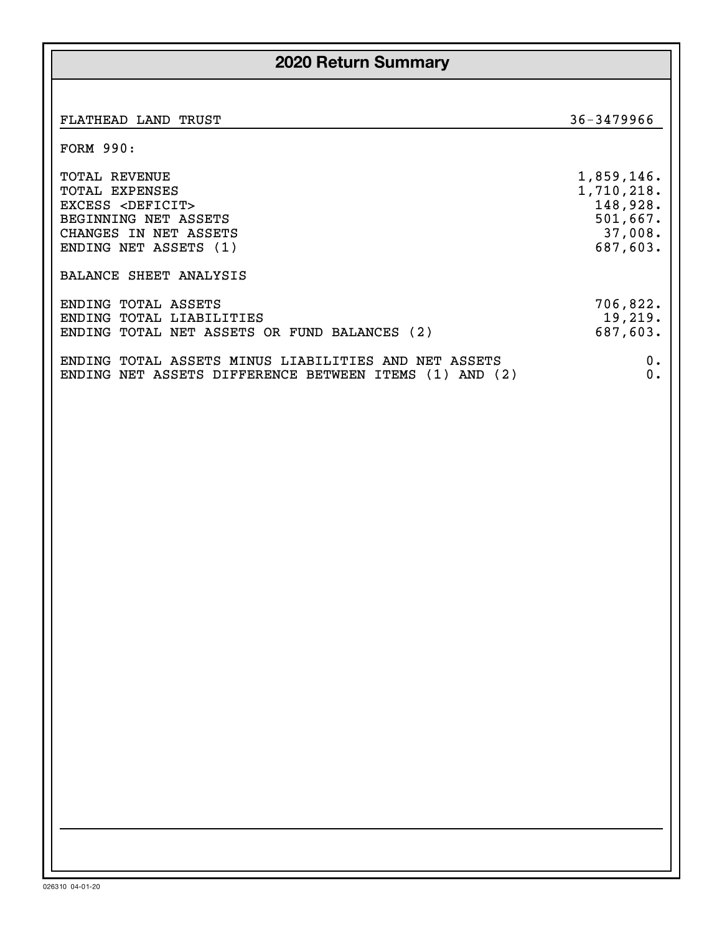## **2020 Return Summary**

| FLATHEAD LAND TRUST                                                                                                                                      | 36-3479966                                                              |
|----------------------------------------------------------------------------------------------------------------------------------------------------------|-------------------------------------------------------------------------|
| <b>FORM 990:</b>                                                                                                                                         |                                                                         |
| <b>TOTAL REVENUE</b><br><b>TOTAL EXPENSES</b><br>EXCESS <deficit><br/>BEGINNING NET ASSETS<br/>CHANGES IN NET ASSETS<br/>ENDING NET ASSETS (1)</deficit> | 1,859,146.<br>1,710,218.<br>148,928.<br>501,667.<br>37,008.<br>687,603. |
| BALANCE SHEET ANALYSIS<br>ENDING<br>TOTAL ASSETS<br>TOTAL LIABILITIES<br>ENDING<br>TOTAL NET ASSETS OR FUND BALANCES (2)<br>ENDING                       | 706,822.<br>19,219.<br>687,603.                                         |
| TOTAL ASSETS MINUS LIABILITIES AND<br>NET<br>ENDING<br>ASSETS<br>NET ASSETS DIFFERENCE BETWEEN<br>ITEMS<br>(1)<br>AND<br>ENDING<br>(2)                   | 0.<br>0.                                                                |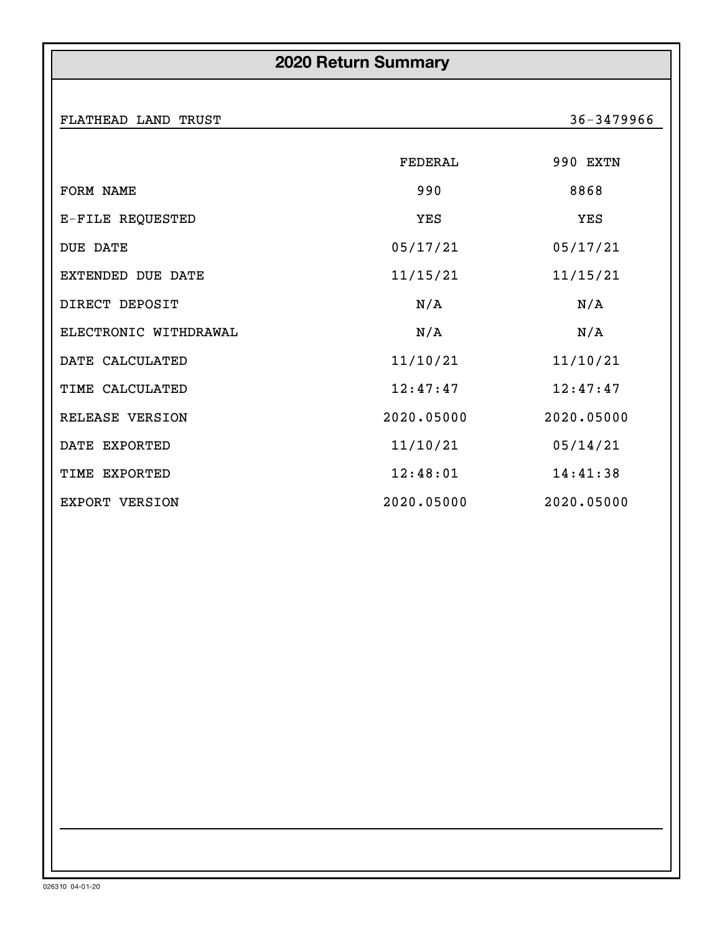## **2020 Return Summary**

| FLATHEAD LAND TRUST   |            | 36-3479966 |
|-----------------------|------------|------------|
|                       |            |            |
|                       | FEDERAL    | 990 EXTN   |
| <b>FORM NAME</b>      | 990        | 8868       |
| E-FILE REQUESTED      | YES        | YES        |
| <b>DUE DATE</b>       | 05/17/21   | 05/17/21   |
| EXTENDED DUE DATE     | 11/15/21   | 11/15/21   |
| DIRECT DEPOSIT        | N/A        | N/A        |
| ELECTRONIC WITHDRAWAL | N/A        | N/A        |
| DATE CALCULATED       | 11/10/21   | 11/10/21   |
| TIME CALCULATED       | 12:47:47   | 12:47:47   |
| RELEASE VERSION       | 2020.05000 | 2020.05000 |
| DATE EXPORTED         | 11/10/21   | 05/14/21   |
| TIME EXPORTED         | 12:48:01   | 14:41:38   |
| <b>EXPORT VERSION</b> | 2020.05000 | 2020.05000 |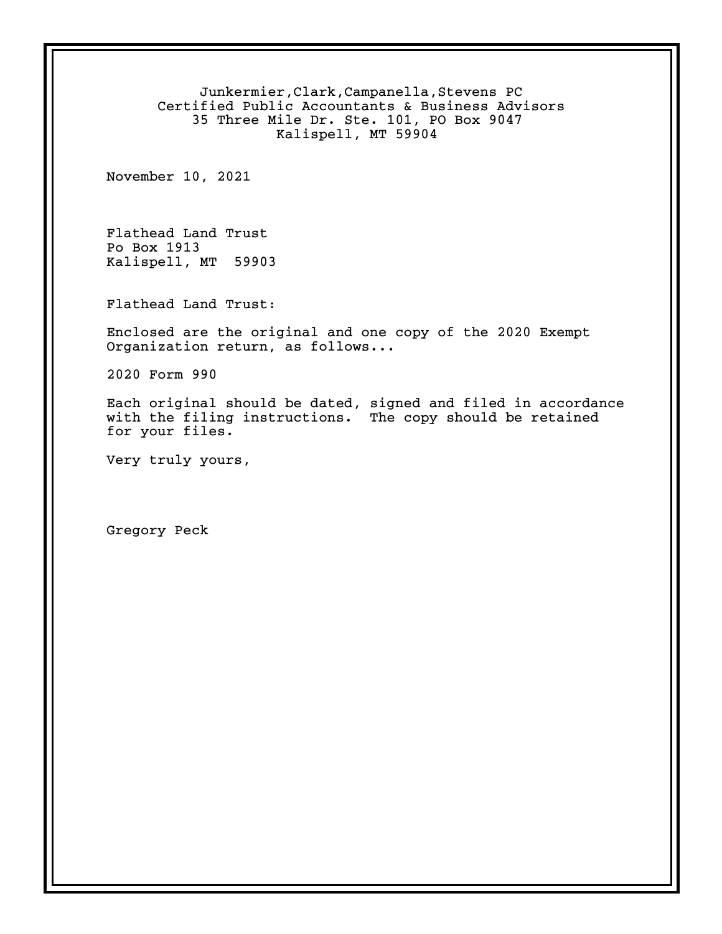Junkermier,Clark,Campanella,Stevens PC Certified Public Accountants & Business Advisors 35 Three Mile Dr. Ste. 101, PO Box 9047 Kalispell, MT 59904

November 10, 2021

Flathead Land Trust Po Box 1913 Kalispell, MT 59903

Flathead Land Trust:

Enclosed are the original and one copy of the 2020 Exempt Organization return, as follows...

2020 Form 990

Each original should be dated, signed and filed in accordance with the filing instructions. The copy should be retained for your files.

Very truly yours,

Gregory Peck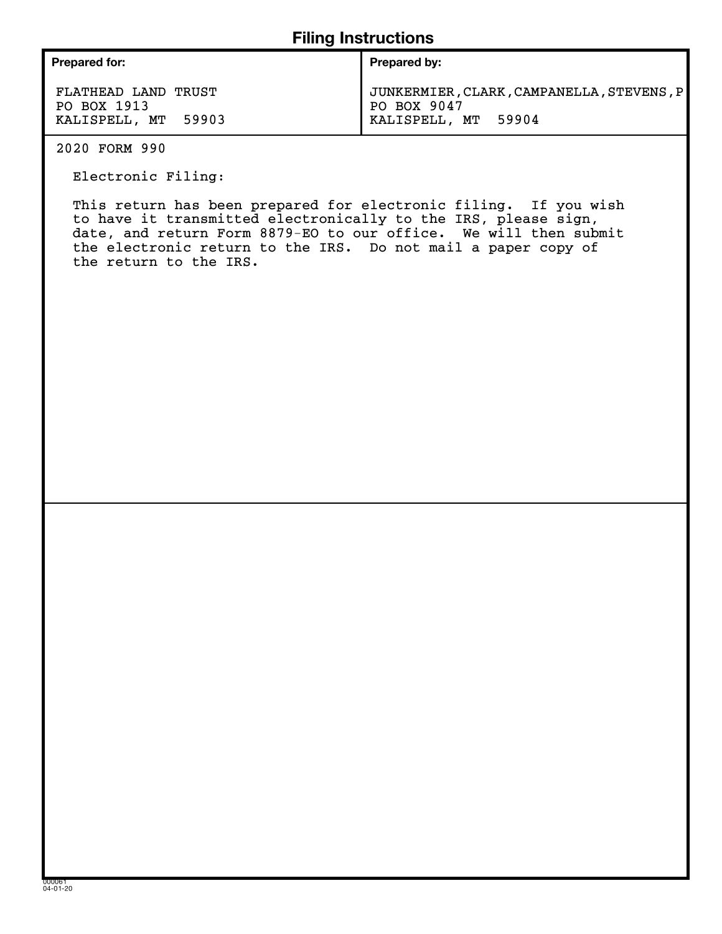| <b>Prepared for:</b> | <b>Prepared by:</b>                       |
|----------------------|-------------------------------------------|
| FLATHEAD LAND TRUST  | JUNKERMIER, CLARK, CAMPANELLA, STEVENS, P |
| PO BOX 1913          | PO BOX 9047                               |
| 59903                | 59904                                     |
| KALISPELL, MT        | KALISPELL, MT                             |

2020 FORM 990

Electronic Filing:

This return has been prepared for electronic filing. If you wish to have it transmitted electronically to the IRS, please sign, date, and return Form 8879-EO to our office. We will then submit the electronic return to the IRS. Do not mail a paper copy of the return to the IRS.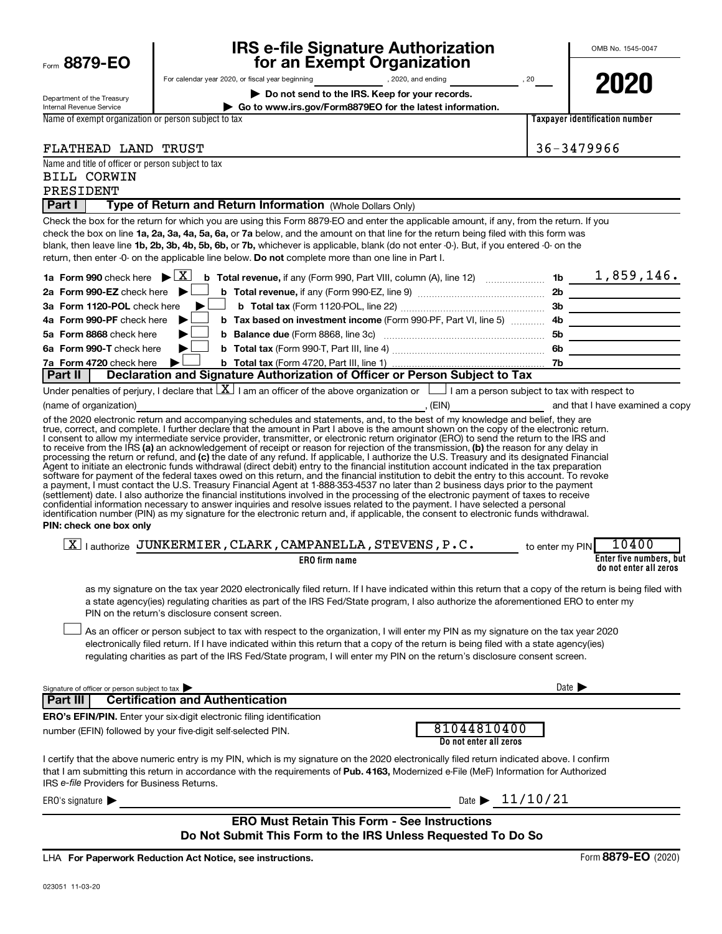| 023051 11-03-20 |
|-----------------|

| FLATHEAD LAND TRUST                                                                                                                                                                                                                                                                                                                                                                                                                                                                                                                                                                                                                                                                                                                                                                                                                                                                                                                                                                                                                                                                                                                                                                                                                                                                                                                                                                                                                                                                                                                                                                                | 36-3479966                                                                                                           |
|----------------------------------------------------------------------------------------------------------------------------------------------------------------------------------------------------------------------------------------------------------------------------------------------------------------------------------------------------------------------------------------------------------------------------------------------------------------------------------------------------------------------------------------------------------------------------------------------------------------------------------------------------------------------------------------------------------------------------------------------------------------------------------------------------------------------------------------------------------------------------------------------------------------------------------------------------------------------------------------------------------------------------------------------------------------------------------------------------------------------------------------------------------------------------------------------------------------------------------------------------------------------------------------------------------------------------------------------------------------------------------------------------------------------------------------------------------------------------------------------------------------------------------------------------------------------------------------------------|----------------------------------------------------------------------------------------------------------------------|
| Name and title of officer or person subject to tax<br>BILL CORWIN<br>PRESIDENT                                                                                                                                                                                                                                                                                                                                                                                                                                                                                                                                                                                                                                                                                                                                                                                                                                                                                                                                                                                                                                                                                                                                                                                                                                                                                                                                                                                                                                                                                                                     |                                                                                                                      |
| Part I<br>Type of Return and Return Information (Whole Dollars Only)                                                                                                                                                                                                                                                                                                                                                                                                                                                                                                                                                                                                                                                                                                                                                                                                                                                                                                                                                                                                                                                                                                                                                                                                                                                                                                                                                                                                                                                                                                                               |                                                                                                                      |
| Check the box for the return for which you are using this Form 8879-EO and enter the applicable amount, if any, from the return. If you<br>check the box on line 1a, 2a, 3a, 4a, 5a, 6a, or 7a below, and the amount on that line for the return being filed with this form was<br>blank, then leave line 1b, 2b, 3b, 4b, 5b, 6b, or 7b, whichever is applicable, blank (do not enter -0-). But, if you entered -0- on the<br>return, then enter -0- on the applicable line below. Do not complete more than one line in Part I.                                                                                                                                                                                                                                                                                                                                                                                                                                                                                                                                                                                                                                                                                                                                                                                                                                                                                                                                                                                                                                                                   |                                                                                                                      |
| 1a Form 990 check here $\blacktriangleright \lfloor \underline{X} \rfloor$                                                                                                                                                                                                                                                                                                                                                                                                                                                                                                                                                                                                                                                                                                                                                                                                                                                                                                                                                                                                                                                                                                                                                                                                                                                                                                                                                                                                                                                                                                                         | <b>b</b> Total revenue, if any (Form 990, Part VIII, column (A), line 12) <b>Example 20</b> 1 1 1 2 1 2 5 9 1 $46$ . |
| 2a Form 990-EZ check here $\blacktriangleright$                                                                                                                                                                                                                                                                                                                                                                                                                                                                                                                                                                                                                                                                                                                                                                                                                                                                                                                                                                                                                                                                                                                                                                                                                                                                                                                                                                                                                                                                                                                                                    |                                                                                                                      |
| 3a Form 1120-POL check here<br>▶                                                                                                                                                                                                                                                                                                                                                                                                                                                                                                                                                                                                                                                                                                                                                                                                                                                                                                                                                                                                                                                                                                                                                                                                                                                                                                                                                                                                                                                                                                                                                                   |                                                                                                                      |
| b Tax based on investment income (Form 990-PF, Part VI, line 5)  4b<br>4a Form 990-PF check here<br>▶                                                                                                                                                                                                                                                                                                                                                                                                                                                                                                                                                                                                                                                                                                                                                                                                                                                                                                                                                                                                                                                                                                                                                                                                                                                                                                                                                                                                                                                                                              |                                                                                                                      |
| 5a Form 8868 check here<br><b>b</b> Balance due (Form 8868, line 3c) <b>manually contained</b> the state of the state of the state of the state of the state of the state of the state of the state of the state of the state of the state of the state of the stat                                                                                                                                                                                                                                                                                                                                                                                                                                                                                                                                                                                                                                                                                                                                                                                                                                                                                                                                                                                                                                                                                                                                                                                                                                                                                                                                |                                                                                                                      |
| 6a Form 990-T check here                                                                                                                                                                                                                                                                                                                                                                                                                                                                                                                                                                                                                                                                                                                                                                                                                                                                                                                                                                                                                                                                                                                                                                                                                                                                                                                                                                                                                                                                                                                                                                           | <u> The Communication of the Communication</u>                                                                       |
| 7a Form 4720 check here                                                                                                                                                                                                                                                                                                                                                                                                                                                                                                                                                                                                                                                                                                                                                                                                                                                                                                                                                                                                                                                                                                                                                                                                                                                                                                                                                                                                                                                                                                                                                                            |                                                                                                                      |
| Declaration and Signature Authorization of Officer or Person Subject to Tax<br>Part II                                                                                                                                                                                                                                                                                                                                                                                                                                                                                                                                                                                                                                                                                                                                                                                                                                                                                                                                                                                                                                                                                                                                                                                                                                                                                                                                                                                                                                                                                                             |                                                                                                                      |
| Under penalties of perjury, I declare that $ X $ I am an officer of the above organization or $\Box$ I am a person subject to tax with respect to<br>(name of organization)                                                                                                                                                                                                                                                                                                                                                                                                                                                                                                                                                                                                                                                                                                                                                                                                                                                                                                                                                                                                                                                                                                                                                                                                                                                                                                                                                                                                                        |                                                                                                                      |
| I consent to allow my intermediate service provider, transmitter, or electronic return originator (ERO) to send the return to the IRS and<br>to receive from the IRS (a) an acknowledgement of receipt or reason for rejection of the transmission, (b) the reason for any delay in<br>processing the return or refund, and (c) the date of any refund. If applicable, I authorize the U.S. Treasury and its designated Financial<br>Agent to initiate an electronic funds withdrawal (direct debit) entry to the financial institution account indicated in the tax preparation<br>software for payment of the federal taxes owed on this return, and the financial institution to debit the entry to this account. To revoke<br>a payment, I must contact the U.S. Treasury Financial Agent at 1-888-353-4537 no later than 2 business days prior to the payment<br>(settlement) date. I also authorize the financial institutions involved in the processing of the electronic payment of taxes to receive<br>confidential information necessary to answer inquiries and resolve issues related to the payment. I have selected a personal<br>identification number (PIN) as my signature for the electronic return and, if applicable, the consent to electronic funds withdrawal.<br>PIN: check one box only<br>$\boxed{\text{X}}$   authorize JUNKERMIER, CLARK, CAMPANELLA, STEVENS, P.C. to enter my PIN<br><b>ERO</b> firm name<br>as my signature on the tax year 2020 electronically filed return. If I have indicated within this return that a copy of the return is being filed with | 10400<br>Enter five numbers, but<br>do not enter all zeros                                                           |
| a state agency(ies) regulating charities as part of the IRS Fed/State program, I also authorize the aforementioned ERO to enter my<br>PIN on the return's disclosure consent screen.                                                                                                                                                                                                                                                                                                                                                                                                                                                                                                                                                                                                                                                                                                                                                                                                                                                                                                                                                                                                                                                                                                                                                                                                                                                                                                                                                                                                               |                                                                                                                      |
| As an officer or person subject to tax with respect to the organization, I will enter my PIN as my signature on the tax year 2020<br>electronically filed return. If I have indicated within this return that a copy of the return is being filed with a state agency(ies)<br>regulating charities as part of the IRS Fed/State program, I will enter my PIN on the return's disclosure consent screen.                                                                                                                                                                                                                                                                                                                                                                                                                                                                                                                                                                                                                                                                                                                                                                                                                                                                                                                                                                                                                                                                                                                                                                                            |                                                                                                                      |
| Signature of officer or person subject to tax<br><b>Certification and Authentication</b><br><b>Part III</b>                                                                                                                                                                                                                                                                                                                                                                                                                                                                                                                                                                                                                                                                                                                                                                                                                                                                                                                                                                                                                                                                                                                                                                                                                                                                                                                                                                                                                                                                                        | Date $\triangleright$                                                                                                |
| ERO's EFIN/PIN. Enter your six-digit electronic filing identification                                                                                                                                                                                                                                                                                                                                                                                                                                                                                                                                                                                                                                                                                                                                                                                                                                                                                                                                                                                                                                                                                                                                                                                                                                                                                                                                                                                                                                                                                                                              |                                                                                                                      |
| number (EFIN) followed by your five-digit self-selected PIN.                                                                                                                                                                                                                                                                                                                                                                                                                                                                                                                                                                                                                                                                                                                                                                                                                                                                                                                                                                                                                                                                                                                                                                                                                                                                                                                                                                                                                                                                                                                                       | 81044810400<br>Do not enter all zeros                                                                                |
| I certify that the above numeric entry is my PIN, which is my signature on the 2020 electronically filed return indicated above. I confirm<br>that I am submitting this return in accordance with the requirements of Pub. 4163, Modernized e-File (MeF) Information for Authorized<br>IRS e-file Providers for Business Returns.                                                                                                                                                                                                                                                                                                                                                                                                                                                                                                                                                                                                                                                                                                                                                                                                                                                                                                                                                                                                                                                                                                                                                                                                                                                                  |                                                                                                                      |
| ERO's signature $\blacktriangleright$                                                                                                                                                                                                                                                                                                                                                                                                                                                                                                                                                                                                                                                                                                                                                                                                                                                                                                                                                                                                                                                                                                                                                                                                                                                                                                                                                                                                                                                                                                                                                              | Date $\blacktriangleright$ 11/10/21                                                                                  |
|                                                                                                                                                                                                                                                                                                                                                                                                                                                                                                                                                                                                                                                                                                                                                                                                                                                                                                                                                                                                                                                                                                                                                                                                                                                                                                                                                                                                                                                                                                                                                                                                    |                                                                                                                      |
| <b>ERO Must Retain This Form - See Instructions</b><br>Do Not Submit This Form to the IRS Unless Requested To Do So                                                                                                                                                                                                                                                                                                                                                                                                                                                                                                                                                                                                                                                                                                                                                                                                                                                                                                                                                                                                                                                                                                                                                                                                                                                                                                                                                                                                                                                                                |                                                                                                                      |

# **IRS e-file Signature Authorization for an Exempt Organization**

**| Do not send to the IRS. Keep for your records.**

For calendar year 2020, or fiscal year beginning 1990 100 2020, and ending 1990 100 300 400 500 500 500 500 50

OMB No. 1545-0047

**2020**

**| Go to www.irs.gov/Form8879EO for the latest information.**

Name of exempt organization or person subject to tax

## Internal Revenue Service

Form 8879-EO

Department of the Treasury

## **Do Not Submit This Form to the IRS Unless Requested To Do So**

**For Paperwork Reduction Act Notice, see instructions.** LHA



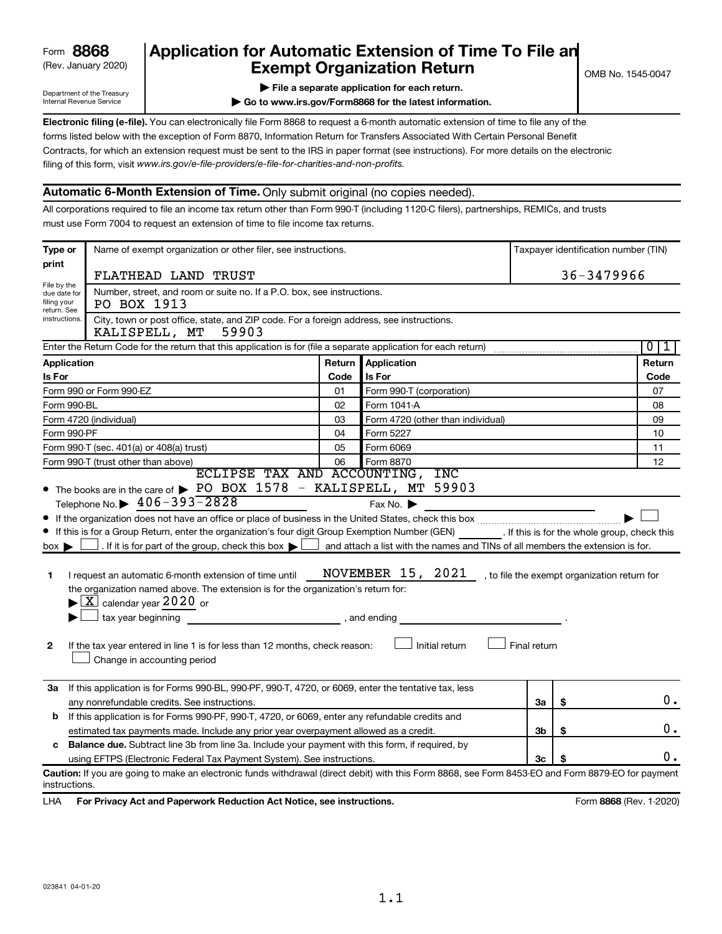## (Rev. January 2020) **Cxempt Organization Return** Manuary 2020) and the settern **Canadian Exempt Organization Return Form 8868 Application for Automatic Extension of Time To File an**<br>**Exempt Organization Return**

Department of the Treasury Internal Revenue Service

|  | File a separate application for each return. |  |  |
|--|----------------------------------------------|--|--|
|  |                                              |  |  |

**| Go to www.irs.gov/Form8868 for the latest information.**

**Electronic filing (e-file).** You can electronically file Form 8868 to request a 6-month automatic extension of time to file any of the filing of this form, visit www.irs.gov/e-file-providers/e-file-for-charities-and-non-profits. forms listed below with the exception of Form 8870, Information Return for Transfers Associated With Certain Personal Benefit Contracts, for which an extension request must be sent to the IRS in paper format (see instructions). For more details on the electronic

### **Automatic 6-Month Extension of Time.** Only submit original (no copies needed).

All corporations required to file an income tax return other than Form 990-T (including 1120-C filers), partnerships, REMICs, and trusts must use Form 7004 to request an extension of time to file income tax returns.

| Type or                                                                                                  | Name of exempt organization or other filer, see instructions.                                                                                                                                                                                                                                                                                                                                                                                                                                                                                                                          |        |                                                                                                                                                                                    |              | Taxpayer identification number (TIN) |                     |
|----------------------------------------------------------------------------------------------------------|----------------------------------------------------------------------------------------------------------------------------------------------------------------------------------------------------------------------------------------------------------------------------------------------------------------------------------------------------------------------------------------------------------------------------------------------------------------------------------------------------------------------------------------------------------------------------------------|--------|------------------------------------------------------------------------------------------------------------------------------------------------------------------------------------|--------------|--------------------------------------|---------------------|
| print                                                                                                    | FLATHEAD LAND TRUST                                                                                                                                                                                                                                                                                                                                                                                                                                                                                                                                                                    |        |                                                                                                                                                                                    |              | 36-3479966                           |                     |
| File by the<br>due date for<br>filing your                                                               | Number, street, and room or suite no. If a P.O. box, see instructions.<br>PO BOX 1913                                                                                                                                                                                                                                                                                                                                                                                                                                                                                                  |        |                                                                                                                                                                                    |              |                                      |                     |
| return. See<br>instructions.                                                                             | City, town or post office, state, and ZIP code. For a foreign address, see instructions.<br>KALISPELL, MT<br>59903                                                                                                                                                                                                                                                                                                                                                                                                                                                                     |        |                                                                                                                                                                                    |              |                                      |                     |
|                                                                                                          | Enter the Return Code for the return that this application is for (file a separate application for each return)                                                                                                                                                                                                                                                                                                                                                                                                                                                                        |        |                                                                                                                                                                                    |              |                                      | $\overline{0}$<br>1 |
| Application                                                                                              |                                                                                                                                                                                                                                                                                                                                                                                                                                                                                                                                                                                        | Return | Application                                                                                                                                                                        |              |                                      | Return              |
| Is For                                                                                                   |                                                                                                                                                                                                                                                                                                                                                                                                                                                                                                                                                                                        | Code   | Is For                                                                                                                                                                             |              |                                      | Code                |
|                                                                                                          | Form 990 or Form 990-EZ                                                                                                                                                                                                                                                                                                                                                                                                                                                                                                                                                                | 01     | Form 990-T (corporation)                                                                                                                                                           |              |                                      | 07                  |
| Form 990-BL                                                                                              |                                                                                                                                                                                                                                                                                                                                                                                                                                                                                                                                                                                        | 02     | Form 1041-A                                                                                                                                                                        |              |                                      | 08                  |
|                                                                                                          | Form 4720 (individual)                                                                                                                                                                                                                                                                                                                                                                                                                                                                                                                                                                 | 03     | Form 4720 (other than individual)                                                                                                                                                  |              |                                      | 09                  |
| Form 990-PF                                                                                              |                                                                                                                                                                                                                                                                                                                                                                                                                                                                                                                                                                                        | 04     | Form 5227                                                                                                                                                                          |              |                                      | 10                  |
|                                                                                                          | Form 990-T (sec. 401(a) or 408(a) trust)                                                                                                                                                                                                                                                                                                                                                                                                                                                                                                                                               | 05     | Form 6069                                                                                                                                                                          |              |                                      | 11                  |
|                                                                                                          | Form 990-T (trust other than above)<br>ECLIPSE TAX AND ACCOUNTING, INC                                                                                                                                                                                                                                                                                                                                                                                                                                                                                                                 | 06     | Form 8870                                                                                                                                                                          |              |                                      | 12                  |
| $box \blacktriangleright$<br>1<br>$\mathbf{2}$                                                           | If this is for a Group Return, enter the organization's four digit Group Exemption Number (GEN) [If this is for the whole group, check this<br>. If it is for part of the group, check this box $\blacktriangleright$ [<br>I request an automatic 6-month extension of time until<br>the organization named above. The extension is for the organization's return for:<br>$\blacktriangleright$ $\lfloor$ X $\rfloor$ calendar year 2020 or<br>$\Box$ tax year beginning<br>If the tax year entered in line 1 is for less than 12 months, check reason:<br>Change in accounting period |        | and attach a list with the names and TINs of all members the extension is for.<br>NOVEMBER 15, 2021 , to file the exempt organization return for<br>, and ending<br>Initial return | Final return |                                      |                     |
| За                                                                                                       | If this application is for Forms 990-BL, 990-PF, 990-T, 4720, or 6069, enter the tentative tax, less<br>any nonrefundable credits. See instructions.                                                                                                                                                                                                                                                                                                                                                                                                                                   |        |                                                                                                                                                                                    | За           | \$                                   | 0.                  |
| <b>b</b> If this application is for Forms 990-PF, 990-T, 4720, or 6069, enter any refundable credits and |                                                                                                                                                                                                                                                                                                                                                                                                                                                                                                                                                                                        |        |                                                                                                                                                                                    |              |                                      |                     |
|                                                                                                          | estimated tax payments made. Include any prior year overpayment allowed as a credit.                                                                                                                                                                                                                                                                                                                                                                                                                                                                                                   |        |                                                                                                                                                                                    | Зb           | \$                                   | 0.                  |
| c                                                                                                        | Balance due. Subtract line 3b from line 3a. Include your payment with this form, if required, by                                                                                                                                                                                                                                                                                                                                                                                                                                                                                       |        |                                                                                                                                                                                    |              |                                      |                     |
|                                                                                                          | using EFTPS (Electronic Federal Tax Payment System). See instructions.                                                                                                                                                                                                                                                                                                                                                                                                                                                                                                                 |        |                                                                                                                                                                                    | 3c           |                                      | о.                  |
| instructions.                                                                                            | Caution: If you are going to make an electronic funds withdrawal (direct debit) with this Form 8868, see Form 8453-EO and Form 8879-EO for payment                                                                                                                                                                                                                                                                                                                                                                                                                                     |        |                                                                                                                                                                                    |              |                                      |                     |

LHA For Privacy Act and Paperwork Reduction Act Notice, see instructions. **8868** CREV. 1-2020)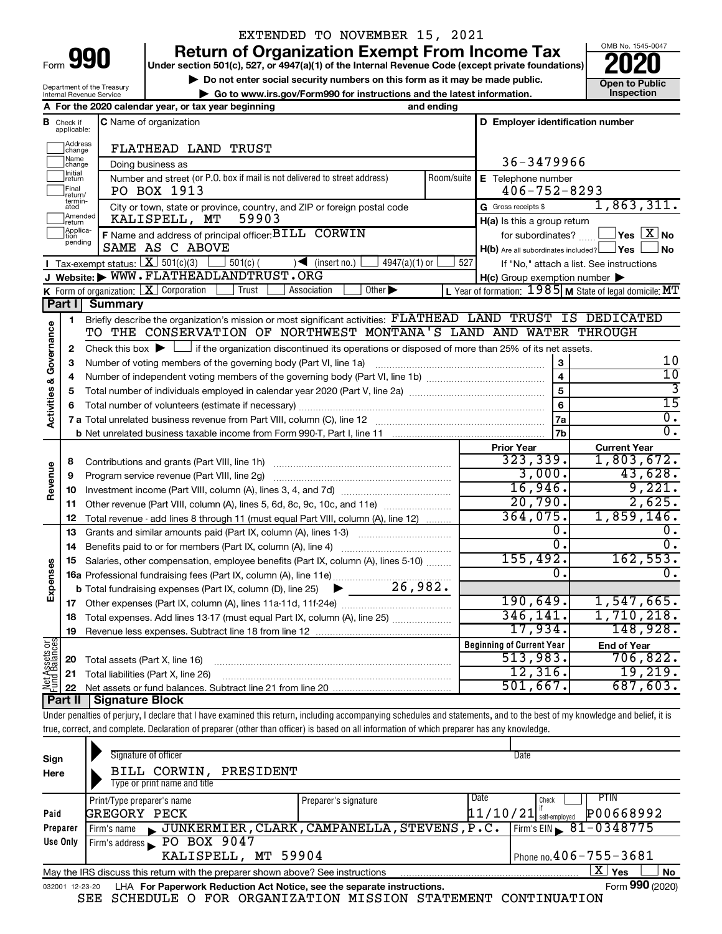| Form |  |  |
|------|--|--|

## EXTENDED TO NOVEMBER 15, 2021

**990** Return of Organization Exempt From Income Tax <br>
Under section 501(c), 527, or 4947(a)(1) of the Internal Revenue Code (except private foundations)<br> **PO20** 

**▶ Do not enter social security numbers on this form as it may be made public. Open to Public**<br>
inspection and the latest information. Inspection **| Go to www.irs.gov/Form990 for instructions and the latest information. Inspection**



Department of the Treasury Internal Revenue Service

|                                       |                                  | A For the 2020 calendar year, or tax year beginning                                                                                                                        | and ending |                                                     |                                                           |
|---------------------------------------|----------------------------------|----------------------------------------------------------------------------------------------------------------------------------------------------------------------------|------------|-----------------------------------------------------|-----------------------------------------------------------|
|                                       | <b>B</b> Check if<br>applicable: | C Name of organization                                                                                                                                                     |            | D Employer identification number                    |                                                           |
|                                       | Address<br> change               | FLATHEAD LAND TRUST                                                                                                                                                        |            |                                                     |                                                           |
|                                       | Name<br>change                   | Doing business as                                                                                                                                                          |            | 36-3479966                                          |                                                           |
|                                       | Initial<br>return<br>Final       | Number and street (or P.O. box if mail is not delivered to street address)<br>PO BOX 1913                                                                                  | Room/suite | E Telephone number<br>$406 - 752 - 8293$            |                                                           |
|                                       | return/<br>termin-<br>ated       | City or town, state or province, country, and ZIP or foreign postal code                                                                                                   |            | G Gross receipts \$                                 | 1,863,311.                                                |
|                                       | Amended                          | KALISPELL, MT<br>59903                                                                                                                                                     |            |                                                     |                                                           |
|                                       | return<br>Applica-               | F Name and address of principal officer: BILL CORWIN                                                                                                                       |            | H(a) Is this a group return                         | $\overline{\ }$ Yes $\overline{\ \text{X}}$ No            |
|                                       | pending                          | SAME AS C ABOVE                                                                                                                                                            |            | for subordinates?                                   |                                                           |
|                                       |                                  | Tax-exempt status: $X \mid 501(c)(3)$<br>$501(c)$ (<br>$4947(a)(1)$ or                                                                                                     | 527        | $H(b)$ Are all subordinates included? $\Box$ Yes    | No                                                        |
|                                       |                                  | $\sqrt{\bullet}$ (insert no.)<br>J Website: WWW.FLATHEADLANDTRUST.ORG                                                                                                      |            |                                                     | If "No," attach a list. See instructions                  |
|                                       |                                  | Other $\blacktriangleright$<br><b>K</b> Form of organization: $X$ Corporation<br>Trust<br>Association                                                                      |            | $H(c)$ Group exemption number $\blacktriangleright$ | L Year of formation: $1985$ M State of legal domicile: MT |
|                                       |                                  | Part I Summary                                                                                                                                                             |            |                                                     |                                                           |
|                                       |                                  | Briefly describe the organization's mission or most significant activities: FLATHEAD LAND TRUST IS DEDICATED                                                               |            |                                                     |                                                           |
|                                       | 1                                | TO THE CONSERVATION OF NORTHWEST MONTANA'S LAND AND WATER THROUGH                                                                                                          |            |                                                     |                                                           |
| Activities & Governance               |                                  |                                                                                                                                                                            |            |                                                     |                                                           |
|                                       | 2                                | Check this box $\blacktriangleright \Box$ if the organization discontinued its operations or disposed of more than 25% of its net assets.                                  |            |                                                     | 10                                                        |
|                                       | 3                                | Number of voting members of the governing body (Part VI, line 1a)                                                                                                          |            | $\mathbf 3$<br>$\overline{\mathbf{4}}$              | $\overline{10}$                                           |
|                                       | 4                                |                                                                                                                                                                            |            |                                                     | $\overline{3}$                                            |
|                                       | 5                                |                                                                                                                                                                            |            | 5                                                   | $\overline{15}$                                           |
|                                       | 6                                |                                                                                                                                                                            |            | 6                                                   | $\overline{0}$ .                                          |
|                                       |                                  |                                                                                                                                                                            |            | 7a                                                  | $\overline{\mathfrak{o}}$ .                               |
|                                       |                                  |                                                                                                                                                                            |            | 7b                                                  |                                                           |
|                                       |                                  |                                                                                                                                                                            |            | <b>Prior Year</b>                                   | <b>Current Year</b>                                       |
|                                       | 8                                |                                                                                                                                                                            |            | 323, 339.<br>3,000.                                 | 1,803,672.                                                |
| Revenue                               | 9                                |                                                                                                                                                                            |            |                                                     | 43,628.                                                   |
|                                       | 10                               |                                                                                                                                                                            |            | 16,946.<br>20,790.                                  | 9,221.<br>2,625.                                          |
|                                       | 11                               | Other revenue (Part VIII, column (A), lines 5, 6d, 8c, 9c, 10c, and 11e)                                                                                                   |            | 364,075.                                            |                                                           |
|                                       | 12                               | Total revenue - add lines 8 through 11 (must equal Part VIII, column (A), line 12)                                                                                         |            | 0.                                                  | 1,859,146.                                                |
|                                       | 13                               | Grants and similar amounts paid (Part IX, column (A), lines 1-3)                                                                                                           |            | 0.                                                  | 0.<br>$\overline{0}$ .                                    |
|                                       | 14                               |                                                                                                                                                                            |            | 155,492.                                            |                                                           |
| Expenses                              | 15                               | Salaries, other compensation, employee benefits (Part IX, column (A), lines 5-10)                                                                                          |            | 0.                                                  | 162, 553.<br>$\overline{0}$ .                             |
|                                       |                                  |                                                                                                                                                                            |            |                                                     |                                                           |
|                                       |                                  | <b>b</b> Total fundraising expenses (Part IX, column (D), line 25) $\bullet$ 26, 982.                                                                                      |            |                                                     |                                                           |
|                                       |                                  |                                                                                                                                                                            |            | 190, 649.                                           | 1,547,665.                                                |
|                                       | 18                               | Total expenses. Add lines 13-17 (must equal Part IX, column (A), line 25)                                                                                                  |            | 346,141.                                            | 1,710,218.                                                |
|                                       | 19                               | Revenue less expenses. Subtract line 18 from line 12                                                                                                                       |            | 17,934.                                             | 148,928.                                                  |
|                                       |                                  |                                                                                                                                                                            |            | <b>Beginning of Current Year</b>                    | <b>End of Year</b>                                        |
|                                       | 20                               | Total assets (Part X, line 16)                                                                                                                                             |            | 513,983.                                            | 706,822.                                                  |
| <b>Net Assets or</b><br>Fund Balances | 21                               | Total liabilities (Part X, line 26)                                                                                                                                        |            | 12,316.                                             | 19,219.                                                   |
|                                       | 22                               |                                                                                                                                                                            |            | 501,667.                                            | 687,603.                                                  |
|                                       | Part II                          | <b>Signature Block</b>                                                                                                                                                     |            |                                                     |                                                           |
|                                       |                                  | Under penalties of perjury, I declare that I have examined this return, including accompanying schedules and statements, and to the best of my knowledge and belief, it is |            |                                                     |                                                           |
|                                       |                                  | true, correct, and complete. Declaration of preparer (other than officer) is based on all information of which preparer has any knowledge.                                 |            |                                                     |                                                           |
|                                       |                                  |                                                                                                                                                                            |            |                                                     |                                                           |

| Sign<br>Here                                        | Signature of officer<br>BILL CORWIN,<br>PRESIDENT<br>Type or print name and title                            |                                              |      | Date                             |             |  |  |  |
|-----------------------------------------------------|--------------------------------------------------------------------------------------------------------------|----------------------------------------------|------|----------------------------------|-------------|--|--|--|
|                                                     | Print/Type preparer's name                                                                                   | Preparer's signature                         | Date | Check                            | <b>PTIN</b> |  |  |  |
| Paid                                                | <b>GREGORY PECK</b>                                                                                          |                                              |      | $11/10/21$ self-employed         | P00668992   |  |  |  |
| Preparer                                            | . Firm's name                                                                                                | JUNKERMIER, CLARK, CAMPANELLA, STEVENS, P.C. |      | $I$ Firm's EIN $\, 81 - 0348775$ |             |  |  |  |
| Use Only                                            | PO BOX 9047<br>Firm's address                                                                                |                                              |      |                                  |             |  |  |  |
| Phone no. $406 - 755 - 3681$<br>KALISPELL, MT 59904 |                                                                                                              |                                              |      |                                  |             |  |  |  |
|                                                     | X.<br>Yes<br><b>No</b><br>May the IRS discuss this return with the preparer shown above? See instructions    |                                              |      |                                  |             |  |  |  |
|                                                     | Form 990 (2020)<br>LHA For Paperwork Reduction Act Notice, see the separate instructions.<br>032001 12-23-20 |                                              |      |                                  |             |  |  |  |

SEE SCHEDULE O FOR ORGANIZATION MISSION STATEMENT CONTINUATION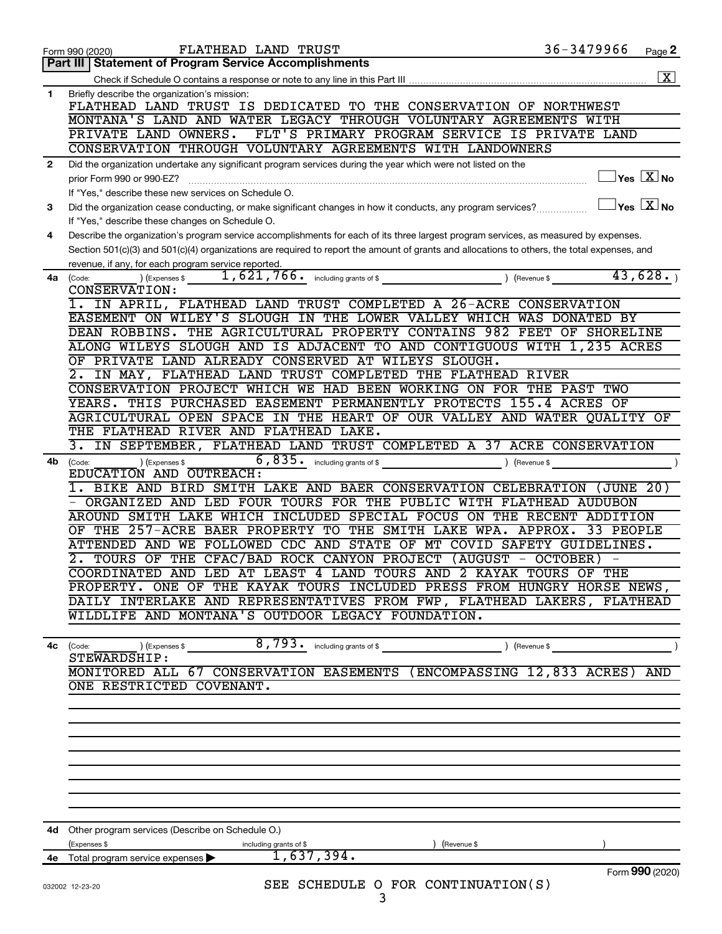|              | FLATHEAD LAND TRUST<br>Form 990 (2020)                                                                                                                  | 36-3479966               | Page 2                                                     |
|--------------|---------------------------------------------------------------------------------------------------------------------------------------------------------|--------------------------|------------------------------------------------------------|
|              | Part III   Statement of Program Service Accomplishments                                                                                                 |                          |                                                            |
|              |                                                                                                                                                         |                          | $\overline{\mathbf{x}}$                                    |
| 1            | Briefly describe the organization's mission:<br>FLATHEAD LAND TRUST IS DEDICATED TO THE CONSERVATION OF NORTHWEST                                       |                          |                                                            |
|              | MONTANA'S LAND AND WATER LEGACY THROUGH VOLUNTARY AGREEMENTS WITH<br>FLT'S PRIMARY PROGRAM SERVICE IS PRIVATE LAND<br>PRIVATE LAND OWNERS.              |                          |                                                            |
|              | CONSERVATION THROUGH VOLUNTARY AGREEMENTS WITH LANDOWNERS                                                                                               |                          |                                                            |
| $\mathbf{2}$ |                                                                                                                                                         |                          |                                                            |
|              | Did the organization undertake any significant program services during the year which were not listed on the<br>prior Form 990 or 990-EZ?               |                          | $ {\mathsf Y}\mathsf{es}^- $ $\overline{{\mathsf X}}^-$ No |
|              | If "Yes," describe these new services on Schedule O.                                                                                                    |                          |                                                            |
| 3            | Did the organization cease conducting, or make significant changes in how it conducts, any program services?                                            |                          | $\sqrt{}$ Yes $\sqrt{}\,\overline{X}$ No                   |
|              | If "Yes," describe these changes on Schedule O.                                                                                                         |                          |                                                            |
| 4            | Describe the organization's program service accomplishments for each of its three largest program services, as measured by expenses.                    |                          |                                                            |
|              | Section 501(c)(3) and 501(c)(4) organizations are required to report the amount of grants and allocations to others, the total expenses, and            |                          |                                                            |
|              | revenue, if any, for each program service reported.                                                                                                     |                          |                                                            |
| 4a           | (Code:<br>(Expenses \$                                                                                                                                  |                          | 43,628.                                                    |
|              | <b>CONSERVATION:</b>                                                                                                                                    |                          |                                                            |
|              | IN APRIL, FLATHEAD LAND TRUST COMPLETED A 26-ACRE CONSERVATION<br>1.                                                                                    |                          |                                                            |
|              | EASEMENT ON WILEY'S SLOUGH IN THE LOWER VALLEY WHICH WAS DONATED BY                                                                                     |                          |                                                            |
|              | DEAN ROBBINS. THE AGRICULTURAL PROPERTY CONTAINS 982 FEET OF SHORELINE<br>ALONG WILEYS SLOUGH AND IS ADJACENT TO AND CONTIGUOUS WITH 1,235 ACRES        |                          |                                                            |
|              | PRIVATE LAND ALREADY CONSERVED AT WILEYS SLOUGH.<br>OF                                                                                                  |                          |                                                            |
|              | $\overline{2}$ .<br>IN MAY, FLATHEAD LAND TRUST COMPLETED THE FLATHEAD                                                                                  | RIVER                    |                                                            |
|              | CONSERVATION PROJECT WHICH WE HAD BEEN WORKING ON FOR THE                                                                                               | PAST TWO                 |                                                            |
|              | THIS PURCHASED EASEMENT PERMANENTLY PROTECTS 155.4 ACRES OF<br>YEARS.                                                                                   |                          |                                                            |
|              | AGRICULTURAL OPEN SPACE IN THE HEART OF OUR VALLEY AND WATER QUALITY OF                                                                                 |                          |                                                            |
|              | THE FLATHEAD RIVER AND FLATHEAD LAKE.                                                                                                                   |                          |                                                            |
|              | 3.<br>IN SEPTEMBER, FLATHEAD LAND TRUST COMPLETED A 37 ACRE CONSERVATION                                                                                |                          |                                                            |
| 4b           | 6,835.<br>(Expenses \$<br>including grants of \$<br>(Code:                                                                                              | Revenue \$               |                                                            |
|              | EDUCATION AND OUTREACH:                                                                                                                                 |                          |                                                            |
|              | $1$ .<br>SMITH LAKE AND BAER CONSERVATION CELEBRATION<br>BIKE AND BIRD                                                                                  | (JUNE 20)                |                                                            |
|              | ORGANIZED AND LED FOUR TOURS FOR THE PUBLIC WITH FLATHEAD AUDUBON                                                                                       |                          |                                                            |
|              | SMITH LAKE WHICH INCLUDED<br>SPECIAL FOCUS ON THE RECENT ADDITION<br>AROUND<br>257-ACRE BAER PROPERTY TO<br>THE<br>SMITH LAKE WPA. APPROX.<br>THE<br>ΟF | 33 PEOPLE                |                                                            |
|              | WE FOLLOWED CDC AND<br><b>STATE OF MT</b><br>ATTENDED AND                                                                                               | COVID SAFETY GUIDELINES. |                                                            |
|              | $\overline{2}$ .<br>TOURS OF THE CFAC/BAD ROCK CANYON PROJECT (AUGUST - OCTOBER)                                                                        |                          |                                                            |
|              | COORDINATED AND LED AT LEAST 4 LAND TOURS AND 2 KAYAK TOURS OF THE                                                                                      |                          |                                                            |
|              | PROPERTY. ONE OF THE KAYAK TOURS INCLUDED PRESS FROM HUNGRY HORSE NEWS,                                                                                 |                          |                                                            |
|              | DAILY INTERLAKE AND REPRESENTATIVES FROM FWP, FLATHEAD LAKERS, FLATHEAD                                                                                 |                          |                                                            |
|              | WILDLIFE AND MONTANA'S OUTDOOR LEGACY FOUNDATION.                                                                                                       |                          |                                                            |
|              |                                                                                                                                                         |                          |                                                            |
|              | 4c (Code:                                                                                                                                               |                          |                                                            |
|              | STEWARDSHIP:<br>MONITORED ALL 67 CONSERVATION EASEMENTS (ENCOMPASSING 12,833 ACRES) AND                                                                 |                          |                                                            |
|              | ONE RESTRICTED COVENANT.                                                                                                                                |                          |                                                            |
|              |                                                                                                                                                         |                          |                                                            |
|              |                                                                                                                                                         |                          |                                                            |
|              |                                                                                                                                                         |                          |                                                            |
|              |                                                                                                                                                         |                          |                                                            |
|              |                                                                                                                                                         |                          |                                                            |
|              |                                                                                                                                                         |                          |                                                            |
|              |                                                                                                                                                         |                          |                                                            |
|              |                                                                                                                                                         |                          |                                                            |
|              |                                                                                                                                                         |                          |                                                            |
|              | 4d Other program services (Describe on Schedule O.)                                                                                                     |                          |                                                            |
|              | (Expenses \$<br>including grants of \$<br>(Revenue \$<br>1,637,394.                                                                                     |                          |                                                            |
|              | 4e Total program service expenses >                                                                                                                     |                          | Form 990 (2020)                                            |
|              | SEE SCHEDULE O FOR CONTINUATION(S)<br>032002 12-23-20                                                                                                   |                          |                                                            |
|              | 3                                                                                                                                                       |                          |                                                            |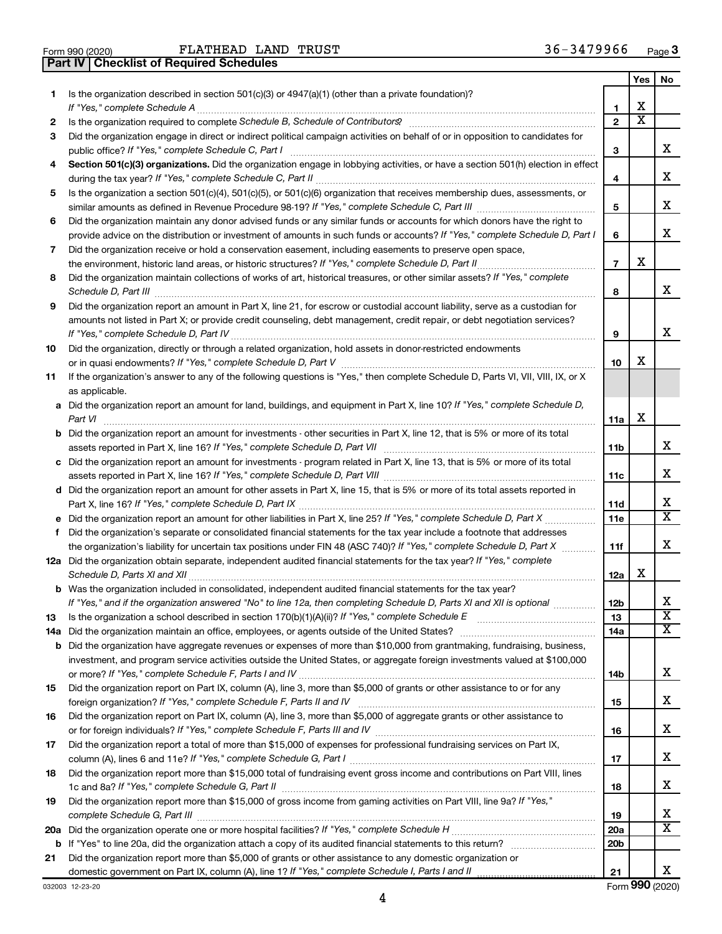|  | Form 990 (2020) |  |
|--|-----------------|--|

Form 990 (2020) Page FLATHEAD LAND TRUST 36-3479966 **Part IV Checklist of Required Schedules**

|    | Part IV   Checklist of Required Schedules                                                                                             |                 |                         |                         |
|----|---------------------------------------------------------------------------------------------------------------------------------------|-----------------|-------------------------|-------------------------|
|    |                                                                                                                                       |                 | <b>Yes</b>              | No.                     |
| 1. | Is the organization described in section 501(c)(3) or 4947(a)(1) (other than a private foundation)?                                   |                 |                         |                         |
|    |                                                                                                                                       | 1               | х                       |                         |
| 2  |                                                                                                                                       | $\mathbf{2}$    | $\overline{\textbf{x}}$ |                         |
| 3  | Did the organization engage in direct or indirect political campaign activities on behalf of or in opposition to candidates for       |                 |                         |                         |
|    |                                                                                                                                       | 3               |                         | x                       |
| 4  | Section 501(c)(3) organizations. Did the organization engage in lobbying activities, or have a section 501(h) election in effect      |                 |                         |                         |
|    |                                                                                                                                       | 4               |                         | х                       |
| 5  | Is the organization a section 501(c)(4), 501(c)(5), or 501(c)(6) organization that receives membership dues, assessments, or          |                 |                         |                         |
|    |                                                                                                                                       | 5               |                         | х                       |
| 6  | Did the organization maintain any donor advised funds or any similar funds or accounts for which donors have the right to             |                 |                         |                         |
|    | provide advice on the distribution or investment of amounts in such funds or accounts? If "Yes," complete Schedule D, Part I          | 6               |                         | x                       |
| 7  | Did the organization receive or hold a conservation easement, including easements to preserve open space,                             |                 |                         |                         |
|    |                                                                                                                                       | $\overline{7}$  | х                       |                         |
| 8  | Did the organization maintain collections of works of art, historical treasures, or other similar assets? If "Yes," complete          |                 |                         |                         |
|    |                                                                                                                                       | 8               |                         | x                       |
| 9  | Did the organization report an amount in Part X, line 21, for escrow or custodial account liability, serve as a custodian for         |                 |                         |                         |
|    | amounts not listed in Part X; or provide credit counseling, debt management, credit repair, or debt negotiation services?             |                 |                         |                         |
|    |                                                                                                                                       | 9               |                         | x                       |
| 10 | Did the organization, directly or through a related organization, hold assets in donor-restricted endowments                          |                 |                         |                         |
|    |                                                                                                                                       | 10              | x                       |                         |
| 11 | If the organization's answer to any of the following questions is "Yes," then complete Schedule D, Parts VI, VII, VIII, IX, or X      |                 |                         |                         |
|    | as applicable.                                                                                                                        |                 |                         |                         |
|    | a Did the organization report an amount for land, buildings, and equipment in Part X, line 10? If "Yes," complete Schedule D,         |                 |                         |                         |
|    | Part VI                                                                                                                               | 11a             | X                       |                         |
|    | <b>b</b> Did the organization report an amount for investments - other securities in Part X, line 12, that is 5% or more of its total |                 |                         |                         |
|    |                                                                                                                                       | 11 <sub>b</sub> |                         | x                       |
|    | c Did the organization report an amount for investments - program related in Part X, line 13, that is 5% or more of its total         |                 |                         |                         |
|    |                                                                                                                                       |                 |                         | х                       |
|    |                                                                                                                                       | 11c             |                         |                         |
|    | d Did the organization report an amount for other assets in Part X, line 15, that is 5% or more of its total assets reported in       |                 |                         | х                       |
|    |                                                                                                                                       | 11d             |                         | $\overline{\text{x}}$   |
|    |                                                                                                                                       | 11e             |                         |                         |
| f  | Did the organization's separate or consolidated financial statements for the tax year include a footnote that addresses               |                 |                         | х                       |
|    | the organization's liability for uncertain tax positions under FIN 48 (ASC 740)? If "Yes," complete Schedule D, Part X                | 11f             |                         |                         |
|    | 12a Did the organization obtain separate, independent audited financial statements for the tax year? If "Yes," complete               |                 | х                       |                         |
|    |                                                                                                                                       | 12a             |                         |                         |
|    | <b>b</b> Was the organization included in consolidated, independent audited financial statements for the tax year?                    |                 |                         | х                       |
|    | If "Yes," and if the organization answered "No" to line 12a, then completing Schedule D, Parts XI and XII is optional                 | 12b             |                         | X                       |
| 13 |                                                                                                                                       | 13              |                         | x                       |
|    |                                                                                                                                       | 14a             |                         |                         |
|    | <b>b</b> Did the organization have aggregate revenues or expenses of more than \$10,000 from grantmaking, fundraising, business,      |                 |                         |                         |
|    | investment, and program service activities outside the United States, or aggregate foreign investments valued at \$100,000            |                 |                         | x                       |
|    |                                                                                                                                       | 14b             |                         |                         |
| 15 | Did the organization report on Part IX, column (A), line 3, more than \$5,000 of grants or other assistance to or for any             |                 |                         | x                       |
|    |                                                                                                                                       | 15              |                         |                         |
| 16 | Did the organization report on Part IX, column (A), line 3, more than \$5,000 of aggregate grants or other assistance to              |                 |                         |                         |
|    |                                                                                                                                       | 16              |                         | x                       |
| 17 | Did the organization report a total of more than \$15,000 of expenses for professional fundraising services on Part IX,               |                 |                         |                         |
|    |                                                                                                                                       | 17              |                         | x                       |
| 18 | Did the organization report more than \$15,000 total of fundraising event gross income and contributions on Part VIII, lines          |                 |                         |                         |
|    |                                                                                                                                       | 18              |                         | x                       |
| 19 | Did the organization report more than \$15,000 of gross income from gaming activities on Part VIII, line 9a? If "Yes,"                |                 |                         |                         |
|    |                                                                                                                                       | 19              |                         | х                       |
|    |                                                                                                                                       | 20a             |                         | $\overline{\mathtt{x}}$ |
|    |                                                                                                                                       | 20 <sub>b</sub> |                         |                         |
| 21 | Did the organization report more than \$5,000 of grants or other assistance to any domestic organization or                           |                 |                         |                         |
|    |                                                                                                                                       | 21              |                         | х                       |

4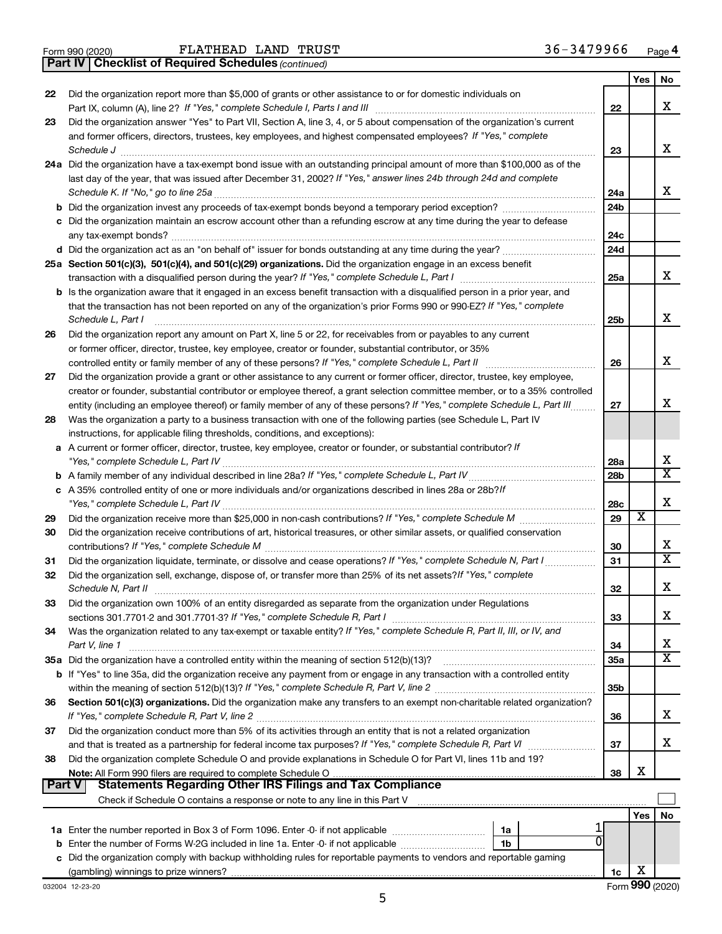|  | Form 990 (2020) |
|--|-----------------|
|  |                 |

Form 990 (2020) Page FLATHEAD LAND TRUST 36-3479966

*(continued)* **Part IV Checklist of Required Schedules**

| Did the organization report more than \$5,000 of grants or other assistance to or for domestic individuals on<br>22<br>x<br>22<br>Did the organization answer "Yes" to Part VII, Section A, line 3, 4, or 5 about compensation of the organization's current<br>23<br>and former officers, directors, trustees, key employees, and highest compensated employees? If "Yes," complete<br>x<br>23<br>24a Did the organization have a tax-exempt bond issue with an outstanding principal amount of more than \$100,000 as of the<br>last day of the year, that was issued after December 31, 2002? If "Yes," answer lines 24b through 24d and complete<br>x<br>24a<br>24 <sub>b</sub><br>c Did the organization maintain an escrow account other than a refunding escrow at any time during the year to defease<br>24c<br>24d<br>25a Section 501(c)(3), 501(c)(4), and 501(c)(29) organizations. Did the organization engage in an excess benefit<br>x<br>25a<br>b Is the organization aware that it engaged in an excess benefit transaction with a disqualified person in a prior year, and<br>that the transaction has not been reported on any of the organization's prior Forms 990 or 990-EZ? If "Yes," complete<br>х<br>Schedule L, Part I<br>25b<br>Did the organization report any amount on Part X, line 5 or 22, for receivables from or payables to any current<br>26<br>or former officer, director, trustee, key employee, creator or founder, substantial contributor, or 35%<br>x<br>26<br>Did the organization provide a grant or other assistance to any current or former officer, director, trustee, key employee,<br>27<br>creator or founder, substantial contributor or employee thereof, a grant selection committee member, or to a 35% controlled<br>x<br>entity (including an employee thereof) or family member of any of these persons? If "Yes," complete Schedule L, Part III<br>27<br>Was the organization a party to a business transaction with one of the following parties (see Schedule L, Part IV<br>28<br>instructions, for applicable filing thresholds, conditions, and exceptions):<br>a A current or former officer, director, trustee, key employee, creator or founder, or substantial contributor? If<br>x<br>28a<br>$\overline{\mathtt{x}}$<br>28b<br>c A 35% controlled entity of one or more individuals and/or organizations described in lines 28a or 28b?If<br>X<br>28c<br>X<br>29<br>29<br>Did the organization receive contributions of art, historical treasures, or other similar assets, or qualified conservation<br>30<br>x<br>30<br>$\overline{\mathtt{x}}$<br>31<br>Did the organization liquidate, terminate, or dissolve and cease operations? If "Yes," complete Schedule N, Part I<br>31<br>Did the organization sell, exchange, dispose of, or transfer more than 25% of its net assets? If "Yes," complete<br>32<br>x<br>Schedule N, Part II<br>32<br>Did the organization own 100% of an entity disregarded as separate from the organization under Regulations<br>33<br>х<br>33<br>Was the organization related to any tax-exempt or taxable entity? If "Yes," complete Schedule R, Part II, III, or IV, and<br>34<br>х<br>Part V, line 1<br>34<br>$\overline{\mathtt{x}}$<br>35a Did the organization have a controlled entity within the meaning of section 512(b)(13)?<br>35a<br><b>b</b> If "Yes" to line 35a, did the organization receive any payment from or engage in any transaction with a controlled entity<br>35b<br>Section 501(c)(3) organizations. Did the organization make any transfers to an exempt non-charitable related organization?<br>36<br>x<br>36<br>Did the organization conduct more than 5% of its activities through an entity that is not a related organization<br>37<br>x<br>37<br>Did the organization complete Schedule O and provide explanations in Schedule O for Part VI, lines 11b and 19?<br>38<br>х<br>38<br><b>Part V</b><br>Statements Regarding Other IRS Filings and Tax Compliance<br>No<br>Yes<br>1a<br><b>b</b> Enter the number of Forms W-2G included in line 1a. Enter -0- if not applicable<br>1b<br>c Did the organization comply with backup withholding rules for reportable payments to vendors and reportable gaming<br>х<br>1c |  | Yes | No |
|---------------------------------------------------------------------------------------------------------------------------------------------------------------------------------------------------------------------------------------------------------------------------------------------------------------------------------------------------------------------------------------------------------------------------------------------------------------------------------------------------------------------------------------------------------------------------------------------------------------------------------------------------------------------------------------------------------------------------------------------------------------------------------------------------------------------------------------------------------------------------------------------------------------------------------------------------------------------------------------------------------------------------------------------------------------------------------------------------------------------------------------------------------------------------------------------------------------------------------------------------------------------------------------------------------------------------------------------------------------------------------------------------------------------------------------------------------------------------------------------------------------------------------------------------------------------------------------------------------------------------------------------------------------------------------------------------------------------------------------------------------------------------------------------------------------------------------------------------------------------------------------------------------------------------------------------------------------------------------------------------------------------------------------------------------------------------------------------------------------------------------------------------------------------------------------------------------------------------------------------------------------------------------------------------------------------------------------------------------------------------------------------------------------------------------------------------------------------------------------------------------------------------------------------------------------------------------------------------------------------------------------------------------------------------------------------------------------------------------------------------------------------------------------------------------------------------------------------------------------------------------------------------------------------------------------------------------------------------------------------------------------------------------------------------------------------------------------------------------------------------------------------------------------------------------------------------------------------------------------------------------------------------------------------------------------------------------------------------------------------------------------------------------------------------------------------------------------------------------------------------------------------------------------------------------------------------------------------------------------------------------------------------------------------------------------------------------------------------------------------------------------------------------------------------------------------------------------------------------------------------------------------------------------------------------------------------------------------------------------------------------------------------------------------------------------------------------------------------------------------------------------------------------------------------------------------------------------------------------------------------------------|--|-----|----|
|                                                                                                                                                                                                                                                                                                                                                                                                                                                                                                                                                                                                                                                                                                                                                                                                                                                                                                                                                                                                                                                                                                                                                                                                                                                                                                                                                                                                                                                                                                                                                                                                                                                                                                                                                                                                                                                                                                                                                                                                                                                                                                                                                                                                                                                                                                                                                                                                                                                                                                                                                                                                                                                                                                                                                                                                                                                                                                                                                                                                                                                                                                                                                                                                                                                                                                                                                                                                                                                                                                                                                                                                                                                                                                                                                                                                                                                                                                                                                                                                                                                                                                                                                                                                                                                               |  |     |    |
|                                                                                                                                                                                                                                                                                                                                                                                                                                                                                                                                                                                                                                                                                                                                                                                                                                                                                                                                                                                                                                                                                                                                                                                                                                                                                                                                                                                                                                                                                                                                                                                                                                                                                                                                                                                                                                                                                                                                                                                                                                                                                                                                                                                                                                                                                                                                                                                                                                                                                                                                                                                                                                                                                                                                                                                                                                                                                                                                                                                                                                                                                                                                                                                                                                                                                                                                                                                                                                                                                                                                                                                                                                                                                                                                                                                                                                                                                                                                                                                                                                                                                                                                                                                                                                                               |  |     |    |
|                                                                                                                                                                                                                                                                                                                                                                                                                                                                                                                                                                                                                                                                                                                                                                                                                                                                                                                                                                                                                                                                                                                                                                                                                                                                                                                                                                                                                                                                                                                                                                                                                                                                                                                                                                                                                                                                                                                                                                                                                                                                                                                                                                                                                                                                                                                                                                                                                                                                                                                                                                                                                                                                                                                                                                                                                                                                                                                                                                                                                                                                                                                                                                                                                                                                                                                                                                                                                                                                                                                                                                                                                                                                                                                                                                                                                                                                                                                                                                                                                                                                                                                                                                                                                                                               |  |     |    |
|                                                                                                                                                                                                                                                                                                                                                                                                                                                                                                                                                                                                                                                                                                                                                                                                                                                                                                                                                                                                                                                                                                                                                                                                                                                                                                                                                                                                                                                                                                                                                                                                                                                                                                                                                                                                                                                                                                                                                                                                                                                                                                                                                                                                                                                                                                                                                                                                                                                                                                                                                                                                                                                                                                                                                                                                                                                                                                                                                                                                                                                                                                                                                                                                                                                                                                                                                                                                                                                                                                                                                                                                                                                                                                                                                                                                                                                                                                                                                                                                                                                                                                                                                                                                                                                               |  |     |    |
|                                                                                                                                                                                                                                                                                                                                                                                                                                                                                                                                                                                                                                                                                                                                                                                                                                                                                                                                                                                                                                                                                                                                                                                                                                                                                                                                                                                                                                                                                                                                                                                                                                                                                                                                                                                                                                                                                                                                                                                                                                                                                                                                                                                                                                                                                                                                                                                                                                                                                                                                                                                                                                                                                                                                                                                                                                                                                                                                                                                                                                                                                                                                                                                                                                                                                                                                                                                                                                                                                                                                                                                                                                                                                                                                                                                                                                                                                                                                                                                                                                                                                                                                                                                                                                                               |  |     |    |
|                                                                                                                                                                                                                                                                                                                                                                                                                                                                                                                                                                                                                                                                                                                                                                                                                                                                                                                                                                                                                                                                                                                                                                                                                                                                                                                                                                                                                                                                                                                                                                                                                                                                                                                                                                                                                                                                                                                                                                                                                                                                                                                                                                                                                                                                                                                                                                                                                                                                                                                                                                                                                                                                                                                                                                                                                                                                                                                                                                                                                                                                                                                                                                                                                                                                                                                                                                                                                                                                                                                                                                                                                                                                                                                                                                                                                                                                                                                                                                                                                                                                                                                                                                                                                                                               |  |     |    |
|                                                                                                                                                                                                                                                                                                                                                                                                                                                                                                                                                                                                                                                                                                                                                                                                                                                                                                                                                                                                                                                                                                                                                                                                                                                                                                                                                                                                                                                                                                                                                                                                                                                                                                                                                                                                                                                                                                                                                                                                                                                                                                                                                                                                                                                                                                                                                                                                                                                                                                                                                                                                                                                                                                                                                                                                                                                                                                                                                                                                                                                                                                                                                                                                                                                                                                                                                                                                                                                                                                                                                                                                                                                                                                                                                                                                                                                                                                                                                                                                                                                                                                                                                                                                                                                               |  |     |    |
|                                                                                                                                                                                                                                                                                                                                                                                                                                                                                                                                                                                                                                                                                                                                                                                                                                                                                                                                                                                                                                                                                                                                                                                                                                                                                                                                                                                                                                                                                                                                                                                                                                                                                                                                                                                                                                                                                                                                                                                                                                                                                                                                                                                                                                                                                                                                                                                                                                                                                                                                                                                                                                                                                                                                                                                                                                                                                                                                                                                                                                                                                                                                                                                                                                                                                                                                                                                                                                                                                                                                                                                                                                                                                                                                                                                                                                                                                                                                                                                                                                                                                                                                                                                                                                                               |  |     |    |
|                                                                                                                                                                                                                                                                                                                                                                                                                                                                                                                                                                                                                                                                                                                                                                                                                                                                                                                                                                                                                                                                                                                                                                                                                                                                                                                                                                                                                                                                                                                                                                                                                                                                                                                                                                                                                                                                                                                                                                                                                                                                                                                                                                                                                                                                                                                                                                                                                                                                                                                                                                                                                                                                                                                                                                                                                                                                                                                                                                                                                                                                                                                                                                                                                                                                                                                                                                                                                                                                                                                                                                                                                                                                                                                                                                                                                                                                                                                                                                                                                                                                                                                                                                                                                                                               |  |     |    |
|                                                                                                                                                                                                                                                                                                                                                                                                                                                                                                                                                                                                                                                                                                                                                                                                                                                                                                                                                                                                                                                                                                                                                                                                                                                                                                                                                                                                                                                                                                                                                                                                                                                                                                                                                                                                                                                                                                                                                                                                                                                                                                                                                                                                                                                                                                                                                                                                                                                                                                                                                                                                                                                                                                                                                                                                                                                                                                                                                                                                                                                                                                                                                                                                                                                                                                                                                                                                                                                                                                                                                                                                                                                                                                                                                                                                                                                                                                                                                                                                                                                                                                                                                                                                                                                               |  |     |    |
|                                                                                                                                                                                                                                                                                                                                                                                                                                                                                                                                                                                                                                                                                                                                                                                                                                                                                                                                                                                                                                                                                                                                                                                                                                                                                                                                                                                                                                                                                                                                                                                                                                                                                                                                                                                                                                                                                                                                                                                                                                                                                                                                                                                                                                                                                                                                                                                                                                                                                                                                                                                                                                                                                                                                                                                                                                                                                                                                                                                                                                                                                                                                                                                                                                                                                                                                                                                                                                                                                                                                                                                                                                                                                                                                                                                                                                                                                                                                                                                                                                                                                                                                                                                                                                                               |  |     |    |
|                                                                                                                                                                                                                                                                                                                                                                                                                                                                                                                                                                                                                                                                                                                                                                                                                                                                                                                                                                                                                                                                                                                                                                                                                                                                                                                                                                                                                                                                                                                                                                                                                                                                                                                                                                                                                                                                                                                                                                                                                                                                                                                                                                                                                                                                                                                                                                                                                                                                                                                                                                                                                                                                                                                                                                                                                                                                                                                                                                                                                                                                                                                                                                                                                                                                                                                                                                                                                                                                                                                                                                                                                                                                                                                                                                                                                                                                                                                                                                                                                                                                                                                                                                                                                                                               |  |     |    |
|                                                                                                                                                                                                                                                                                                                                                                                                                                                                                                                                                                                                                                                                                                                                                                                                                                                                                                                                                                                                                                                                                                                                                                                                                                                                                                                                                                                                                                                                                                                                                                                                                                                                                                                                                                                                                                                                                                                                                                                                                                                                                                                                                                                                                                                                                                                                                                                                                                                                                                                                                                                                                                                                                                                                                                                                                                                                                                                                                                                                                                                                                                                                                                                                                                                                                                                                                                                                                                                                                                                                                                                                                                                                                                                                                                                                                                                                                                                                                                                                                                                                                                                                                                                                                                                               |  |     |    |
|                                                                                                                                                                                                                                                                                                                                                                                                                                                                                                                                                                                                                                                                                                                                                                                                                                                                                                                                                                                                                                                                                                                                                                                                                                                                                                                                                                                                                                                                                                                                                                                                                                                                                                                                                                                                                                                                                                                                                                                                                                                                                                                                                                                                                                                                                                                                                                                                                                                                                                                                                                                                                                                                                                                                                                                                                                                                                                                                                                                                                                                                                                                                                                                                                                                                                                                                                                                                                                                                                                                                                                                                                                                                                                                                                                                                                                                                                                                                                                                                                                                                                                                                                                                                                                                               |  |     |    |
|                                                                                                                                                                                                                                                                                                                                                                                                                                                                                                                                                                                                                                                                                                                                                                                                                                                                                                                                                                                                                                                                                                                                                                                                                                                                                                                                                                                                                                                                                                                                                                                                                                                                                                                                                                                                                                                                                                                                                                                                                                                                                                                                                                                                                                                                                                                                                                                                                                                                                                                                                                                                                                                                                                                                                                                                                                                                                                                                                                                                                                                                                                                                                                                                                                                                                                                                                                                                                                                                                                                                                                                                                                                                                                                                                                                                                                                                                                                                                                                                                                                                                                                                                                                                                                                               |  |     |    |
|                                                                                                                                                                                                                                                                                                                                                                                                                                                                                                                                                                                                                                                                                                                                                                                                                                                                                                                                                                                                                                                                                                                                                                                                                                                                                                                                                                                                                                                                                                                                                                                                                                                                                                                                                                                                                                                                                                                                                                                                                                                                                                                                                                                                                                                                                                                                                                                                                                                                                                                                                                                                                                                                                                                                                                                                                                                                                                                                                                                                                                                                                                                                                                                                                                                                                                                                                                                                                                                                                                                                                                                                                                                                                                                                                                                                                                                                                                                                                                                                                                                                                                                                                                                                                                                               |  |     |    |
|                                                                                                                                                                                                                                                                                                                                                                                                                                                                                                                                                                                                                                                                                                                                                                                                                                                                                                                                                                                                                                                                                                                                                                                                                                                                                                                                                                                                                                                                                                                                                                                                                                                                                                                                                                                                                                                                                                                                                                                                                                                                                                                                                                                                                                                                                                                                                                                                                                                                                                                                                                                                                                                                                                                                                                                                                                                                                                                                                                                                                                                                                                                                                                                                                                                                                                                                                                                                                                                                                                                                                                                                                                                                                                                                                                                                                                                                                                                                                                                                                                                                                                                                                                                                                                                               |  |     |    |
|                                                                                                                                                                                                                                                                                                                                                                                                                                                                                                                                                                                                                                                                                                                                                                                                                                                                                                                                                                                                                                                                                                                                                                                                                                                                                                                                                                                                                                                                                                                                                                                                                                                                                                                                                                                                                                                                                                                                                                                                                                                                                                                                                                                                                                                                                                                                                                                                                                                                                                                                                                                                                                                                                                                                                                                                                                                                                                                                                                                                                                                                                                                                                                                                                                                                                                                                                                                                                                                                                                                                                                                                                                                                                                                                                                                                                                                                                                                                                                                                                                                                                                                                                                                                                                                               |  |     |    |
|                                                                                                                                                                                                                                                                                                                                                                                                                                                                                                                                                                                                                                                                                                                                                                                                                                                                                                                                                                                                                                                                                                                                                                                                                                                                                                                                                                                                                                                                                                                                                                                                                                                                                                                                                                                                                                                                                                                                                                                                                                                                                                                                                                                                                                                                                                                                                                                                                                                                                                                                                                                                                                                                                                                                                                                                                                                                                                                                                                                                                                                                                                                                                                                                                                                                                                                                                                                                                                                                                                                                                                                                                                                                                                                                                                                                                                                                                                                                                                                                                                                                                                                                                                                                                                                               |  |     |    |
|                                                                                                                                                                                                                                                                                                                                                                                                                                                                                                                                                                                                                                                                                                                                                                                                                                                                                                                                                                                                                                                                                                                                                                                                                                                                                                                                                                                                                                                                                                                                                                                                                                                                                                                                                                                                                                                                                                                                                                                                                                                                                                                                                                                                                                                                                                                                                                                                                                                                                                                                                                                                                                                                                                                                                                                                                                                                                                                                                                                                                                                                                                                                                                                                                                                                                                                                                                                                                                                                                                                                                                                                                                                                                                                                                                                                                                                                                                                                                                                                                                                                                                                                                                                                                                                               |  |     |    |
|                                                                                                                                                                                                                                                                                                                                                                                                                                                                                                                                                                                                                                                                                                                                                                                                                                                                                                                                                                                                                                                                                                                                                                                                                                                                                                                                                                                                                                                                                                                                                                                                                                                                                                                                                                                                                                                                                                                                                                                                                                                                                                                                                                                                                                                                                                                                                                                                                                                                                                                                                                                                                                                                                                                                                                                                                                                                                                                                                                                                                                                                                                                                                                                                                                                                                                                                                                                                                                                                                                                                                                                                                                                                                                                                                                                                                                                                                                                                                                                                                                                                                                                                                                                                                                                               |  |     |    |
|                                                                                                                                                                                                                                                                                                                                                                                                                                                                                                                                                                                                                                                                                                                                                                                                                                                                                                                                                                                                                                                                                                                                                                                                                                                                                                                                                                                                                                                                                                                                                                                                                                                                                                                                                                                                                                                                                                                                                                                                                                                                                                                                                                                                                                                                                                                                                                                                                                                                                                                                                                                                                                                                                                                                                                                                                                                                                                                                                                                                                                                                                                                                                                                                                                                                                                                                                                                                                                                                                                                                                                                                                                                                                                                                                                                                                                                                                                                                                                                                                                                                                                                                                                                                                                                               |  |     |    |
|                                                                                                                                                                                                                                                                                                                                                                                                                                                                                                                                                                                                                                                                                                                                                                                                                                                                                                                                                                                                                                                                                                                                                                                                                                                                                                                                                                                                                                                                                                                                                                                                                                                                                                                                                                                                                                                                                                                                                                                                                                                                                                                                                                                                                                                                                                                                                                                                                                                                                                                                                                                                                                                                                                                                                                                                                                                                                                                                                                                                                                                                                                                                                                                                                                                                                                                                                                                                                                                                                                                                                                                                                                                                                                                                                                                                                                                                                                                                                                                                                                                                                                                                                                                                                                                               |  |     |    |
|                                                                                                                                                                                                                                                                                                                                                                                                                                                                                                                                                                                                                                                                                                                                                                                                                                                                                                                                                                                                                                                                                                                                                                                                                                                                                                                                                                                                                                                                                                                                                                                                                                                                                                                                                                                                                                                                                                                                                                                                                                                                                                                                                                                                                                                                                                                                                                                                                                                                                                                                                                                                                                                                                                                                                                                                                                                                                                                                                                                                                                                                                                                                                                                                                                                                                                                                                                                                                                                                                                                                                                                                                                                                                                                                                                                                                                                                                                                                                                                                                                                                                                                                                                                                                                                               |  |     |    |
|                                                                                                                                                                                                                                                                                                                                                                                                                                                                                                                                                                                                                                                                                                                                                                                                                                                                                                                                                                                                                                                                                                                                                                                                                                                                                                                                                                                                                                                                                                                                                                                                                                                                                                                                                                                                                                                                                                                                                                                                                                                                                                                                                                                                                                                                                                                                                                                                                                                                                                                                                                                                                                                                                                                                                                                                                                                                                                                                                                                                                                                                                                                                                                                                                                                                                                                                                                                                                                                                                                                                                                                                                                                                                                                                                                                                                                                                                                                                                                                                                                                                                                                                                                                                                                                               |  |     |    |
|                                                                                                                                                                                                                                                                                                                                                                                                                                                                                                                                                                                                                                                                                                                                                                                                                                                                                                                                                                                                                                                                                                                                                                                                                                                                                                                                                                                                                                                                                                                                                                                                                                                                                                                                                                                                                                                                                                                                                                                                                                                                                                                                                                                                                                                                                                                                                                                                                                                                                                                                                                                                                                                                                                                                                                                                                                                                                                                                                                                                                                                                                                                                                                                                                                                                                                                                                                                                                                                                                                                                                                                                                                                                                                                                                                                                                                                                                                                                                                                                                                                                                                                                                                                                                                                               |  |     |    |
|                                                                                                                                                                                                                                                                                                                                                                                                                                                                                                                                                                                                                                                                                                                                                                                                                                                                                                                                                                                                                                                                                                                                                                                                                                                                                                                                                                                                                                                                                                                                                                                                                                                                                                                                                                                                                                                                                                                                                                                                                                                                                                                                                                                                                                                                                                                                                                                                                                                                                                                                                                                                                                                                                                                                                                                                                                                                                                                                                                                                                                                                                                                                                                                                                                                                                                                                                                                                                                                                                                                                                                                                                                                                                                                                                                                                                                                                                                                                                                                                                                                                                                                                                                                                                                                               |  |     |    |
|                                                                                                                                                                                                                                                                                                                                                                                                                                                                                                                                                                                                                                                                                                                                                                                                                                                                                                                                                                                                                                                                                                                                                                                                                                                                                                                                                                                                                                                                                                                                                                                                                                                                                                                                                                                                                                                                                                                                                                                                                                                                                                                                                                                                                                                                                                                                                                                                                                                                                                                                                                                                                                                                                                                                                                                                                                                                                                                                                                                                                                                                                                                                                                                                                                                                                                                                                                                                                                                                                                                                                                                                                                                                                                                                                                                                                                                                                                                                                                                                                                                                                                                                                                                                                                                               |  |     |    |
|                                                                                                                                                                                                                                                                                                                                                                                                                                                                                                                                                                                                                                                                                                                                                                                                                                                                                                                                                                                                                                                                                                                                                                                                                                                                                                                                                                                                                                                                                                                                                                                                                                                                                                                                                                                                                                                                                                                                                                                                                                                                                                                                                                                                                                                                                                                                                                                                                                                                                                                                                                                                                                                                                                                                                                                                                                                                                                                                                                                                                                                                                                                                                                                                                                                                                                                                                                                                                                                                                                                                                                                                                                                                                                                                                                                                                                                                                                                                                                                                                                                                                                                                                                                                                                                               |  |     |    |
|                                                                                                                                                                                                                                                                                                                                                                                                                                                                                                                                                                                                                                                                                                                                                                                                                                                                                                                                                                                                                                                                                                                                                                                                                                                                                                                                                                                                                                                                                                                                                                                                                                                                                                                                                                                                                                                                                                                                                                                                                                                                                                                                                                                                                                                                                                                                                                                                                                                                                                                                                                                                                                                                                                                                                                                                                                                                                                                                                                                                                                                                                                                                                                                                                                                                                                                                                                                                                                                                                                                                                                                                                                                                                                                                                                                                                                                                                                                                                                                                                                                                                                                                                                                                                                                               |  |     |    |
|                                                                                                                                                                                                                                                                                                                                                                                                                                                                                                                                                                                                                                                                                                                                                                                                                                                                                                                                                                                                                                                                                                                                                                                                                                                                                                                                                                                                                                                                                                                                                                                                                                                                                                                                                                                                                                                                                                                                                                                                                                                                                                                                                                                                                                                                                                                                                                                                                                                                                                                                                                                                                                                                                                                                                                                                                                                                                                                                                                                                                                                                                                                                                                                                                                                                                                                                                                                                                                                                                                                                                                                                                                                                                                                                                                                                                                                                                                                                                                                                                                                                                                                                                                                                                                                               |  |     |    |
|                                                                                                                                                                                                                                                                                                                                                                                                                                                                                                                                                                                                                                                                                                                                                                                                                                                                                                                                                                                                                                                                                                                                                                                                                                                                                                                                                                                                                                                                                                                                                                                                                                                                                                                                                                                                                                                                                                                                                                                                                                                                                                                                                                                                                                                                                                                                                                                                                                                                                                                                                                                                                                                                                                                                                                                                                                                                                                                                                                                                                                                                                                                                                                                                                                                                                                                                                                                                                                                                                                                                                                                                                                                                                                                                                                                                                                                                                                                                                                                                                                                                                                                                                                                                                                                               |  |     |    |
|                                                                                                                                                                                                                                                                                                                                                                                                                                                                                                                                                                                                                                                                                                                                                                                                                                                                                                                                                                                                                                                                                                                                                                                                                                                                                                                                                                                                                                                                                                                                                                                                                                                                                                                                                                                                                                                                                                                                                                                                                                                                                                                                                                                                                                                                                                                                                                                                                                                                                                                                                                                                                                                                                                                                                                                                                                                                                                                                                                                                                                                                                                                                                                                                                                                                                                                                                                                                                                                                                                                                                                                                                                                                                                                                                                                                                                                                                                                                                                                                                                                                                                                                                                                                                                                               |  |     |    |
|                                                                                                                                                                                                                                                                                                                                                                                                                                                                                                                                                                                                                                                                                                                                                                                                                                                                                                                                                                                                                                                                                                                                                                                                                                                                                                                                                                                                                                                                                                                                                                                                                                                                                                                                                                                                                                                                                                                                                                                                                                                                                                                                                                                                                                                                                                                                                                                                                                                                                                                                                                                                                                                                                                                                                                                                                                                                                                                                                                                                                                                                                                                                                                                                                                                                                                                                                                                                                                                                                                                                                                                                                                                                                                                                                                                                                                                                                                                                                                                                                                                                                                                                                                                                                                                               |  |     |    |
|                                                                                                                                                                                                                                                                                                                                                                                                                                                                                                                                                                                                                                                                                                                                                                                                                                                                                                                                                                                                                                                                                                                                                                                                                                                                                                                                                                                                                                                                                                                                                                                                                                                                                                                                                                                                                                                                                                                                                                                                                                                                                                                                                                                                                                                                                                                                                                                                                                                                                                                                                                                                                                                                                                                                                                                                                                                                                                                                                                                                                                                                                                                                                                                                                                                                                                                                                                                                                                                                                                                                                                                                                                                                                                                                                                                                                                                                                                                                                                                                                                                                                                                                                                                                                                                               |  |     |    |
|                                                                                                                                                                                                                                                                                                                                                                                                                                                                                                                                                                                                                                                                                                                                                                                                                                                                                                                                                                                                                                                                                                                                                                                                                                                                                                                                                                                                                                                                                                                                                                                                                                                                                                                                                                                                                                                                                                                                                                                                                                                                                                                                                                                                                                                                                                                                                                                                                                                                                                                                                                                                                                                                                                                                                                                                                                                                                                                                                                                                                                                                                                                                                                                                                                                                                                                                                                                                                                                                                                                                                                                                                                                                                                                                                                                                                                                                                                                                                                                                                                                                                                                                                                                                                                                               |  |     |    |
|                                                                                                                                                                                                                                                                                                                                                                                                                                                                                                                                                                                                                                                                                                                                                                                                                                                                                                                                                                                                                                                                                                                                                                                                                                                                                                                                                                                                                                                                                                                                                                                                                                                                                                                                                                                                                                                                                                                                                                                                                                                                                                                                                                                                                                                                                                                                                                                                                                                                                                                                                                                                                                                                                                                                                                                                                                                                                                                                                                                                                                                                                                                                                                                                                                                                                                                                                                                                                                                                                                                                                                                                                                                                                                                                                                                                                                                                                                                                                                                                                                                                                                                                                                                                                                                               |  |     |    |
|                                                                                                                                                                                                                                                                                                                                                                                                                                                                                                                                                                                                                                                                                                                                                                                                                                                                                                                                                                                                                                                                                                                                                                                                                                                                                                                                                                                                                                                                                                                                                                                                                                                                                                                                                                                                                                                                                                                                                                                                                                                                                                                                                                                                                                                                                                                                                                                                                                                                                                                                                                                                                                                                                                                                                                                                                                                                                                                                                                                                                                                                                                                                                                                                                                                                                                                                                                                                                                                                                                                                                                                                                                                                                                                                                                                                                                                                                                                                                                                                                                                                                                                                                                                                                                                               |  |     |    |
|                                                                                                                                                                                                                                                                                                                                                                                                                                                                                                                                                                                                                                                                                                                                                                                                                                                                                                                                                                                                                                                                                                                                                                                                                                                                                                                                                                                                                                                                                                                                                                                                                                                                                                                                                                                                                                                                                                                                                                                                                                                                                                                                                                                                                                                                                                                                                                                                                                                                                                                                                                                                                                                                                                                                                                                                                                                                                                                                                                                                                                                                                                                                                                                                                                                                                                                                                                                                                                                                                                                                                                                                                                                                                                                                                                                                                                                                                                                                                                                                                                                                                                                                                                                                                                                               |  |     |    |
|                                                                                                                                                                                                                                                                                                                                                                                                                                                                                                                                                                                                                                                                                                                                                                                                                                                                                                                                                                                                                                                                                                                                                                                                                                                                                                                                                                                                                                                                                                                                                                                                                                                                                                                                                                                                                                                                                                                                                                                                                                                                                                                                                                                                                                                                                                                                                                                                                                                                                                                                                                                                                                                                                                                                                                                                                                                                                                                                                                                                                                                                                                                                                                                                                                                                                                                                                                                                                                                                                                                                                                                                                                                                                                                                                                                                                                                                                                                                                                                                                                                                                                                                                                                                                                                               |  |     |    |
|                                                                                                                                                                                                                                                                                                                                                                                                                                                                                                                                                                                                                                                                                                                                                                                                                                                                                                                                                                                                                                                                                                                                                                                                                                                                                                                                                                                                                                                                                                                                                                                                                                                                                                                                                                                                                                                                                                                                                                                                                                                                                                                                                                                                                                                                                                                                                                                                                                                                                                                                                                                                                                                                                                                                                                                                                                                                                                                                                                                                                                                                                                                                                                                                                                                                                                                                                                                                                                                                                                                                                                                                                                                                                                                                                                                                                                                                                                                                                                                                                                                                                                                                                                                                                                                               |  |     |    |
|                                                                                                                                                                                                                                                                                                                                                                                                                                                                                                                                                                                                                                                                                                                                                                                                                                                                                                                                                                                                                                                                                                                                                                                                                                                                                                                                                                                                                                                                                                                                                                                                                                                                                                                                                                                                                                                                                                                                                                                                                                                                                                                                                                                                                                                                                                                                                                                                                                                                                                                                                                                                                                                                                                                                                                                                                                                                                                                                                                                                                                                                                                                                                                                                                                                                                                                                                                                                                                                                                                                                                                                                                                                                                                                                                                                                                                                                                                                                                                                                                                                                                                                                                                                                                                                               |  |     |    |
|                                                                                                                                                                                                                                                                                                                                                                                                                                                                                                                                                                                                                                                                                                                                                                                                                                                                                                                                                                                                                                                                                                                                                                                                                                                                                                                                                                                                                                                                                                                                                                                                                                                                                                                                                                                                                                                                                                                                                                                                                                                                                                                                                                                                                                                                                                                                                                                                                                                                                                                                                                                                                                                                                                                                                                                                                                                                                                                                                                                                                                                                                                                                                                                                                                                                                                                                                                                                                                                                                                                                                                                                                                                                                                                                                                                                                                                                                                                                                                                                                                                                                                                                                                                                                                                               |  |     |    |
|                                                                                                                                                                                                                                                                                                                                                                                                                                                                                                                                                                                                                                                                                                                                                                                                                                                                                                                                                                                                                                                                                                                                                                                                                                                                                                                                                                                                                                                                                                                                                                                                                                                                                                                                                                                                                                                                                                                                                                                                                                                                                                                                                                                                                                                                                                                                                                                                                                                                                                                                                                                                                                                                                                                                                                                                                                                                                                                                                                                                                                                                                                                                                                                                                                                                                                                                                                                                                                                                                                                                                                                                                                                                                                                                                                                                                                                                                                                                                                                                                                                                                                                                                                                                                                                               |  |     |    |
|                                                                                                                                                                                                                                                                                                                                                                                                                                                                                                                                                                                                                                                                                                                                                                                                                                                                                                                                                                                                                                                                                                                                                                                                                                                                                                                                                                                                                                                                                                                                                                                                                                                                                                                                                                                                                                                                                                                                                                                                                                                                                                                                                                                                                                                                                                                                                                                                                                                                                                                                                                                                                                                                                                                                                                                                                                                                                                                                                                                                                                                                                                                                                                                                                                                                                                                                                                                                                                                                                                                                                                                                                                                                                                                                                                                                                                                                                                                                                                                                                                                                                                                                                                                                                                                               |  |     |    |
|                                                                                                                                                                                                                                                                                                                                                                                                                                                                                                                                                                                                                                                                                                                                                                                                                                                                                                                                                                                                                                                                                                                                                                                                                                                                                                                                                                                                                                                                                                                                                                                                                                                                                                                                                                                                                                                                                                                                                                                                                                                                                                                                                                                                                                                                                                                                                                                                                                                                                                                                                                                                                                                                                                                                                                                                                                                                                                                                                                                                                                                                                                                                                                                                                                                                                                                                                                                                                                                                                                                                                                                                                                                                                                                                                                                                                                                                                                                                                                                                                                                                                                                                                                                                                                                               |  |     |    |
|                                                                                                                                                                                                                                                                                                                                                                                                                                                                                                                                                                                                                                                                                                                                                                                                                                                                                                                                                                                                                                                                                                                                                                                                                                                                                                                                                                                                                                                                                                                                                                                                                                                                                                                                                                                                                                                                                                                                                                                                                                                                                                                                                                                                                                                                                                                                                                                                                                                                                                                                                                                                                                                                                                                                                                                                                                                                                                                                                                                                                                                                                                                                                                                                                                                                                                                                                                                                                                                                                                                                                                                                                                                                                                                                                                                                                                                                                                                                                                                                                                                                                                                                                                                                                                                               |  |     |    |
|                                                                                                                                                                                                                                                                                                                                                                                                                                                                                                                                                                                                                                                                                                                                                                                                                                                                                                                                                                                                                                                                                                                                                                                                                                                                                                                                                                                                                                                                                                                                                                                                                                                                                                                                                                                                                                                                                                                                                                                                                                                                                                                                                                                                                                                                                                                                                                                                                                                                                                                                                                                                                                                                                                                                                                                                                                                                                                                                                                                                                                                                                                                                                                                                                                                                                                                                                                                                                                                                                                                                                                                                                                                                                                                                                                                                                                                                                                                                                                                                                                                                                                                                                                                                                                                               |  |     |    |
|                                                                                                                                                                                                                                                                                                                                                                                                                                                                                                                                                                                                                                                                                                                                                                                                                                                                                                                                                                                                                                                                                                                                                                                                                                                                                                                                                                                                                                                                                                                                                                                                                                                                                                                                                                                                                                                                                                                                                                                                                                                                                                                                                                                                                                                                                                                                                                                                                                                                                                                                                                                                                                                                                                                                                                                                                                                                                                                                                                                                                                                                                                                                                                                                                                                                                                                                                                                                                                                                                                                                                                                                                                                                                                                                                                                                                                                                                                                                                                                                                                                                                                                                                                                                                                                               |  |     |    |
|                                                                                                                                                                                                                                                                                                                                                                                                                                                                                                                                                                                                                                                                                                                                                                                                                                                                                                                                                                                                                                                                                                                                                                                                                                                                                                                                                                                                                                                                                                                                                                                                                                                                                                                                                                                                                                                                                                                                                                                                                                                                                                                                                                                                                                                                                                                                                                                                                                                                                                                                                                                                                                                                                                                                                                                                                                                                                                                                                                                                                                                                                                                                                                                                                                                                                                                                                                                                                                                                                                                                                                                                                                                                                                                                                                                                                                                                                                                                                                                                                                                                                                                                                                                                                                                               |  |     |    |
|                                                                                                                                                                                                                                                                                                                                                                                                                                                                                                                                                                                                                                                                                                                                                                                                                                                                                                                                                                                                                                                                                                                                                                                                                                                                                                                                                                                                                                                                                                                                                                                                                                                                                                                                                                                                                                                                                                                                                                                                                                                                                                                                                                                                                                                                                                                                                                                                                                                                                                                                                                                                                                                                                                                                                                                                                                                                                                                                                                                                                                                                                                                                                                                                                                                                                                                                                                                                                                                                                                                                                                                                                                                                                                                                                                                                                                                                                                                                                                                                                                                                                                                                                                                                                                                               |  |     |    |
|                                                                                                                                                                                                                                                                                                                                                                                                                                                                                                                                                                                                                                                                                                                                                                                                                                                                                                                                                                                                                                                                                                                                                                                                                                                                                                                                                                                                                                                                                                                                                                                                                                                                                                                                                                                                                                                                                                                                                                                                                                                                                                                                                                                                                                                                                                                                                                                                                                                                                                                                                                                                                                                                                                                                                                                                                                                                                                                                                                                                                                                                                                                                                                                                                                                                                                                                                                                                                                                                                                                                                                                                                                                                                                                                                                                                                                                                                                                                                                                                                                                                                                                                                                                                                                                               |  |     |    |
|                                                                                                                                                                                                                                                                                                                                                                                                                                                                                                                                                                                                                                                                                                                                                                                                                                                                                                                                                                                                                                                                                                                                                                                                                                                                                                                                                                                                                                                                                                                                                                                                                                                                                                                                                                                                                                                                                                                                                                                                                                                                                                                                                                                                                                                                                                                                                                                                                                                                                                                                                                                                                                                                                                                                                                                                                                                                                                                                                                                                                                                                                                                                                                                                                                                                                                                                                                                                                                                                                                                                                                                                                                                                                                                                                                                                                                                                                                                                                                                                                                                                                                                                                                                                                                                               |  |     |    |
|                                                                                                                                                                                                                                                                                                                                                                                                                                                                                                                                                                                                                                                                                                                                                                                                                                                                                                                                                                                                                                                                                                                                                                                                                                                                                                                                                                                                                                                                                                                                                                                                                                                                                                                                                                                                                                                                                                                                                                                                                                                                                                                                                                                                                                                                                                                                                                                                                                                                                                                                                                                                                                                                                                                                                                                                                                                                                                                                                                                                                                                                                                                                                                                                                                                                                                                                                                                                                                                                                                                                                                                                                                                                                                                                                                                                                                                                                                                                                                                                                                                                                                                                                                                                                                                               |  |     |    |
|                                                                                                                                                                                                                                                                                                                                                                                                                                                                                                                                                                                                                                                                                                                                                                                                                                                                                                                                                                                                                                                                                                                                                                                                                                                                                                                                                                                                                                                                                                                                                                                                                                                                                                                                                                                                                                                                                                                                                                                                                                                                                                                                                                                                                                                                                                                                                                                                                                                                                                                                                                                                                                                                                                                                                                                                                                                                                                                                                                                                                                                                                                                                                                                                                                                                                                                                                                                                                                                                                                                                                                                                                                                                                                                                                                                                                                                                                                                                                                                                                                                                                                                                                                                                                                                               |  |     |    |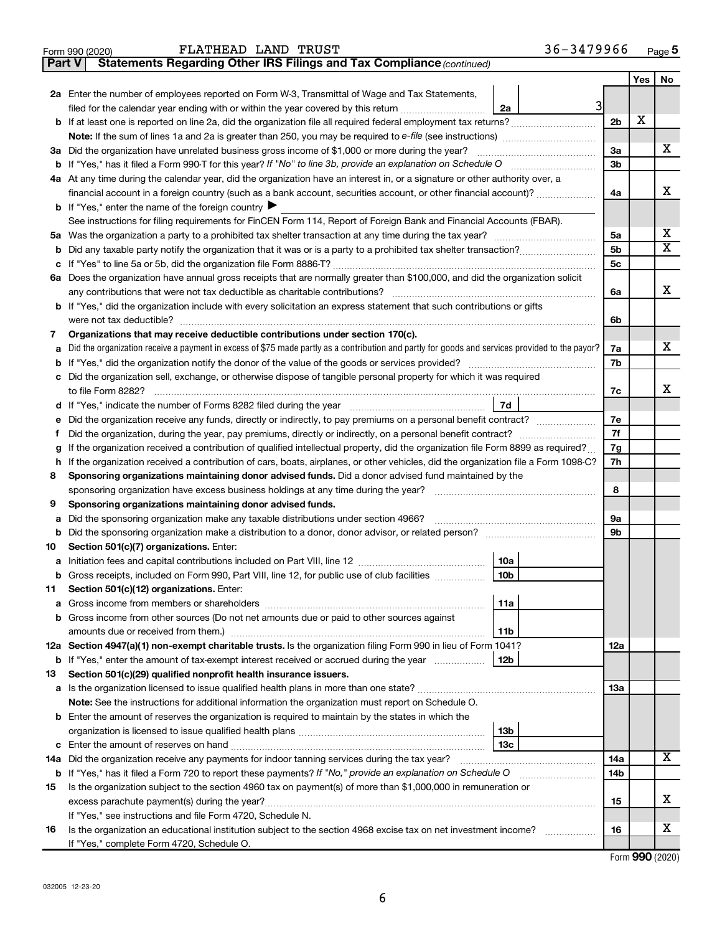| $36 - 3479966$ | Page 5 |
|----------------|--------|
|----------------|--------|

| Form 990 (2020) |  | FLATHEAD LAND | TRUST | 3479966<br>$36 -$ | Page |  |
|-----------------|--|---------------|-------|-------------------|------|--|
|-----------------|--|---------------|-------|-------------------|------|--|

| Part V | Statements Regarding Other IRS Filings and Tax Compliance (continued)                                                                           |                |     |                       |
|--------|-------------------------------------------------------------------------------------------------------------------------------------------------|----------------|-----|-----------------------|
|        |                                                                                                                                                 |                | Yes | No                    |
|        | 2a Enter the number of employees reported on Form W-3, Transmittal of Wage and Tax Statements,                                                  |                |     |                       |
|        | $\overline{\mathsf{3}}$<br>filed for the calendar year ending with or within the year covered by this return<br>2a                              |                |     |                       |
| b      |                                                                                                                                                 | 2 <sub>b</sub> | X   |                       |
|        |                                                                                                                                                 |                |     |                       |
|        | 3a Did the organization have unrelated business gross income of \$1,000 or more during the year?                                                | За             |     | x                     |
| b      |                                                                                                                                                 | 3b             |     |                       |
|        | 4a At any time during the calendar year, did the organization have an interest in, or a signature or other authority over, a                    |                |     |                       |
|        | financial account in a foreign country (such as a bank account, securities account, or other financial account)?                                | 4a             |     | х                     |
| b      | If "Yes," enter the name of the foreign country $\blacktriangleright$                                                                           |                |     |                       |
|        | See instructions for filing requirements for FinCEN Form 114, Report of Foreign Bank and Financial Accounts (FBAR).                             |                |     |                       |
| 5a     |                                                                                                                                                 | 5a             |     | х                     |
| b      |                                                                                                                                                 | 5 <sub>b</sub> |     | $\overline{\text{X}}$ |
| с      |                                                                                                                                                 | 5c             |     |                       |
|        | 6a Does the organization have annual gross receipts that are normally greater than \$100,000, and did the organization solicit                  |                |     |                       |
|        |                                                                                                                                                 | 6a             |     | X                     |
| b      | If "Yes," did the organization include with every solicitation an express statement that such contributions or gifts                            |                |     |                       |
|        | were not tax deductible?                                                                                                                        | 6b             |     |                       |
| 7      | Organizations that may receive deductible contributions under section 170(c).                                                                   |                |     |                       |
| а      | Did the organization receive a payment in excess of \$75 made partly as a contribution and partly for goods and services provided to the payor? | 7a             |     | x                     |
| b      |                                                                                                                                                 | 7b             |     |                       |
|        | Did the organization sell, exchange, or otherwise dispose of tangible personal property for which it was required                               |                |     | x                     |
|        |                                                                                                                                                 | 7c             |     |                       |
| d      | 7d<br>Did the organization receive any funds, directly or indirectly, to pay premiums on a personal benefit contract?                           | 7е             |     |                       |
| е<br>f |                                                                                                                                                 | 7f             |     |                       |
| g      | If the organization received a contribution of qualified intellectual property, did the organization file Form 8899 as required?                | 7g             |     |                       |
| h      | If the organization received a contribution of cars, boats, airplanes, or other vehicles, did the organization file a Form 1098-C?              | 7h             |     |                       |
| 8      | Sponsoring organizations maintaining donor advised funds. Did a donor advised fund maintained by the                                            |                |     |                       |
|        |                                                                                                                                                 | 8              |     |                       |
| 9      | Sponsoring organizations maintaining donor advised funds.                                                                                       |                |     |                       |
| а      | Did the sponsoring organization make any taxable distributions under section 4966?                                                              | <b>9a</b>      |     |                       |
| b      | Did the sponsoring organization make a distribution to a donor, donor advisor, or related person?                                               | 9 <sub>b</sub> |     |                       |
| 10     | Section 501(c)(7) organizations. Enter:                                                                                                         |                |     |                       |
| а      | 10a                                                                                                                                             |                |     |                       |
|        | 10 <sub>b</sub><br>Gross receipts, included on Form 990, Part VIII, line 12, for public use of club facilities                                  |                |     |                       |
| 11     | Section 501(c)(12) organizations. Enter:                                                                                                        |                |     |                       |
| а      | 11a                                                                                                                                             |                |     |                       |
| b      | Gross income from other sources (Do not net amounts due or paid to other sources against                                                        |                |     |                       |
|        | amounts due or received from them.)<br>11 <sub>b</sub>                                                                                          |                |     |                       |
|        | 12a Section 4947(a)(1) non-exempt charitable trusts. Is the organization filing Form 990 in lieu of Form 1041?                                  | 12a            |     |                       |
|        | 12b<br><b>b</b> If "Yes," enter the amount of tax-exempt interest received or accrued during the year                                           |                |     |                       |
| 13     | Section 501(c)(29) qualified nonprofit health insurance issuers.                                                                                |                |     |                       |
|        | <b>a</b> Is the organization licensed to issue qualified health plans in more than one state?                                                   | 13a            |     |                       |
|        | Note: See the instructions for additional information the organization must report on Schedule O.                                               |                |     |                       |
| b      | Enter the amount of reserves the organization is required to maintain by the states in which the                                                |                |     |                       |
|        | 13b                                                                                                                                             |                |     |                       |
| с      | 13c<br>Did the organization receive any payments for indoor tanning services during the tax year?                                               | 14a            |     | x                     |
| 14a    | <b>b</b> If "Yes," has it filed a Form 720 to report these payments? If "No," provide an explanation on Schedule O                              | 14b            |     |                       |
| 15     | Is the organization subject to the section 4960 tax on payment(s) of more than \$1,000,000 in remuneration or                                   |                |     |                       |
|        | excess parachute payment(s) during the year?                                                                                                    | 15             |     | x                     |
|        | If "Yes," see instructions and file Form 4720, Schedule N.                                                                                      |                |     |                       |
| 16     | Is the organization an educational institution subject to the section 4968 excise tax on net investment income?                                 | 16             |     | x                     |
|        | If "Yes," complete Form 4720, Schedule O.                                                                                                       |                |     |                       |

Form (2020) **990**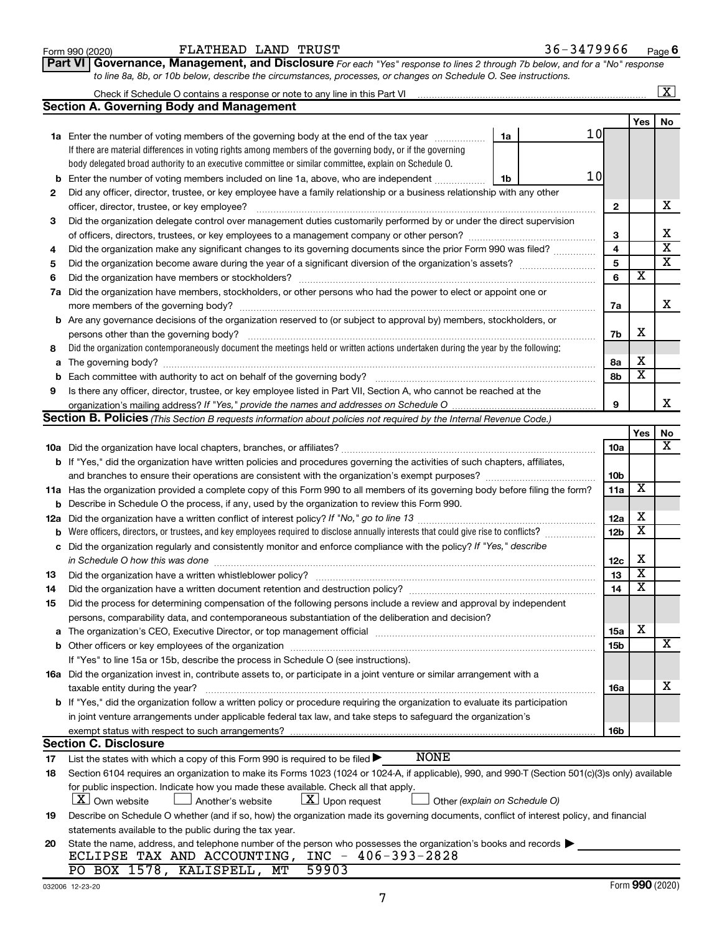| Form 990 (2020 |  |
|----------------|--|
|----------------|--|

### Form 990 (2020) Page FLATHEAD LAND TRUST 36-3479966

**Part VI** Governance, Management, and Disclosure For each "Yes" response to lines 2 through 7b below, and for a "No" response *to line 8a, 8b, or 10b below, describe the circumstances, processes, or changes on Schedule O. See instructions.*

|     |                                                                                                                                                  |                         |                         | $\overline{\text{X}}$   |
|-----|--------------------------------------------------------------------------------------------------------------------------------------------------|-------------------------|-------------------------|-------------------------|
|     | <b>Section A. Governing Body and Management</b>                                                                                                  |                         |                         |                         |
|     |                                                                                                                                                  |                         | Yes                     | No                      |
|     | 10<br><b>1a</b> Enter the number of voting members of the governing body at the end of the tax year<br>1a                                        |                         |                         |                         |
|     | If there are material differences in voting rights among members of the governing body, or if the governing                                      |                         |                         |                         |
|     | body delegated broad authority to an executive committee or similar committee, explain on Schedule O.                                            |                         |                         |                         |
| b   | 10<br>Enter the number of voting members included on line 1a, above, who are independent<br>1b                                                   |                         |                         |                         |
| 2   | Did any officer, director, trustee, or key employee have a family relationship or a business relationship with any other                         |                         |                         |                         |
|     | officer, director, trustee, or key employee?                                                                                                     | $\mathbf{2}$            |                         | х                       |
| 3   | Did the organization delegate control over management duties customarily performed by or under the direct supervision                            |                         |                         |                         |
|     |                                                                                                                                                  | 3                       |                         | х                       |
| 4   | Did the organization make any significant changes to its governing documents since the prior Form 990 was filed?                                 | $\overline{\mathbf{4}}$ |                         | $\overline{\mathbf{x}}$ |
| 5   |                                                                                                                                                  | 5                       |                         | X                       |
| 6   | Did the organization have members or stockholders?                                                                                               | 6                       | $\overline{\textbf{x}}$ |                         |
| 7а  | Did the organization have members, stockholders, or other persons who had the power to elect or appoint one or                                   |                         |                         |                         |
|     |                                                                                                                                                  | 7a                      |                         | х                       |
|     | <b>b</b> Are any governance decisions of the organization reserved to (or subject to approval by) members, stockholders, or                      |                         |                         |                         |
|     | persons other than the governing body?                                                                                                           | 7b                      | X                       |                         |
| 8   | Did the organization contemporaneously document the meetings held or written actions undertaken during the year by the following:                |                         |                         |                         |
| a   |                                                                                                                                                  | 8а                      | X                       |                         |
| b   |                                                                                                                                                  | 8b                      | $\overline{\textbf{x}}$ |                         |
| 9   | Is there any officer, director, trustee, or key employee listed in Part VII, Section A, who cannot be reached at the                             |                         |                         |                         |
|     |                                                                                                                                                  | 9                       |                         | x                       |
|     | <b>Section B. Policies</b> (This Section B requests information about policies not required by the Internal Revenue Code.)                       |                         |                         |                         |
|     |                                                                                                                                                  |                         | Yes                     | No                      |
|     |                                                                                                                                                  | 10a                     |                         | x                       |
|     | <b>b</b> If "Yes," did the organization have written policies and procedures governing the activities of such chapters, affiliates,              |                         |                         |                         |
|     |                                                                                                                                                  | 10 <sub>b</sub>         |                         |                         |
|     | 11a Has the organization provided a complete copy of this Form 990 to all members of its governing body before filing the form?                  | 11a                     | X                       |                         |
| b   | Describe in Schedule O the process, if any, used by the organization to review this Form 990.                                                    |                         |                         |                         |
| 12a | Did the organization have a written conflict of interest policy? If "No," go to line 13                                                          | 12a                     | х                       |                         |
| b   | Were officers, directors, or trustees, and key employees required to disclose annually interests that could give rise to conflicts?              | 12 <sub>b</sub>         | $\overline{\textbf{x}}$ |                         |
| с   | Did the organization regularly and consistently monitor and enforce compliance with the policy? If "Yes," describe                               |                         |                         |                         |
|     | in Schedule O how this was done                                                                                                                  | 12c                     | X                       |                         |
| 13  | Did the organization have a written whistleblower policy?                                                                                        | 13                      | $\overline{\textbf{x}}$ |                         |
| 14  |                                                                                                                                                  | 14                      | $\overline{\mathbf{X}}$ |                         |
| 15  | Did the process for determining compensation of the following persons include a review and approval by independent                               |                         |                         |                         |
|     | persons, comparability data, and contemporaneous substantiation of the deliberation and decision?                                                |                         |                         |                         |
| a   |                                                                                                                                                  | <b>15a</b>              | х                       |                         |
|     |                                                                                                                                                  | 15b                     |                         | х                       |
|     | If "Yes" to line 15a or 15b, describe the process in Schedule O (see instructions).                                                              |                         |                         |                         |
|     | 16a Did the organization invest in, contribute assets to, or participate in a joint venture or similar arrangement with a                        |                         |                         |                         |
|     | taxable entity during the year?                                                                                                                  | 16a                     |                         | х                       |
|     | b If "Yes," did the organization follow a written policy or procedure requiring the organization to evaluate its participation                   |                         |                         |                         |
|     | in joint venture arrangements under applicable federal tax law, and take steps to safeguard the organization's                                   |                         |                         |                         |
|     | exempt status with respect to such arrangements?                                                                                                 | 16b                     |                         |                         |
|     | <b>Section C. Disclosure</b>                                                                                                                     |                         |                         |                         |
| 17  | <b>NONE</b><br>List the states with which a copy of this Form 990 is required to be filed >                                                      |                         |                         |                         |
| 18  | Section 6104 requires an organization to make its Forms 1023 (1024 or 1024-A, if applicable), 990, and 990-T (Section 501(c)(3)s only) available |                         |                         |                         |
|     | for public inspection. Indicate how you made these available. Check all that apply.                                                              |                         |                         |                         |
|     | $ \mathbf{X} $ Own website<br>$\lfloor x \rfloor$ Upon request<br>Another's website<br>Other (explain on Schedule O)                             |                         |                         |                         |
| 19  | Describe on Schedule O whether (and if so, how) the organization made its governing documents, conflict of interest policy, and financial        |                         |                         |                         |
|     | statements available to the public during the tax year.                                                                                          |                         |                         |                         |
| 20  | State the name, address, and telephone number of the person who possesses the organization's books and records                                   |                         |                         |                         |
|     | ECLIPSE TAX AND ACCOUNTING, INC - $406-393-2828$                                                                                                 |                         |                         |                         |
|     | 59903<br>PO BOX 1578, KALISPELL, MT                                                                                                              |                         |                         |                         |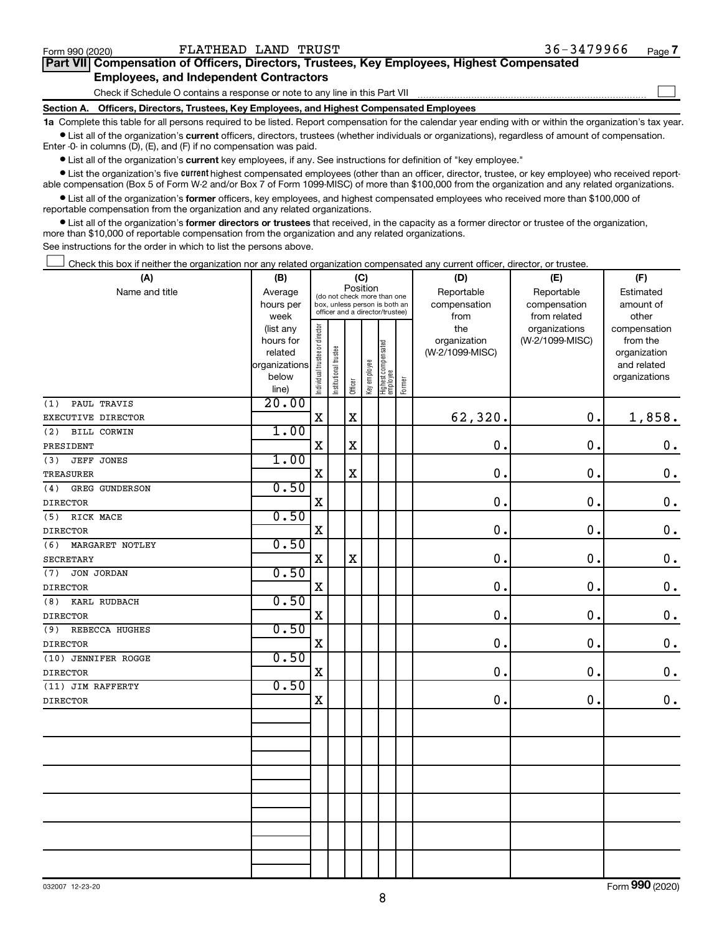Form 990 (2020) Page FLATHEAD LAND TRUST 36-3479966 **Part VII Compensation of Officers, Directors, Trustees, Key Employees, Highest Compensated**

### **Employees, and Independent Contractors**

Check if Schedule O contains a response or note to any line in this Part VII

**Section A. Officers, Directors, Trustees, Key Employees, and Highest Compensated Employees**

**1a**  Complete this table for all persons required to be listed. Report compensation for the calendar year ending with or within the organization's tax year.  $\bullet$  List all of the organization's current officers, directors, trustees (whether individuals or organizations), regardless of amount of compensation.

Enter -0- in columns (D), (E), and (F) if no compensation was paid.

**•** List all of the organization's current key employees, if any. See instructions for definition of "key employee."

• List the organization's five *current* highest compensated employees (other than an officer, director, trustee, or key employee) who received reportable compensation (Box 5 of Form W-2 and/or Box 7 of Form 1099-MISC) of more than \$100,000 from the organization and any related organizations.

 $\bullet$  List all of the organization's former officers, key employees, and highest compensated employees who received more than \$100,000 of reportable compensation from the organization and any related organizations.

**•** List all of the organization's former directors or trustees that received, in the capacity as a former director or trustee of the organization, more than \$10,000 of reportable compensation from the organization and any related organizations.

See instructions for the order in which to list the persons above.

Check this box if neither the organization nor any related organization compensated any current officer, director, or trustee.  $\Box$ 

| (A)                          | (B)                  | (C)                                     |                                 |             |              |                                   |            | (D)                             | (E)             | (F)                      |
|------------------------------|----------------------|-----------------------------------------|---------------------------------|-------------|--------------|-----------------------------------|------------|---------------------------------|-----------------|--------------------------|
| Name and title               | Average              | Position<br>(do not check more than one |                                 |             |              |                                   | Reportable | Reportable                      | Estimated       |                          |
|                              | hours per            |                                         | box, unless person is both an   |             |              |                                   |            | compensation                    | compensation    | amount of                |
|                              | week                 |                                         | officer and a director/trustee) |             |              |                                   |            | from                            | from related    | other                    |
|                              | (list any            |                                         |                                 |             |              |                                   |            | the                             | organizations   | compensation             |
|                              | hours for<br>related |                                         |                                 |             |              |                                   |            | organization<br>(W-2/1099-MISC) | (W-2/1099-MISC) | from the<br>organization |
|                              | organizations        |                                         |                                 |             |              |                                   |            |                                 |                 | and related              |
|                              | below                |                                         |                                 |             |              |                                   |            |                                 |                 | organizations            |
|                              | line)                | Individual trustee or director          | Institutional trustee           | Officer     | Key employee | Highest compensated<br>  employee | Former     |                                 |                 |                          |
| PAUL TRAVIS<br>(1)           | 20.00                |                                         |                                 |             |              |                                   |            |                                 |                 |                          |
| EXECUTIVE DIRECTOR           |                      | $\mathbf X$                             |                                 | $\mathbf X$ |              |                                   |            | 62,320.                         | 0.              | 1,858.                   |
| (2)<br><b>BILL CORWIN</b>    | 1.00                 |                                         |                                 |             |              |                                   |            |                                 |                 |                          |
| PRESIDENT                    |                      | X                                       |                                 | X           |              |                                   |            | 0.                              | 0.              | $\mathbf 0$ .            |
| <b>JEFF JONES</b><br>(3)     | 1.00                 |                                         |                                 |             |              |                                   |            |                                 |                 |                          |
| <b>TREASURER</b>             |                      | X                                       |                                 | $\mathbf X$ |              |                                   |            | 0.                              | 0.              | $0$ .                    |
| <b>GREG GUNDERSON</b><br>(4) | 0.50                 |                                         |                                 |             |              |                                   |            |                                 |                 |                          |
| <b>DIRECTOR</b>              |                      | X                                       |                                 |             |              |                                   |            | 0.                              | 0.              | $\mathbf 0$ .            |
| (5)<br>RICK MACE             | 0.50                 |                                         |                                 |             |              |                                   |            |                                 |                 |                          |
| <b>DIRECTOR</b>              |                      | $\mathbf X$                             |                                 |             |              |                                   |            | 0.                              | 0.              | $\mathbf 0$ .            |
| (6)<br>MARGARET NOTLEY       | 0.50                 |                                         |                                 |             |              |                                   |            |                                 |                 |                          |
| SECRETARY                    |                      | Χ                                       |                                 | $\mathbf X$ |              |                                   |            | 0.                              | 0.              | $\mathbf 0$ .            |
| (7)<br>JON JORDAN            | 0.50                 |                                         |                                 |             |              |                                   |            |                                 |                 |                          |
| <b>DIRECTOR</b>              |                      | $\mathbf X$                             |                                 |             |              |                                   |            | 0.                              | 0.              | $\mathbf 0$ .            |
| KARL RUDBACH<br>(8)          | 0.50                 |                                         |                                 |             |              |                                   |            |                                 |                 |                          |
| <b>DIRECTOR</b>              |                      | X                                       |                                 |             |              |                                   |            | 0.                              | 0.              | $\mathbf 0$ .            |
| REBECCA HUGHES<br>(9)        | 0.50                 |                                         |                                 |             |              |                                   |            |                                 |                 |                          |
| <b>DIRECTOR</b>              |                      | $\mathbf X$                             |                                 |             |              |                                   |            | 0.                              | 0.              | $\boldsymbol{0}$ .       |
| (10) JENNIFER ROGGE          | 0.50                 |                                         |                                 |             |              |                                   |            |                                 |                 |                          |
| <b>DIRECTOR</b>              |                      | $\mathbf X$                             |                                 |             |              |                                   |            | 0.                              | 0.              | $\mathbf 0$ .            |
| (11) JIM RAFFERTY            | 0.50                 |                                         |                                 |             |              |                                   |            |                                 |                 |                          |
| <b>DIRECTOR</b>              |                      | $\mathbf X$                             |                                 |             |              |                                   |            | 0.                              | 0.              | $\mathbf 0$ .            |
|                              |                      |                                         |                                 |             |              |                                   |            |                                 |                 |                          |
|                              |                      |                                         |                                 |             |              |                                   |            |                                 |                 |                          |
|                              |                      |                                         |                                 |             |              |                                   |            |                                 |                 |                          |
|                              |                      |                                         |                                 |             |              |                                   |            |                                 |                 |                          |
|                              |                      |                                         |                                 |             |              |                                   |            |                                 |                 |                          |
|                              |                      |                                         |                                 |             |              |                                   |            |                                 |                 |                          |
|                              |                      |                                         |                                 |             |              |                                   |            |                                 |                 |                          |
|                              |                      |                                         |                                 |             |              |                                   |            |                                 |                 |                          |
|                              |                      |                                         |                                 |             |              |                                   |            |                                 |                 |                          |
|                              |                      |                                         |                                 |             |              |                                   |            |                                 |                 |                          |
|                              |                      |                                         |                                 |             |              |                                   |            |                                 |                 |                          |
|                              |                      |                                         |                                 |             |              |                                   |            |                                 |                 |                          |

8

 $\Box$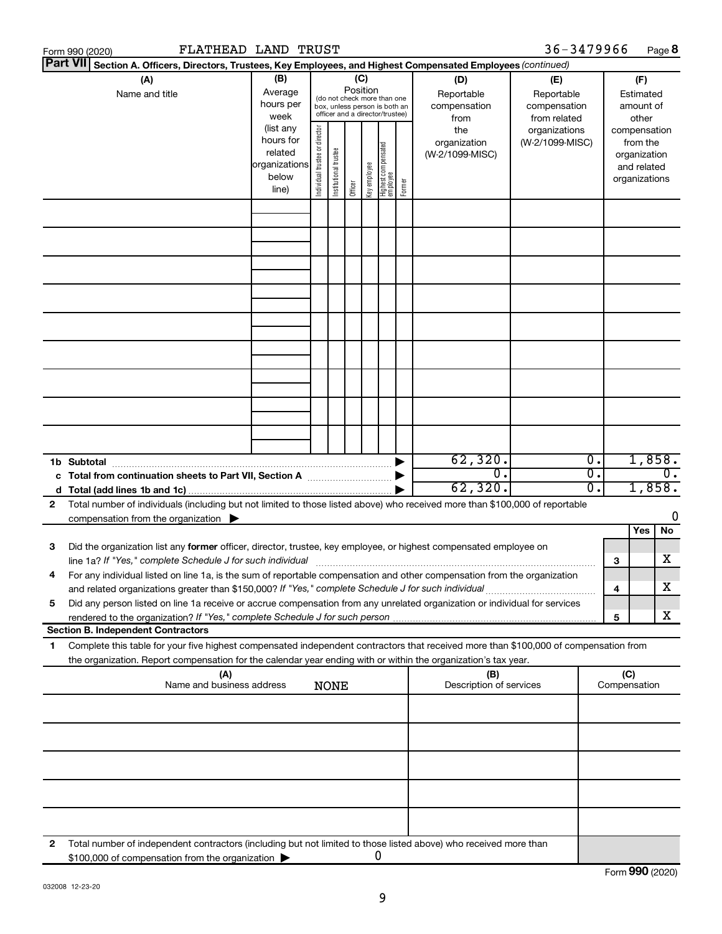|    | FLATHEAD LAND TRUST<br>Form 990 (2020)                                                                                                                                                                                                                 |                                                                      |                                                                                                                    |                       |         |              |                                   |        |                                           | 36-3479966                                        |                                        |                                               |                         | Page 8           |
|----|--------------------------------------------------------------------------------------------------------------------------------------------------------------------------------------------------------------------------------------------------------|----------------------------------------------------------------------|--------------------------------------------------------------------------------------------------------------------|-----------------------|---------|--------------|-----------------------------------|--------|-------------------------------------------|---------------------------------------------------|----------------------------------------|-----------------------------------------------|-------------------------|------------------|
|    | Part VII Section A. Officers, Directors, Trustees, Key Employees, and Highest Compensated Employees (continued)                                                                                                                                        |                                                                      |                                                                                                                    |                       |         |              |                                   |        |                                           |                                                   |                                        |                                               |                         |                  |
|    | (A)<br>Name and title                                                                                                                                                                                                                                  | (B)<br>Average<br>hours per<br>week                                  | (C)<br>Position<br>(do not check more than one<br>box, unless person is both an<br>officer and a director/trustee) |                       |         |              |                                   |        | (D)<br>Reportable<br>compensation<br>from | (E)<br>Reportable<br>compensation<br>from related | (F)<br>Estimated<br>amount of<br>other |                                               |                         |                  |
|    |                                                                                                                                                                                                                                                        | (list any<br>hours for<br>related<br>organizations<br>below<br>line) | Individual trustee or director                                                                                     | Institutional trustee | Officer | Key employee | Highest compensated<br>  employee | Former | the<br>organization<br>(W-2/1099-MISC)    | organizations<br>(W-2/1099-MISC)                  |                                        | compensation<br>organization<br>organizations | from the<br>and related |                  |
|    |                                                                                                                                                                                                                                                        |                                                                      |                                                                                                                    |                       |         |              |                                   |        |                                           |                                                   |                                        |                                               |                         |                  |
|    |                                                                                                                                                                                                                                                        |                                                                      |                                                                                                                    |                       |         |              |                                   |        |                                           |                                                   |                                        |                                               |                         |                  |
|    |                                                                                                                                                                                                                                                        |                                                                      |                                                                                                                    |                       |         |              |                                   |        |                                           |                                                   |                                        |                                               |                         |                  |
|    |                                                                                                                                                                                                                                                        |                                                                      |                                                                                                                    |                       |         |              |                                   |        |                                           |                                                   |                                        |                                               |                         |                  |
|    |                                                                                                                                                                                                                                                        |                                                                      |                                                                                                                    |                       |         |              |                                   |        |                                           |                                                   |                                        |                                               |                         |                  |
|    |                                                                                                                                                                                                                                                        |                                                                      |                                                                                                                    |                       |         |              |                                   |        |                                           |                                                   |                                        |                                               |                         |                  |
|    |                                                                                                                                                                                                                                                        |                                                                      |                                                                                                                    |                       |         |              |                                   |        | 62,320.                                   |                                                   | $\overline{\mathbf{0}}$ .              |                                               | 1,858.                  |                  |
|    | 1b Subtotal<br>c Total from continuation sheets to Part VII, Section A manufactured by                                                                                                                                                                 |                                                                      |                                                                                                                    |                       |         |              |                                   |        | $\overline{0}$ .                          |                                                   | $\overline{0}$ .                       |                                               |                         | $\overline{0}$ . |
|    |                                                                                                                                                                                                                                                        |                                                                      |                                                                                                                    |                       |         |              |                                   |        | 62,320.                                   |                                                   | 0.                                     |                                               | 1,858.                  |                  |
| 2  | Total number of individuals (including but not limited to those listed above) who received more than \$100,000 of reportable<br>compensation from the organization $\blacktriangleright$                                                               |                                                                      |                                                                                                                    |                       |         |              |                                   |        |                                           |                                                   |                                        |                                               |                         | 0                |
|    |                                                                                                                                                                                                                                                        |                                                                      |                                                                                                                    |                       |         |              |                                   |        |                                           |                                                   |                                        |                                               | Yes                     | No               |
| 3  | Did the organization list any former officer, director, trustee, key employee, or highest compensated employee on<br>line 1a? If "Yes," complete Schedule J for such individual [11] manufacture manufacture in the set of the set o                   |                                                                      |                                                                                                                    |                       |         |              |                                   |        |                                           |                                                   |                                        | 3                                             |                         | х                |
|    | For any individual listed on line 1a, is the sum of reportable compensation and other compensation from the organization<br>and related organizations greater than \$150,000? If "Yes," complete Schedule J for such individual                        |                                                                      |                                                                                                                    |                       |         |              |                                   |        |                                           |                                                   |                                        | 4                                             |                         | x                |
| 5  | Did any person listed on line 1a receive or accrue compensation from any unrelated organization or individual for services                                                                                                                             |                                                                      |                                                                                                                    |                       |         |              |                                   |        |                                           |                                                   |                                        | 5                                             |                         | х                |
|    | <b>Section B. Independent Contractors</b>                                                                                                                                                                                                              |                                                                      |                                                                                                                    |                       |         |              |                                   |        |                                           |                                                   |                                        |                                               |                         |                  |
| 1. | Complete this table for your five highest compensated independent contractors that received more than \$100,000 of compensation from<br>the organization. Report compensation for the calendar year ending with or within the organization's tax year. |                                                                      |                                                                                                                    |                       |         |              |                                   |        |                                           |                                                   |                                        |                                               |                         |                  |
|    | (A)<br>Name and business address                                                                                                                                                                                                                       |                                                                      | <b>NONE</b>                                                                                                        |                       |         |              |                                   |        | (B)<br>Description of services            |                                                   |                                        | (C)<br>Compensation                           |                         |                  |
|    |                                                                                                                                                                                                                                                        |                                                                      |                                                                                                                    |                       |         |              |                                   |        |                                           |                                                   |                                        |                                               |                         |                  |
|    |                                                                                                                                                                                                                                                        |                                                                      |                                                                                                                    |                       |         |              |                                   |        |                                           |                                                   |                                        |                                               |                         |                  |
|    |                                                                                                                                                                                                                                                        |                                                                      |                                                                                                                    |                       |         |              |                                   |        |                                           |                                                   |                                        |                                               |                         |                  |
|    |                                                                                                                                                                                                                                                        |                                                                      |                                                                                                                    |                       |         |              |                                   |        |                                           |                                                   |                                        |                                               |                         |                  |
| 2  | Total number of independent contractors (including but not limited to those listed above) who received more than<br>\$100,000 of compensation from the organization                                                                                    |                                                                      |                                                                                                                    |                       |         | 0            |                                   |        |                                           |                                                   |                                        |                                               |                         |                  |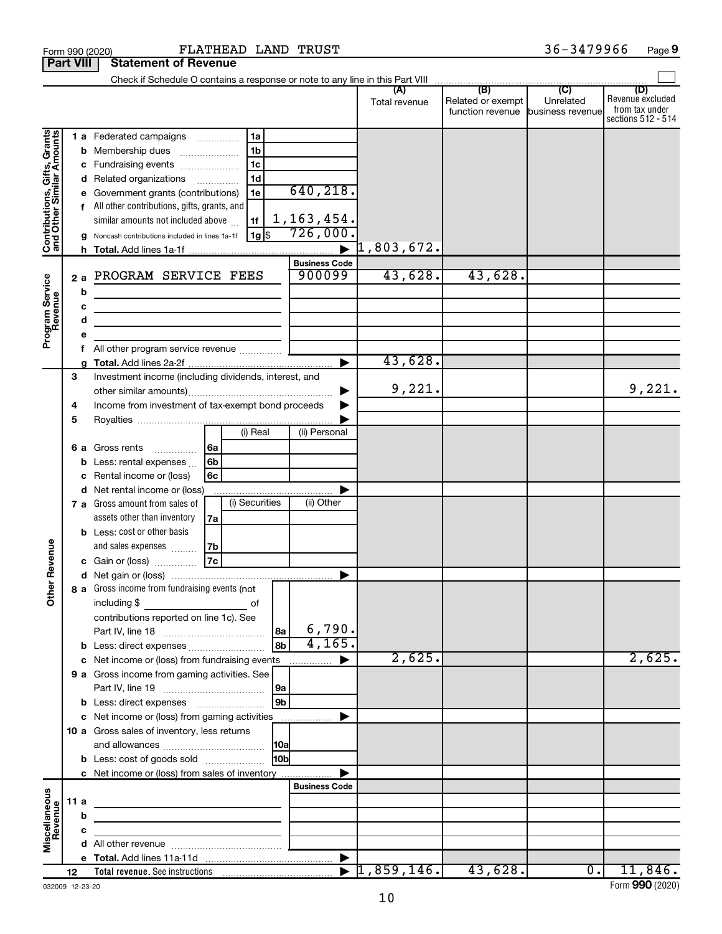|                                                           |                  | FLATHEAD LAND TRUST<br>Form 990 (2020)                                     |                      |                      |                          | 36-3479966       | Page 9                  |
|-----------------------------------------------------------|------------------|----------------------------------------------------------------------------|----------------------|----------------------|--------------------------|------------------|-------------------------|
|                                                           | <b>Part VIII</b> | <b>Statement of Revenue</b>                                                |                      |                      |                          |                  |                         |
|                                                           |                  |                                                                            |                      |                      |                          |                  |                         |
|                                                           |                  |                                                                            |                      | (A)<br>Total revenue | (B)<br>Related or exempt | (C)<br>Unrelated | (D)<br>Revenue excluded |
|                                                           |                  |                                                                            |                      |                      | function revenue         | business revenue | from tax under          |
|                                                           |                  |                                                                            |                      |                      |                          |                  | sections 512 - 514      |
| Contributions, Gifts, Grants<br>and Other Similar Amounts |                  | 1a<br>1 a Federated campaigns                                              |                      |                      |                          |                  |                         |
|                                                           |                  | 1 <sub>b</sub><br><b>b</b> Membership dues<br>$\overline{\phantom{a}}$     |                      |                      |                          |                  |                         |
|                                                           |                  | 1 <sub>c</sub><br>c Fundraising events                                     |                      |                      |                          |                  |                         |
|                                                           |                  | 1 <sub>d</sub><br>d Related organizations                                  |                      |                      |                          |                  |                         |
|                                                           |                  | e Government grants (contributions)<br>1e                                  | 640, 218.            |                      |                          |                  |                         |
|                                                           |                  | f All other contributions, gifts, grants, and                              |                      |                      |                          |                  |                         |
|                                                           |                  | similar amounts not included above<br>1f                                   | 1, 163, 454.         |                      |                          |                  |                         |
|                                                           |                  | 1g  \$<br>g Noncash contributions included in lines 1a-1f                  | 726,000.             |                      |                          |                  |                         |
|                                                           |                  |                                                                            |                      | 1,803,672.           |                          |                  |                         |
|                                                           |                  |                                                                            | <b>Business Code</b> |                      |                          |                  |                         |
|                                                           | 2a               | PROGRAM SERVICE FEES                                                       | 900099               | 43,628.              | 43,628.                  |                  |                         |
|                                                           | b                | the control of the control of the control of the control of the control of |                      |                      |                          |                  |                         |
|                                                           | с                | <u> 1980 - Johann Barbara, martxa alemaniar a</u>                          |                      |                      |                          |                  |                         |
|                                                           | d                | the control of the control of the control of the control of the control of |                      |                      |                          |                  |                         |
| Program Service<br>Revenue                                |                  |                                                                            |                      |                      |                          |                  |                         |
|                                                           |                  |                                                                            |                      | 43,628.              |                          |                  |                         |
|                                                           |                  |                                                                            |                      |                      |                          |                  |                         |
|                                                           | 3                | Investment income (including dividends, interest, and                      |                      | 9,221.               |                          |                  | 9,221.                  |
|                                                           |                  |                                                                            |                      |                      |                          |                  |                         |
|                                                           | 4                | Income from investment of tax-exempt bond proceeds                         |                      |                      |                          |                  |                         |
|                                                           | 5                | (i) Real                                                                   | (ii) Personal        |                      |                          |                  |                         |
|                                                           |                  |                                                                            |                      |                      |                          |                  |                         |
|                                                           | 6а               | l 6a<br>Gross rents<br>.                                                   |                      |                      |                          |                  |                         |
|                                                           | b                | Less: rental expenses<br>6b<br>6c                                          |                      |                      |                          |                  |                         |
|                                                           | c                | Rental income or (loss)<br>d Net rental income or (loss)                   |                      |                      |                          |                  |                         |
|                                                           |                  | (i) Securities<br>7 a Gross amount from sales of                           | (ii) Other           |                      |                          |                  |                         |
|                                                           |                  | assets other than inventory<br>7a                                          |                      |                      |                          |                  |                         |
|                                                           |                  | <b>b</b> Less: cost or other basis                                         |                      |                      |                          |                  |                         |
|                                                           |                  | and sales expenses<br>7b                                                   |                      |                      |                          |                  |                         |
| venue                                                     |                  | 7c<br>c Gain or (loss)                                                     |                      |                      |                          |                  |                         |
|                                                           |                  |                                                                            |                      |                      |                          |                  |                         |
| Other R                                                   |                  | 8 a Gross income from fundraising events (not                              |                      |                      |                          |                  |                         |
|                                                           |                  | $includeing \texttt{\$}$<br>of                                             |                      |                      |                          |                  |                         |
|                                                           |                  | contributions reported on line 1c). See                                    |                      |                      |                          |                  |                         |
|                                                           |                  | 8a                                                                         | 6,790.               |                      |                          |                  |                         |
|                                                           |                  | 8 <sub>b</sub><br>b Less: direct expenses                                  | 4,165.               |                      |                          |                  |                         |
|                                                           |                  | c Net income or (loss) from fundraising events                             |                      | 2,625.               |                          |                  | 2,625.                  |
|                                                           |                  | 9 a Gross income from gaming activities. See                               |                      |                      |                          |                  |                         |
|                                                           |                  | 9a                                                                         |                      |                      |                          |                  |                         |
|                                                           |                  | 9 <sub>b</sub>                                                             |                      |                      |                          |                  |                         |
|                                                           |                  | c Net income or (loss) from gaming activities                              |                      |                      |                          |                  |                         |
|                                                           |                  | 10 a Gross sales of inventory, less returns                                |                      |                      |                          |                  |                         |
|                                                           |                  | 10a                                                                        |                      |                      |                          |                  |                         |
|                                                           |                  | l10bl<br><b>b</b> Less: cost of goods sold                                 |                      |                      |                          |                  |                         |
|                                                           |                  | c Net income or (loss) from sales of inventory                             |                      |                      |                          |                  |                         |
|                                                           |                  |                                                                            | <b>Business Code</b> |                      |                          |                  |                         |
| Miscellaneous<br>Revenue                                  | 11 a             |                                                                            |                      |                      |                          |                  |                         |
|                                                           | b                |                                                                            |                      |                      |                          |                  |                         |
|                                                           | с                |                                                                            |                      |                      |                          |                  |                         |
|                                                           |                  |                                                                            |                      |                      |                          |                  |                         |
|                                                           |                  |                                                                            |                      |                      |                          |                  |                         |
|                                                           | 12               |                                                                            |                      | 1,859,146.           | 43,628.                  | $\overline{0}$ . | 11,846.                 |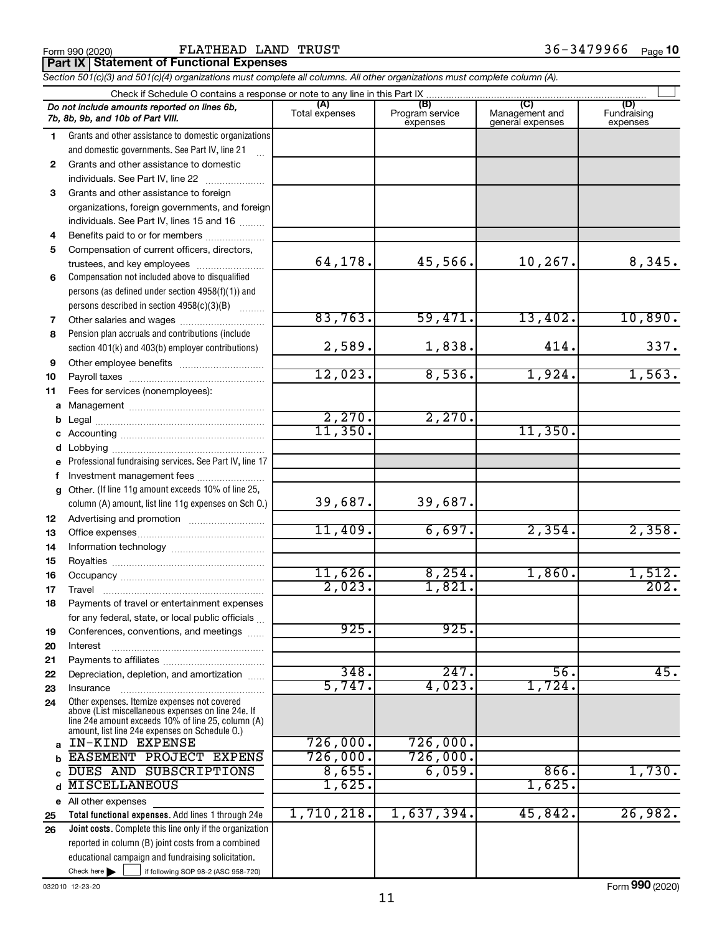Form 990 (2020) Page FLATHEAD LAND TRUST 36-3479966 **Part IX Statement of Functional Expenses**

*Section 501(c)(3) and 501(c)(4) organizations must complete all columns. All other organizations must complete column (A).*

|                | Do not include amounts reported on lines 6b,<br>7b, 8b, 9b, and 10b of Part VIII.                                                                                                                          | (A)<br>Total expenses | (B)<br>Program service<br>expenses | Management and<br>general expenses | (D)<br>Fundraising<br>expenses |
|----------------|------------------------------------------------------------------------------------------------------------------------------------------------------------------------------------------------------------|-----------------------|------------------------------------|------------------------------------|--------------------------------|
| $\blacksquare$ | Grants and other assistance to domestic organizations                                                                                                                                                      |                       |                                    |                                    |                                |
|                | and domestic governments. See Part IV, line 21                                                                                                                                                             |                       |                                    |                                    |                                |
| $\mathbf{2}$   | Grants and other assistance to domestic                                                                                                                                                                    |                       |                                    |                                    |                                |
|                | individuals. See Part IV, line 22                                                                                                                                                                          |                       |                                    |                                    |                                |
| 3              | Grants and other assistance to foreign                                                                                                                                                                     |                       |                                    |                                    |                                |
|                | organizations, foreign governments, and foreign                                                                                                                                                            |                       |                                    |                                    |                                |
|                | individuals. See Part IV, lines 15 and 16                                                                                                                                                                  |                       |                                    |                                    |                                |
| 4              | Benefits paid to or for members                                                                                                                                                                            |                       |                                    |                                    |                                |
| 5              | Compensation of current officers, directors,                                                                                                                                                               |                       |                                    |                                    |                                |
|                | trustees, and key employees                                                                                                                                                                                | 64,178.               | 45,566.                            | 10,267.                            | 8,345.                         |
| 6              | Compensation not included above to disqualified                                                                                                                                                            |                       |                                    |                                    |                                |
|                | persons (as defined under section 4958(f)(1)) and                                                                                                                                                          |                       |                                    |                                    |                                |
|                | persons described in section 4958(c)(3)(B)                                                                                                                                                                 |                       |                                    |                                    |                                |
| 7              |                                                                                                                                                                                                            | 83,763.               | 59,471.                            | 13,402.                            | 10,890.                        |
| 8              | Pension plan accruals and contributions (include                                                                                                                                                           |                       |                                    |                                    |                                |
|                | section 401(k) and 403(b) employer contributions)                                                                                                                                                          | 2,589.                | 1,838.                             | 414.                               | 337.                           |
| 9              |                                                                                                                                                                                                            |                       |                                    |                                    |                                |
| 10             |                                                                                                                                                                                                            | 12,023.               | 8,536.                             | 1,924.                             | 1,563.                         |
| 11             | Fees for services (nonemployees):                                                                                                                                                                          |                       |                                    |                                    |                                |
|                |                                                                                                                                                                                                            | 2,270.                | 2,270.                             |                                    |                                |
| b              |                                                                                                                                                                                                            | 11,350.               |                                    | 11,350.                            |                                |
| с              |                                                                                                                                                                                                            |                       |                                    |                                    |                                |
| d<br>e         | Professional fundraising services. See Part IV, line 17                                                                                                                                                    |                       |                                    |                                    |                                |
| f              | Investment management fees                                                                                                                                                                                 |                       |                                    |                                    |                                |
| a              | Other. (If line 11g amount exceeds 10% of line 25,                                                                                                                                                         |                       |                                    |                                    |                                |
|                | column (A) amount, list line 11g expenses on Sch O.)                                                                                                                                                       | 39,687.               | 39,687.                            |                                    |                                |
| 12             |                                                                                                                                                                                                            |                       |                                    |                                    |                                |
| 13             |                                                                                                                                                                                                            | 11,409.               | 6,697.                             | 2,354.                             | 2,358.                         |
| 14             |                                                                                                                                                                                                            |                       |                                    |                                    |                                |
| 15             |                                                                                                                                                                                                            |                       |                                    |                                    |                                |
| 16             |                                                                                                                                                                                                            | 11,626.               | 8, 254.                            | 1,860.                             | 1,512.                         |
| 17             |                                                                                                                                                                                                            | 2,023.                | 1,821.                             |                                    | 202.                           |
| 18             | Payments of travel or entertainment expenses                                                                                                                                                               |                       |                                    |                                    |                                |
|                | for any federal, state, or local public officials                                                                                                                                                          |                       |                                    |                                    |                                |
| 19             | Conferences, conventions, and meetings                                                                                                                                                                     | 925.                  | 925.                               |                                    |                                |
| 20             | Interest                                                                                                                                                                                                   |                       |                                    |                                    |                                |
| 21             |                                                                                                                                                                                                            |                       |                                    |                                    |                                |
| 22             | Depreciation, depletion, and amortization                                                                                                                                                                  | 348.                  | 247.                               | $\overline{56}$ .                  | 45.                            |
| 23             | Insurance                                                                                                                                                                                                  | 5,747.                | 4,023.                             | 1,724.                             |                                |
| 24             | Other expenses. Itemize expenses not covered<br>above (List miscellaneous expenses on line 24e. If<br>line 24e amount exceeds 10% of line 25, column (A)<br>amount, list line 24e expenses on Schedule O.) |                       |                                    |                                    |                                |
| a              | IN-KIND EXPENSE                                                                                                                                                                                            | 726,000.              | 726,000.                           |                                    |                                |
|                | EASEMENT PROJECT EXPENS                                                                                                                                                                                    | 726,000.              | 726,000.                           |                                    |                                |
|                | DUES AND SUBSCRIPTIONS                                                                                                                                                                                     | 8,655.                | 6,059.                             | 866.                               | 1,730.                         |
| d              | <b>MISCELLANEOUS</b>                                                                                                                                                                                       | 1,625.                |                                    | 1,625.                             |                                |
| е              | All other expenses                                                                                                                                                                                         |                       |                                    |                                    |                                |
| 25             | Total functional expenses. Add lines 1 through 24e                                                                                                                                                         | 1,710,218.            | 1,637,394.                         | 45,842.                            | 26,982.                        |
| 26             | Joint costs. Complete this line only if the organization                                                                                                                                                   |                       |                                    |                                    |                                |
|                | reported in column (B) joint costs from a combined                                                                                                                                                         |                       |                                    |                                    |                                |
|                | educational campaign and fundraising solicitation.                                                                                                                                                         |                       |                                    |                                    |                                |
|                | Check here $\blacktriangleright$<br>if following SOP 98-2 (ASC 958-720)                                                                                                                                    |                       |                                    |                                    |                                |

032010 12-23-20

Form (2020) **990**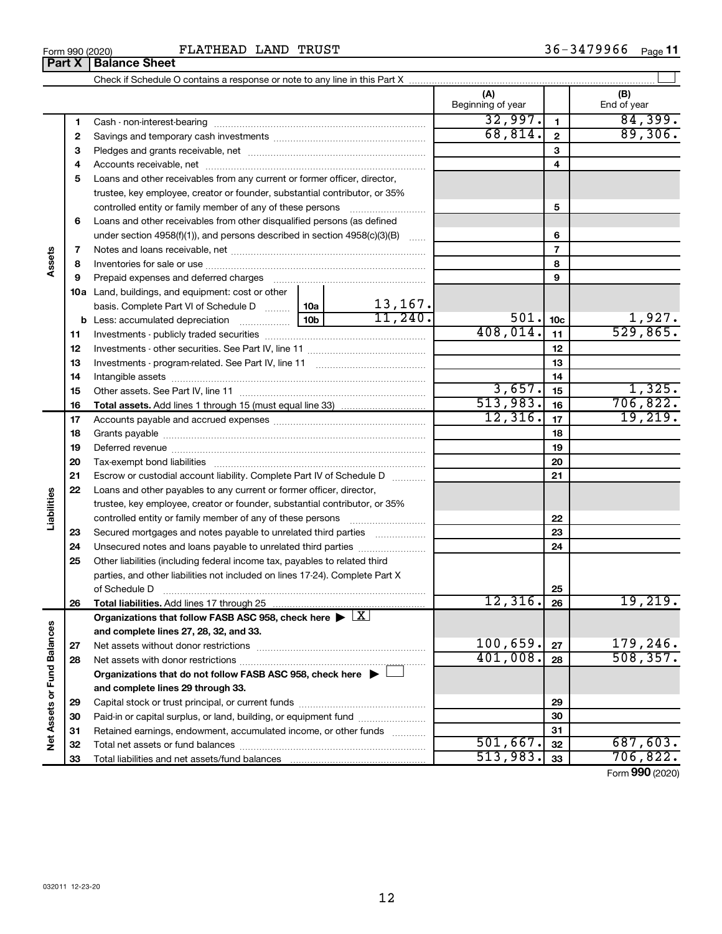| Form 990 (2020) | FLATHEAD LAND<br>TRUST | 36-3479966<br>Page 1 |
|-----------------|------------------------|----------------------|
|-----------------|------------------------|----------------------|

|                             |    |                                                                                                        |                 |                         | (A)<br>Beginning of year |                          | (B)<br>End of year |
|-----------------------------|----|--------------------------------------------------------------------------------------------------------|-----------------|-------------------------|--------------------------|--------------------------|--------------------|
|                             | 1  |                                                                                                        |                 |                         | 32,997.                  | $\mathbf{1}$             | 84,399.            |
|                             | 2  |                                                                                                        |                 |                         | 68,814.                  | $\mathbf{2}$             | 89,306.            |
|                             | З  |                                                                                                        |                 |                         |                          | 3                        |                    |
|                             | 4  |                                                                                                        |                 |                         |                          | 4                        |                    |
|                             | 5  | Loans and other receivables from any current or former officer, director,                              |                 |                         |                          |                          |                    |
|                             |    | trustee, key employee, creator or founder, substantial contributor, or 35%                             |                 |                         |                          |                          |                    |
|                             |    |                                                                                                        |                 |                         |                          | 5                        |                    |
|                             | 6  | Loans and other receivables from other disqualified persons (as defined                                |                 |                         |                          |                          |                    |
|                             |    | under section 4958(f)(1)), and persons described in section 4958(c)(3)(B)                              |                 |                         |                          | 6                        |                    |
|                             | 7  |                                                                                                        |                 |                         |                          | $\overline{\phantom{a}}$ |                    |
| Assets                      | 8  |                                                                                                        |                 |                         |                          | 8                        |                    |
|                             | 9  | Prepaid expenses and deferred charges                                                                  |                 |                         |                          | 9                        |                    |
|                             |    | <b>10a</b> Land, buildings, and equipment: cost or other                                               |                 |                         |                          |                          |                    |
|                             |    | basis. Complete Part VI of Schedule D  10a                                                             |                 | $\frac{13,167}{11,240}$ |                          |                          |                    |
|                             |    | <b>b</b> Less: accumulated depreciation                                                                | 10 <sub>b</sub> |                         | 501.                     | 10 <sub>c</sub>          | 1,927.             |
|                             | 11 |                                                                                                        |                 |                         | 408,014.                 | 11                       | 529,865.           |
|                             | 12 |                                                                                                        |                 | 12                      |                          |                          |                    |
|                             | 13 |                                                                                                        |                 |                         |                          | 13                       |                    |
|                             | 14 |                                                                                                        |                 |                         |                          | 14                       |                    |
|                             | 15 |                                                                                                        |                 |                         | 3,657.                   | 15                       | 1,325.             |
|                             | 16 | <b>Total assets.</b> Add lines 1 through 15 (must equal line 33) <i></i>                               |                 |                         | 513,983.                 | 16                       | 706,822.           |
|                             | 17 |                                                                                                        |                 |                         | 12,316.                  | 17                       | 19,219.            |
|                             | 18 |                                                                                                        |                 |                         | 18                       |                          |                    |
|                             | 19 |                                                                                                        |                 | 19                      |                          |                          |                    |
|                             | 20 |                                                                                                        |                 |                         |                          | 20                       |                    |
|                             | 21 | Escrow or custodial account liability. Complete Part IV of Schedule D                                  |                 |                         |                          | 21                       |                    |
|                             | 22 | Loans and other payables to any current or former officer, director,                                   |                 |                         |                          |                          |                    |
| Liabilities                 |    | trustee, key employee, creator or founder, substantial contributor, or 35%                             |                 |                         |                          |                          |                    |
|                             |    | controlled entity or family member of any of these persons                                             |                 |                         |                          | 22                       |                    |
|                             | 23 | Secured mortgages and notes payable to unrelated third parties                                         |                 |                         |                          | 23                       |                    |
|                             | 24 | Unsecured notes and loans payable to unrelated third parties                                           |                 |                         |                          | 24                       |                    |
|                             | 25 | Other liabilities (including federal income tax, payables to related third                             |                 |                         |                          |                          |                    |
|                             |    | parties, and other liabilities not included on lines 17-24). Complete Part X                           |                 |                         |                          |                          |                    |
|                             |    | of Schedule D                                                                                          |                 |                         |                          | 25                       |                    |
|                             | 26 |                                                                                                        |                 |                         | $12,316.$ 26             |                          | <u>19,219.</u>     |
|                             |    | Organizations that follow FASB ASC 958, check here $\blacktriangleright \lfloor \underline{X} \rfloor$ |                 |                         |                          |                          |                    |
|                             |    | and complete lines 27, 28, 32, and 33.                                                                 |                 |                         |                          |                          |                    |
|                             | 27 | Net assets without donor restrictions                                                                  |                 |                         | 100,659.                 | 27                       | 179,246.           |
|                             | 28 |                                                                                                        |                 |                         | 401,008.                 | 28                       | 508, 357.          |
| Net Assets or Fund Balances |    | Organizations that do not follow FASB ASC 958, check here $\blacktriangleright$                        |                 |                         |                          |                          |                    |
|                             |    | and complete lines 29 through 33.                                                                      |                 |                         |                          |                          |                    |
|                             | 29 |                                                                                                        |                 |                         |                          | 29                       |                    |
|                             | 30 | Paid-in or capital surplus, or land, building, or equipment fund                                       |                 |                         |                          | 30                       |                    |
|                             | 31 | Retained earnings, endowment, accumulated income, or other funds                                       |                 |                         |                          | 31                       |                    |
|                             | 32 |                                                                                                        |                 |                         | 501,667.                 | 32                       | 687,603.           |
|                             | 33 |                                                                                                        |                 |                         | 513,983.                 | 33                       | 706,822.           |

Form (2020) **990**

**Part X** | Balance Sheet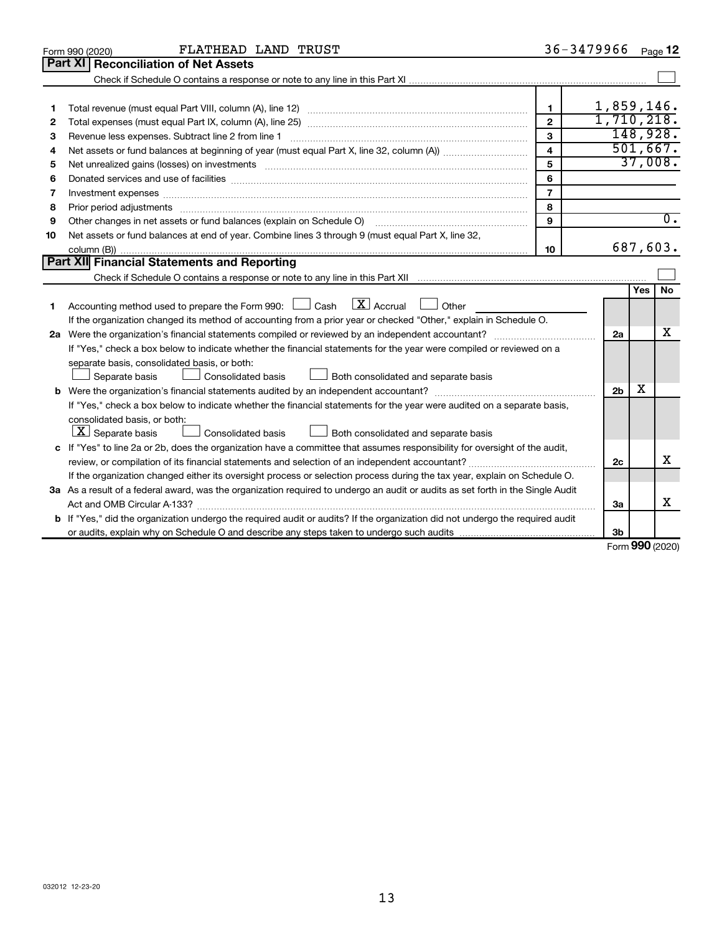|    | FLATHEAD LAND TRUST<br>Form 990 (2020)                                                                                               |                         | 36-3479966     |            | Page 12             |  |
|----|--------------------------------------------------------------------------------------------------------------------------------------|-------------------------|----------------|------------|---------------------|--|
|    | Part XI<br><b>Reconciliation of Net Assets</b>                                                                                       |                         |                |            |                     |  |
|    |                                                                                                                                      |                         |                |            |                     |  |
|    |                                                                                                                                      |                         |                |            |                     |  |
| 1  |                                                                                                                                      | $\mathbf{1}$            | 1,859,146.     |            |                     |  |
| 2  |                                                                                                                                      | $\overline{2}$          | 1,710,218.     |            |                     |  |
| З  | Revenue less expenses. Subtract line 2 from line 1                                                                                   | 3                       |                |            | 148,928.            |  |
| 4  |                                                                                                                                      | $\overline{\mathbf{A}}$ |                |            | 501,667.<br>37,008. |  |
| 5  | 5                                                                                                                                    |                         |                |            |                     |  |
| 6  |                                                                                                                                      | 6                       |                |            |                     |  |
| 7  | Investment expenses www.communication.com/www.communication.com/www.communication.com/www.com                                        | $\overline{7}$          |                |            |                     |  |
| 8  |                                                                                                                                      | 8                       |                |            |                     |  |
| 9  | Other changes in net assets or fund balances (explain on Schedule O)                                                                 | 9                       |                |            | $\overline{0}$ .    |  |
| 10 | Net assets or fund balances at end of year. Combine lines 3 through 9 (must equal Part X, line 32,                                   |                         |                |            |                     |  |
|    |                                                                                                                                      | 10                      |                |            | 687,603.            |  |
|    | Part XII Financial Statements and Reporting                                                                                          |                         |                |            |                     |  |
|    |                                                                                                                                      |                         |                |            |                     |  |
|    |                                                                                                                                      |                         |                | <b>Yes</b> | No                  |  |
| 1  | $\boxed{\text{X}}$ Accrual<br>Accounting method used to prepare the Form 990: [130] Cash<br>$\Box$ Other                             |                         |                |            |                     |  |
|    | If the organization changed its method of accounting from a prior year or checked "Other," explain in Schedule O.                    |                         |                |            |                     |  |
|    |                                                                                                                                      |                         | 2a             |            | x                   |  |
|    | If "Yes," check a box below to indicate whether the financial statements for the year were compiled or reviewed on a                 |                         |                |            |                     |  |
|    | separate basis, consolidated basis, or both:                                                                                         |                         |                |            |                     |  |
|    | Both consolidated and separate basis<br>Separate basis<br>Consolidated basis                                                         |                         |                |            |                     |  |
| b  |                                                                                                                                      |                         | 2 <sub>b</sub> | х          |                     |  |
|    | If "Yes," check a box below to indicate whether the financial statements for the year were audited on a separate basis,              |                         |                |            |                     |  |
|    | consolidated basis, or both:                                                                                                         |                         |                |            |                     |  |
|    | $ \mathbf{X} $ Separate basis<br>Consolidated basis<br>Both consolidated and separate basis                                          |                         |                |            |                     |  |
|    | c If "Yes" to line 2a or 2b, does the organization have a committee that assumes responsibility for oversight of the audit,          |                         |                |            |                     |  |
|    | review, or compilation of its financial statements and selection of an independent accountant?                                       |                         | 2c             |            | х                   |  |
|    | If the organization changed either its oversight process or selection process during the tax year, explain on Schedule O.            |                         |                |            |                     |  |
|    | 3a As a result of a federal award, was the organization required to undergo an audit or audits as set forth in the Single Audit      |                         |                |            |                     |  |
|    |                                                                                                                                      |                         | За             |            | x                   |  |
|    | <b>b</b> If "Yes," did the organization undergo the required audit or audits? If the organization did not undergo the required audit |                         |                |            |                     |  |
|    |                                                                                                                                      |                         | 3 <sub>b</sub> |            |                     |  |

Form (2020) **990**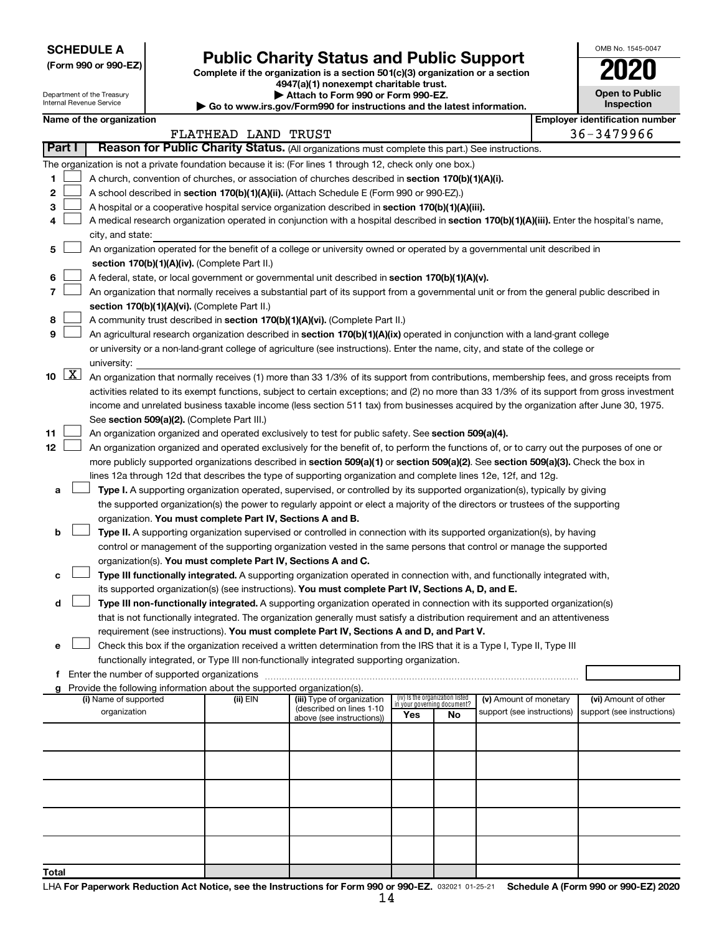**SCHEDULE A**

Department of the Treasury Internal Revenue Service

# Form 990 or 990-EZ) **Public Charity Status and Public Support**<br>
Complete if the organization is a section 501(c)(3) organization or a section<br> **2020**

**4947(a)(1) nonexempt charitable trust. | Attach to Form 990 or Form 990-EZ.** 

**| Go to www.irs.gov/Form990 for instructions and the latest information.**

|    | <b>Open to Public</b><br>Inspection |
|----|-------------------------------------|
| ١r | dentification numhe                 |

OMB No. 1545-0047

|  | Name of the organization |
|--|--------------------------|

|                      | Name of the organization                                                                                                                                                                                                         | FLATHEAD LAND TRUST |                                                       |     |                                                                |                            |  | <b>Employer identification number</b><br>36-3479966 |  |
|----------------------|----------------------------------------------------------------------------------------------------------------------------------------------------------------------------------------------------------------------------------|---------------------|-------------------------------------------------------|-----|----------------------------------------------------------------|----------------------------|--|-----------------------------------------------------|--|
| Part I               | Reason for Public Charity Status. (All organizations must complete this part.) See instructions.                                                                                                                                 |                     |                                                       |     |                                                                |                            |  |                                                     |  |
|                      |                                                                                                                                                                                                                                  |                     |                                                       |     |                                                                |                            |  |                                                     |  |
|                      | The organization is not a private foundation because it is: (For lines 1 through 12, check only one box.)                                                                                                                        |                     |                                                       |     |                                                                |                            |  |                                                     |  |
| 1                    | A church, convention of churches, or association of churches described in section 170(b)(1)(A)(i).                                                                                                                               |                     |                                                       |     |                                                                |                            |  |                                                     |  |
| 2                    | A school described in section 170(b)(1)(A)(ii). (Attach Schedule E (Form 990 or 990-EZ).)                                                                                                                                        |                     |                                                       |     |                                                                |                            |  |                                                     |  |
| 3                    | A hospital or a cooperative hospital service organization described in section 170(b)(1)(A)(iii).                                                                                                                                |                     |                                                       |     |                                                                |                            |  |                                                     |  |
| 4                    | A medical research organization operated in conjunction with a hospital described in section 170(b)(1)(A)(iii). Enter the hospital's name,<br>city, and state:                                                                   |                     |                                                       |     |                                                                |                            |  |                                                     |  |
| 5                    | An organization operated for the benefit of a college or university owned or operated by a governmental unit described in                                                                                                        |                     |                                                       |     |                                                                |                            |  |                                                     |  |
|                      | section 170(b)(1)(A)(iv). (Complete Part II.)                                                                                                                                                                                    |                     |                                                       |     |                                                                |                            |  |                                                     |  |
| 6                    | A federal, state, or local government or governmental unit described in section 170(b)(1)(A)(v).                                                                                                                                 |                     |                                                       |     |                                                                |                            |  |                                                     |  |
| 7                    | An organization that normally receives a substantial part of its support from a governmental unit or from the general public described in<br>section 170(b)(1)(A)(vi). (Complete Part II.)                                       |                     |                                                       |     |                                                                |                            |  |                                                     |  |
| 8                    | A community trust described in section 170(b)(1)(A)(vi). (Complete Part II.)                                                                                                                                                     |                     |                                                       |     |                                                                |                            |  |                                                     |  |
| 9                    | An agricultural research organization described in section 170(b)(1)(A)(ix) operated in conjunction with a land-grant college                                                                                                    |                     |                                                       |     |                                                                |                            |  |                                                     |  |
|                      | or university or a non-land-grant college of agriculture (see instructions). Enter the name, city, and state of the college or                                                                                                   |                     |                                                       |     |                                                                |                            |  |                                                     |  |
|                      | university:                                                                                                                                                                                                                      |                     |                                                       |     |                                                                |                            |  |                                                     |  |
| $10 \quad \boxed{X}$ | An organization that normally receives (1) more than 33 1/3% of its support from contributions, membership fees, and gross receipts from                                                                                         |                     |                                                       |     |                                                                |                            |  |                                                     |  |
|                      | activities related to its exempt functions, subject to certain exceptions; and (2) no more than 33 1/3% of its support from gross investment                                                                                     |                     |                                                       |     |                                                                |                            |  |                                                     |  |
|                      | income and unrelated business taxable income (less section 511 tax) from businesses acquired by the organization after June 30, 1975.                                                                                            |                     |                                                       |     |                                                                |                            |  |                                                     |  |
|                      | See section 509(a)(2). (Complete Part III.)                                                                                                                                                                                      |                     |                                                       |     |                                                                |                            |  |                                                     |  |
| 11                   | An organization organized and operated exclusively to test for public safety. See section 509(a)(4).                                                                                                                             |                     |                                                       |     |                                                                |                            |  |                                                     |  |
| 12 <sub>2</sub>      | An organization organized and operated exclusively for the benefit of, to perform the functions of, or to carry out the purposes of one or                                                                                       |                     |                                                       |     |                                                                |                            |  |                                                     |  |
|                      | more publicly supported organizations described in section 509(a)(1) or section 509(a)(2). See section 509(a)(3). Check the box in                                                                                               |                     |                                                       |     |                                                                |                            |  |                                                     |  |
|                      | lines 12a through 12d that describes the type of supporting organization and complete lines 12e, 12f, and 12g.                                                                                                                   |                     |                                                       |     |                                                                |                            |  |                                                     |  |
| a                    | Type I. A supporting organization operated, supervised, or controlled by its supported organization(s), typically by giving                                                                                                      |                     |                                                       |     |                                                                |                            |  |                                                     |  |
|                      | the supported organization(s) the power to regularly appoint or elect a majority of the directors or trustees of the supporting                                                                                                  |                     |                                                       |     |                                                                |                            |  |                                                     |  |
|                      | organization. You must complete Part IV, Sections A and B.                                                                                                                                                                       |                     |                                                       |     |                                                                |                            |  |                                                     |  |
| b                    | Type II. A supporting organization supervised or controlled in connection with its supported organization(s), by having                                                                                                          |                     |                                                       |     |                                                                |                            |  |                                                     |  |
|                      | control or management of the supporting organization vested in the same persons that control or manage the supported                                                                                                             |                     |                                                       |     |                                                                |                            |  |                                                     |  |
|                      | organization(s). You must complete Part IV, Sections A and C.                                                                                                                                                                    |                     |                                                       |     |                                                                |                            |  |                                                     |  |
| с                    | Type III functionally integrated. A supporting organization operated in connection with, and functionally integrated with,<br>its supported organization(s) (see instructions). You must complete Part IV, Sections A, D, and E. |                     |                                                       |     |                                                                |                            |  |                                                     |  |
| d                    | Type III non-functionally integrated. A supporting organization operated in connection with its supported organization(s)                                                                                                        |                     |                                                       |     |                                                                |                            |  |                                                     |  |
|                      | that is not functionally integrated. The organization generally must satisfy a distribution requirement and an attentiveness                                                                                                     |                     |                                                       |     |                                                                |                            |  |                                                     |  |
|                      | requirement (see instructions). You must complete Part IV, Sections A and D, and Part V.                                                                                                                                         |                     |                                                       |     |                                                                |                            |  |                                                     |  |
|                      | Check this box if the organization received a written determination from the IRS that it is a Type I, Type II, Type III                                                                                                          |                     |                                                       |     |                                                                |                            |  |                                                     |  |
|                      | functionally integrated, or Type III non-functionally integrated supporting organization.                                                                                                                                        |                     |                                                       |     |                                                                |                            |  |                                                     |  |
|                      | f Enter the number of supported organizations                                                                                                                                                                                    |                     |                                                       |     |                                                                |                            |  |                                                     |  |
|                      | g Provide the following information about the supported organization(s).                                                                                                                                                         |                     |                                                       |     |                                                                |                            |  |                                                     |  |
|                      | (i) Name of supported                                                                                                                                                                                                            | $(ii)$ $EIN$        | (iii) Type of organization                            |     | (iv) Is the organization listed<br>in your governing document? | (v) Amount of monetary     |  | (vi) Amount of other                                |  |
|                      | organization                                                                                                                                                                                                                     |                     | (described on lines 1-10<br>above (see instructions)) | Yes | No                                                             | support (see instructions) |  | support (see instructions)                          |  |
|                      |                                                                                                                                                                                                                                  |                     |                                                       |     |                                                                |                            |  |                                                     |  |
|                      |                                                                                                                                                                                                                                  |                     |                                                       |     |                                                                |                            |  |                                                     |  |
|                      |                                                                                                                                                                                                                                  |                     |                                                       |     |                                                                |                            |  |                                                     |  |
|                      |                                                                                                                                                                                                                                  |                     |                                                       |     |                                                                |                            |  |                                                     |  |
|                      |                                                                                                                                                                                                                                  |                     |                                                       |     |                                                                |                            |  |                                                     |  |
|                      |                                                                                                                                                                                                                                  |                     |                                                       |     |                                                                |                            |  |                                                     |  |
|                      |                                                                                                                                                                                                                                  |                     |                                                       |     |                                                                |                            |  |                                                     |  |
|                      |                                                                                                                                                                                                                                  |                     |                                                       |     |                                                                |                            |  |                                                     |  |
| Total                |                                                                                                                                                                                                                                  |                     |                                                       |     |                                                                |                            |  |                                                     |  |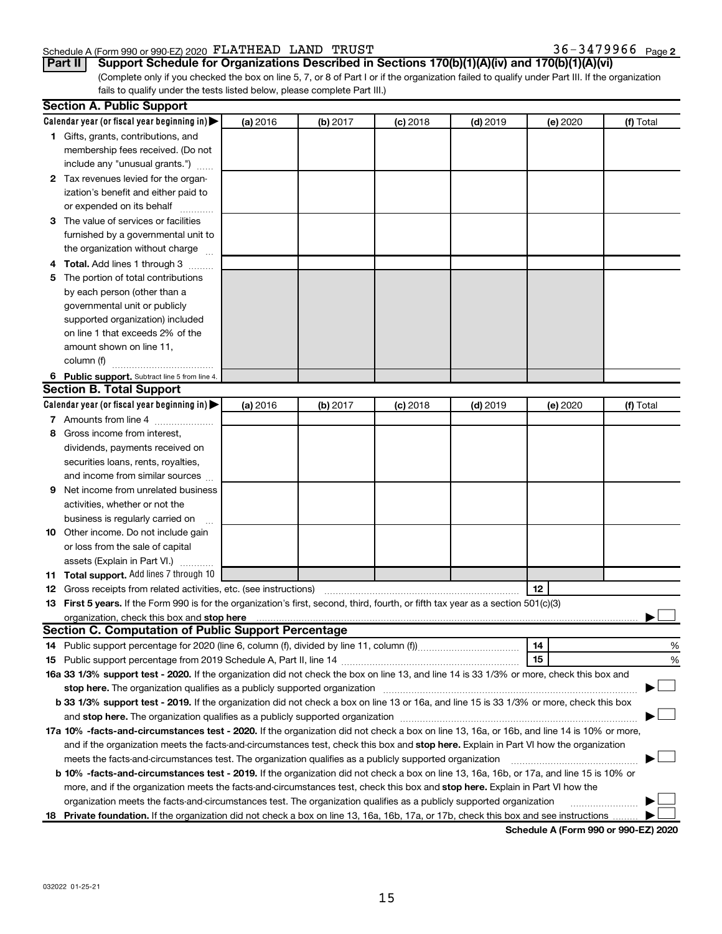### Schedule A (Form 990 or 990-EZ) 2020  ${\bf FLATHEAD}$   ${\bf LAND}$   ${\bf TRUST}$   $36-3479966$   ${\bf Page}$

### **Part II Support Schedule for Organizations Described in Sections 170(b)(1)(A)(iv) and 170(b)(1)(A)(vi)**

(Complete only if you checked the box on line 5, 7, or 8 of Part I or if the organization failed to qualify under Part III. If the organization fails to qualify under the tests listed below, please complete Part III.)

|   | <b>Section A. Public Support</b>                                                                                                                                                                                                    |          |          |            |            |          |           |  |  |
|---|-------------------------------------------------------------------------------------------------------------------------------------------------------------------------------------------------------------------------------------|----------|----------|------------|------------|----------|-----------|--|--|
|   | Calendar year (or fiscal year beginning in)                                                                                                                                                                                         | (a) 2016 | (b) 2017 | $(c)$ 2018 | $(d)$ 2019 | (e) 2020 | (f) Total |  |  |
|   | 1 Gifts, grants, contributions, and                                                                                                                                                                                                 |          |          |            |            |          |           |  |  |
|   | membership fees received. (Do not                                                                                                                                                                                                   |          |          |            |            |          |           |  |  |
|   | include any "unusual grants.")                                                                                                                                                                                                      |          |          |            |            |          |           |  |  |
|   | 2 Tax revenues levied for the organ-                                                                                                                                                                                                |          |          |            |            |          |           |  |  |
|   | ization's benefit and either paid to                                                                                                                                                                                                |          |          |            |            |          |           |  |  |
|   | or expended on its behalf                                                                                                                                                                                                           |          |          |            |            |          |           |  |  |
|   | 3 The value of services or facilities                                                                                                                                                                                               |          |          |            |            |          |           |  |  |
|   | furnished by a governmental unit to                                                                                                                                                                                                 |          |          |            |            |          |           |  |  |
|   | the organization without charge                                                                                                                                                                                                     |          |          |            |            |          |           |  |  |
|   | 4 Total. Add lines 1 through 3                                                                                                                                                                                                      |          |          |            |            |          |           |  |  |
|   | 5 The portion of total contributions                                                                                                                                                                                                |          |          |            |            |          |           |  |  |
|   | by each person (other than a                                                                                                                                                                                                        |          |          |            |            |          |           |  |  |
|   | governmental unit or publicly                                                                                                                                                                                                       |          |          |            |            |          |           |  |  |
|   | supported organization) included                                                                                                                                                                                                    |          |          |            |            |          |           |  |  |
|   | on line 1 that exceeds 2% of the                                                                                                                                                                                                    |          |          |            |            |          |           |  |  |
|   | amount shown on line 11,                                                                                                                                                                                                            |          |          |            |            |          |           |  |  |
|   | column (f)                                                                                                                                                                                                                          |          |          |            |            |          |           |  |  |
|   | 6 Public support. Subtract line 5 from line 4.                                                                                                                                                                                      |          |          |            |            |          |           |  |  |
|   | <b>Section B. Total Support</b>                                                                                                                                                                                                     |          |          |            |            |          |           |  |  |
|   | Calendar year (or fiscal year beginning in)                                                                                                                                                                                         | (a) 2016 | (b) 2017 | $(c)$ 2018 | $(d)$ 2019 | (e) 2020 | (f) Total |  |  |
|   | 7 Amounts from line 4                                                                                                                                                                                                               |          |          |            |            |          |           |  |  |
| 8 | Gross income from interest,                                                                                                                                                                                                         |          |          |            |            |          |           |  |  |
|   | dividends, payments received on                                                                                                                                                                                                     |          |          |            |            |          |           |  |  |
|   | securities loans, rents, royalties,                                                                                                                                                                                                 |          |          |            |            |          |           |  |  |
|   | and income from similar sources                                                                                                                                                                                                     |          |          |            |            |          |           |  |  |
| 9 | Net income from unrelated business                                                                                                                                                                                                  |          |          |            |            |          |           |  |  |
|   | activities, whether or not the                                                                                                                                                                                                      |          |          |            |            |          |           |  |  |
|   | business is regularly carried on                                                                                                                                                                                                    |          |          |            |            |          |           |  |  |
|   | 10 Other income. Do not include gain                                                                                                                                                                                                |          |          |            |            |          |           |  |  |
|   | or loss from the sale of capital                                                                                                                                                                                                    |          |          |            |            |          |           |  |  |
|   | assets (Explain in Part VI.)                                                                                                                                                                                                        |          |          |            |            |          |           |  |  |
|   | 11 Total support. Add lines 7 through 10                                                                                                                                                                                            |          |          |            |            |          |           |  |  |
|   | <b>12</b> Gross receipts from related activities, etc. (see instructions)                                                                                                                                                           |          |          |            |            | 12       |           |  |  |
|   | 13 First 5 years. If the Form 990 is for the organization's first, second, third, fourth, or fifth tax year as a section 501(c)(3)                                                                                                  |          |          |            |            |          |           |  |  |
|   | organization, check this box and stop here <b>construction and construction</b> control and construction of the construction of the construction of the construction of the construction of the construction of the construction of |          |          |            |            |          |           |  |  |
|   | <b>Section C. Computation of Public Support Percentage</b>                                                                                                                                                                          |          |          |            |            |          |           |  |  |
|   |                                                                                                                                                                                                                                     |          |          |            |            | 14       | %         |  |  |
|   |                                                                                                                                                                                                                                     |          |          |            |            | 15       | %         |  |  |
|   | 16a 33 1/3% support test - 2020. If the organization did not check the box on line 13, and line 14 is 33 1/3% or more, check this box and                                                                                           |          |          |            |            |          |           |  |  |
|   |                                                                                                                                                                                                                                     |          |          |            |            |          |           |  |  |
|   | b 33 1/3% support test - 2019. If the organization did not check a box on line 13 or 16a, and line 15 is 33 1/3% or more, check this box                                                                                            |          |          |            |            |          |           |  |  |
|   |                                                                                                                                                                                                                                     |          |          |            |            |          |           |  |  |
|   | 17a 10% -facts-and-circumstances test - 2020. If the organization did not check a box on line 13, 16a, or 16b, and line 14 is 10% or more,                                                                                          |          |          |            |            |          |           |  |  |
|   | and if the organization meets the facts-and-circumstances test, check this box and stop here. Explain in Part VI how the organization                                                                                               |          |          |            |            |          |           |  |  |
|   | meets the facts-and-circumstances test. The organization qualifies as a publicly supported organization                                                                                                                             |          |          |            |            |          |           |  |  |
|   | <b>b 10% -facts-and-circumstances test - 2019.</b> If the organization did not check a box on line 13, 16a, 16b, or 17a, and line 15 is 10% or                                                                                      |          |          |            |            |          |           |  |  |
|   | more, and if the organization meets the facts-and-circumstances test, check this box and stop here. Explain in Part VI how the                                                                                                      |          |          |            |            |          |           |  |  |
|   | organization meets the facts-and-circumstances test. The organization qualifies as a publicly supported organization                                                                                                                |          |          |            |            |          |           |  |  |
|   | 18 Private foundation. If the organization did not check a box on line 13, 16a, 16b, 17a, or 17b, check this box and see instructions                                                                                               |          |          |            |            |          |           |  |  |

**Schedule A (Form 990 or 990-EZ) 2020**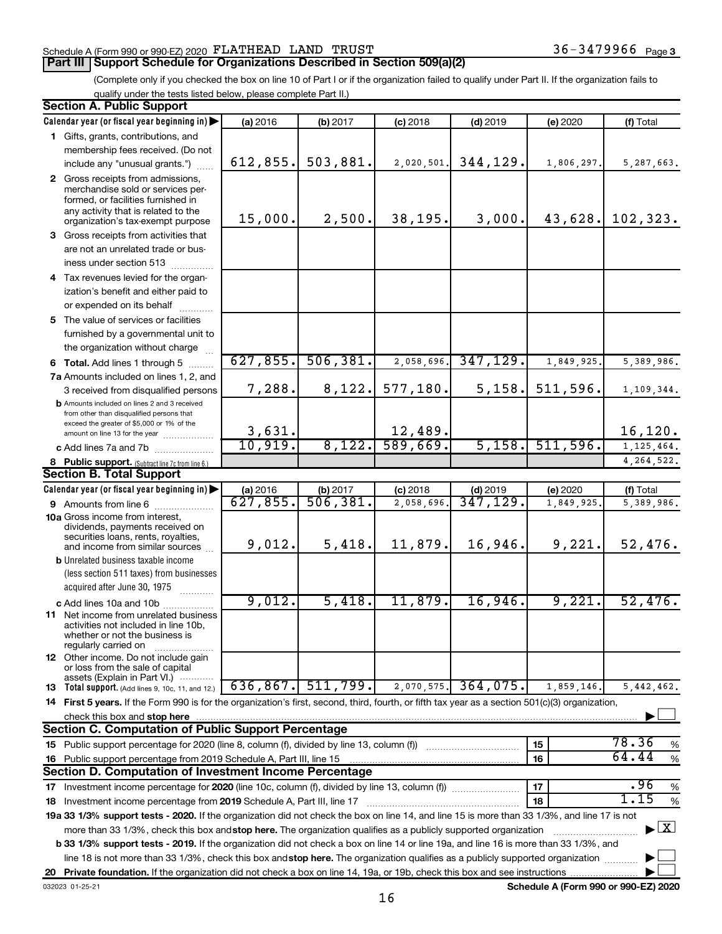### Schedule A (Form 990 or 990-EZ) 2020  ${\bf FLATHEAD}$   ${\bf LAND}$   ${\bf TRUST}$   $36-3479966$   ${\bf Page}$

(Complete only if you checked the box on line 10 of Part I or if the organization failed to qualify under Part II. If the organization fails to

qualify under the tests listed below, please complete Part II.)

|    | <b>Section A. Public Support</b>                                                                                                                                                         |          |           |             |            |                                      |                                          |
|----|------------------------------------------------------------------------------------------------------------------------------------------------------------------------------------------|----------|-----------|-------------|------------|--------------------------------------|------------------------------------------|
|    | Calendar year (or fiscal year beginning in)                                                                                                                                              | (a) 2016 | (b) 2017  | $(c)$ 2018  | $(d)$ 2019 | (e) 2020                             | (f) Total                                |
|    | 1 Gifts, grants, contributions, and                                                                                                                                                      |          |           |             |            |                                      |                                          |
|    | membership fees received. (Do not                                                                                                                                                        |          |           |             |            |                                      |                                          |
|    | include any "unusual grants.")                                                                                                                                                           | 612,855. | 503,881.  | 2,020,501.  | 344,129.   | 1,806,297.                           | 5,287,663.                               |
|    | 2 Gross receipts from admissions,<br>merchandise sold or services per-<br>formed, or facilities furnished in<br>any activity that is related to the<br>organization's tax-exempt purpose | 15,000.  | 2,500.    | 38,195.     | 3,000.     | 43,628.                              | 102,323.                                 |
|    | <b>3</b> Gross receipts from activities that                                                                                                                                             |          |           |             |            |                                      |                                          |
|    | are not an unrelated trade or bus-<br>iness under section 513                                                                                                                            |          |           |             |            |                                      |                                          |
|    | 4 Tax revenues levied for the organ-                                                                                                                                                     |          |           |             |            |                                      |                                          |
|    | ization's benefit and either paid to<br>or expended on its behalf                                                                                                                        |          |           |             |            |                                      |                                          |
|    | 5 The value of services or facilities<br>furnished by a governmental unit to<br>the organization without charge                                                                          |          |           |             |            |                                      |                                          |
|    | <b>6 Total.</b> Add lines 1 through 5                                                                                                                                                    | 627,855. | 506, 381. | 2,058,696.  | 347,129.   | 1,849,925.                           | 5,389,986.                               |
|    | 7a Amounts included on lines 1, 2, and                                                                                                                                                   |          |           |             |            |                                      |                                          |
|    | 3 received from disqualified persons                                                                                                                                                     | 7,288.   | 8,122.    | 577, 180.   | 5,158.     | 511,596.                             | 1,109,344.                               |
|    | <b>b</b> Amounts included on lines 2 and 3 received<br>from other than disqualified persons that<br>exceed the greater of \$5,000 or 1% of the<br>amount on line 13 for the year         | 3,631.   |           | 12,489.     |            |                                      | 16,120.                                  |
|    | c Add lines 7a and 7b                                                                                                                                                                    | 10,919.  | 8,122.    | 589,669.    | 5,158.     | 511,596.                             | 1,125,464.                               |
|    | 8 Public support. (Subtract line 7c from line 6.)                                                                                                                                        |          |           |             |            |                                      | 4, 264, 522.                             |
|    | <b>Section B. Total Support</b>                                                                                                                                                          |          |           |             |            |                                      |                                          |
|    | Calendar year (or fiscal year beginning in)                                                                                                                                              | (a) 2016 | (b) 2017  | $(c)$ 2018  | $(d)$ 2019 | (e) 2020                             | (f) Total                                |
|    | 9 Amounts from line 6                                                                                                                                                                    | 627,855. | 506, 381. | 2,058,696   | 347,129.   | 1,849,925                            | 5,389,986.                               |
|    | <b>10a</b> Gross income from interest,<br>dividends, payments received on<br>securities loans, rents, royalties,<br>and income from similar sources                                      | 9,012.   | 5,418.    | 11,879.     | 16,946.    | 9,221.                               | 52,476.                                  |
|    | <b>b</b> Unrelated business taxable income<br>(less section 511 taxes) from businesses<br>acquired after June 30, 1975                                                                   |          |           |             |            |                                      |                                          |
|    | c Add lines 10a and 10b                                                                                                                                                                  | 9,012.   | 5,418.    | 11,879.     | 16,946.    | 9,221.                               | 52,476.                                  |
|    | 11 Net income from unrelated business<br>activities not included in line 10b,<br>whether or not the business is<br>regularly carried on                                                  |          |           |             |            |                                      |                                          |
|    | <b>12</b> Other income. Do not include gain<br>or loss from the sale of capital<br>assets (Explain in Part VI.)                                                                          |          |           |             |            |                                      |                                          |
|    | <b>13</b> Total support. (Add lines 9, 10c, 11, and 12.)                                                                                                                                 | 636,867. | 511,799.  | 2,070,575.  | 364,075.   | 1,859,146.                           | 5,442,462.                               |
|    | 14 First 5 years. If the Form 990 is for the organization's first, second, third, fourth, or fifth tax year as a section 501(c)(3) organization,                                         |          |           |             |            |                                      |                                          |
|    | check this box and stop here                                                                                                                                                             |          |           |             |            |                                      |                                          |
|    | <b>Section C. Computation of Public Support Percentage</b>                                                                                                                               |          |           |             |            |                                      |                                          |
|    |                                                                                                                                                                                          |          |           |             |            | 15                                   | 78.36<br>%                               |
|    | 16 Public support percentage from 2019 Schedule A, Part III, line 15                                                                                                                     |          |           |             |            | 16                                   | 64.44<br>$\%$                            |
|    | Section D. Computation of Investment Income Percentage                                                                                                                                   |          |           |             |            |                                      |                                          |
|    | 17 Investment income percentage for 2020 (line 10c, column (f), divided by line 13, column (f))                                                                                          |          | 17        | .96<br>$\%$ |            |                                      |                                          |
|    | 18 Investment income percentage from 2019 Schedule A, Part III, line 17                                                                                                                  |          |           |             |            | 18                                   | 1.15<br>$\%$                             |
|    | 19a 33 1/3% support tests - 2020. If the organization did not check the box on line 14, and line 15 is more than 33 1/3%, and line 17 is not                                             |          |           |             |            |                                      |                                          |
|    | more than 33 1/3%, check this box and stop here. The organization qualifies as a publicly supported organization                                                                         |          |           |             |            |                                      | $\blacktriangleright$ $\boxed{\text{X}}$ |
|    | <b>b 33 1/3% support tests - 2019.</b> If the organization did not check a box on line 14 or line 19a, and line 16 is more than 33 1/3%, and                                             |          |           |             |            |                                      |                                          |
|    | line 18 is not more than 33 1/3%, check this box and stop here. The organization qualifies as a publicly supported organization                                                          |          |           |             |            |                                      |                                          |
| 20 |                                                                                                                                                                                          |          |           |             |            |                                      |                                          |
|    | 032023 01-25-21                                                                                                                                                                          |          |           |             |            | Schedule A (Form 990 or 990-EZ) 2020 |                                          |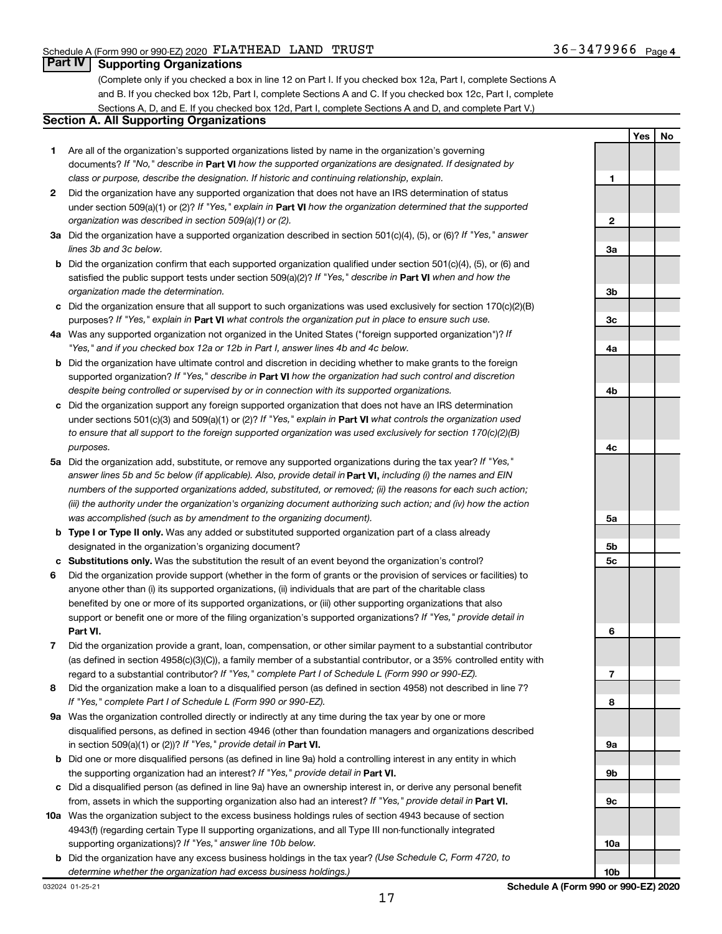**Yes No**

### **Part IV Supporting Organizations**

(Complete only if you checked a box in line 12 on Part I. If you checked box 12a, Part I, complete Sections A and B. If you checked box 12b, Part I, complete Sections A and C. If you checked box 12c, Part I, complete Sections A, D, and E. If you checked box 12d, Part I, complete Sections A and D, and complete Part V.)

### **Section A. All Supporting Organizations**

- **1** Are all of the organization's supported organizations listed by name in the organization's governing documents? If "No," describe in Part VI how the supported organizations are designated. If designated by *class or purpose, describe the designation. If historic and continuing relationship, explain.*
- **2** Did the organization have any supported organization that does not have an IRS determination of status under section 509(a)(1) or (2)? If "Yes," explain in Part **VI** how the organization determined that the supported *organization was described in section 509(a)(1) or (2).*
- **3a** Did the organization have a supported organization described in section 501(c)(4), (5), or (6)? If "Yes," answer *lines 3b and 3c below.*
- **b** Did the organization confirm that each supported organization qualified under section 501(c)(4), (5), or (6) and satisfied the public support tests under section 509(a)(2)? If "Yes," describe in Part VI when and how the *organization made the determination.*
- **c** Did the organization ensure that all support to such organizations was used exclusively for section 170(c)(2)(B) purposes? If "Yes," explain in Part VI what controls the organization put in place to ensure such use.
- **4 a** *If* Was any supported organization not organized in the United States ("foreign supported organization")? *"Yes," and if you checked box 12a or 12b in Part I, answer lines 4b and 4c below.*
- **b** Did the organization have ultimate control and discretion in deciding whether to make grants to the foreign supported organization? If "Yes," describe in Part VI how the organization had such control and discretion *despite being controlled or supervised by or in connection with its supported organizations.*
- **c** Did the organization support any foreign supported organization that does not have an IRS determination under sections 501(c)(3) and 509(a)(1) or (2)? If "Yes," explain in Part VI what controls the organization used *to ensure that all support to the foreign supported organization was used exclusively for section 170(c)(2)(B) purposes.*
- **5a** Did the organization add, substitute, or remove any supported organizations during the tax year? If "Yes," answer lines 5b and 5c below (if applicable). Also, provide detail in **Part VI,** including (i) the names and EIN *numbers of the supported organizations added, substituted, or removed; (ii) the reasons for each such action; (iii) the authority under the organization's organizing document authorizing such action; and (iv) how the action was accomplished (such as by amendment to the organizing document).*
- **b** Type I or Type II only. Was any added or substituted supported organization part of a class already designated in the organization's organizing document?
- **c Substitutions only.**  Was the substitution the result of an event beyond the organization's control?
- **6** Did the organization provide support (whether in the form of grants or the provision of services or facilities) to **Part VI.** support or benefit one or more of the filing organization's supported organizations? If "Yes," provide detail in anyone other than (i) its supported organizations, (ii) individuals that are part of the charitable class benefited by one or more of its supported organizations, or (iii) other supporting organizations that also
- **7** Did the organization provide a grant, loan, compensation, or other similar payment to a substantial contributor regard to a substantial contributor? If "Yes," complete Part I of Schedule L (Form 990 or 990-EZ). (as defined in section 4958(c)(3)(C)), a family member of a substantial contributor, or a 35% controlled entity with
- **8** Did the organization make a loan to a disqualified person (as defined in section 4958) not described in line 7? *If "Yes," complete Part I of Schedule L (Form 990 or 990-EZ).*
- **9 a** Was the organization controlled directly or indirectly at any time during the tax year by one or more in section 509(a)(1) or (2))? If "Yes," provide detail in **Part VI.** disqualified persons, as defined in section 4946 (other than foundation managers and organizations described
- **b** Did one or more disqualified persons (as defined in line 9a) hold a controlling interest in any entity in which the supporting organization had an interest? If "Yes," provide detail in Part VI.
- **c** Did a disqualified person (as defined in line 9a) have an ownership interest in, or derive any personal benefit from, assets in which the supporting organization also had an interest? If "Yes," provide detail in Part VI.
- **10 a** Was the organization subject to the excess business holdings rules of section 4943 because of section supporting organizations)? If "Yes," answer line 10b below. 4943(f) (regarding certain Type II supporting organizations, and all Type III non-functionally integrated
- **b** Did the organization have any excess business holdings in the tax year? (Use Schedule C, Form 4720, to *determine whether the organization had excess business holdings.)*

**1 2 3a 3b 3c 4a 4b 4c 5a 5b 5c 6 7 8 9a 9b 9c 10a**

**10b**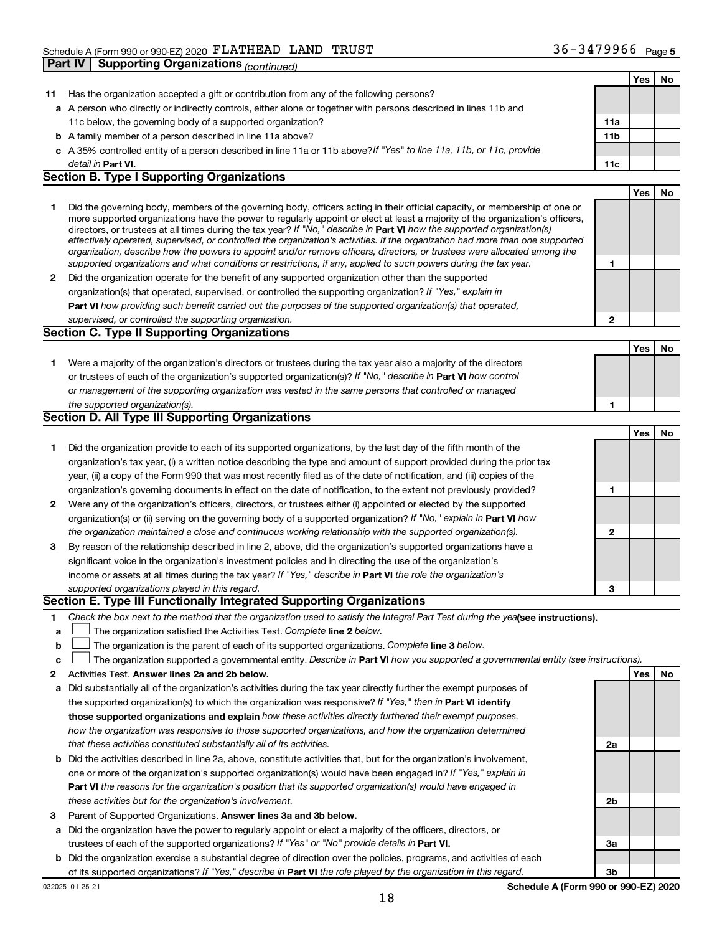|        |                                                                                                                                                                                                                                                          |                | Yes | No |
|--------|----------------------------------------------------------------------------------------------------------------------------------------------------------------------------------------------------------------------------------------------------------|----------------|-----|----|
| 11     | Has the organization accepted a gift or contribution from any of the following persons?                                                                                                                                                                  |                |     |    |
|        | a A person who directly or indirectly controls, either alone or together with persons described in lines 11b and                                                                                                                                         |                |     |    |
|        | 11c below, the governing body of a supported organization?                                                                                                                                                                                               | 11a            |     |    |
|        | <b>b</b> A family member of a person described in line 11a above?                                                                                                                                                                                        | 11b            |     |    |
|        | c A 35% controlled entity of a person described in line 11a or 11b above? If "Yes" to line 11a, 11b, or 11c, provide                                                                                                                                     |                |     |    |
|        | detail in Part VI.                                                                                                                                                                                                                                       | 11c            |     |    |
|        | <b>Section B. Type I Supporting Organizations</b>                                                                                                                                                                                                        |                |     |    |
|        |                                                                                                                                                                                                                                                          |                | Yes | No |
| 1      | Did the governing body, members of the governing body, officers acting in their official capacity, or membership of one or                                                                                                                               |                |     |    |
|        | more supported organizations have the power to regularly appoint or elect at least a majority of the organization's officers,<br>directors, or trustees at all times during the tax year? If "No," describe in Part VI how the supported organization(s) |                |     |    |
|        | effectively operated, supervised, or controlled the organization's activities. If the organization had more than one supported                                                                                                                           |                |     |    |
|        | organization, describe how the powers to appoint and/or remove officers, directors, or trustees were allocated among the                                                                                                                                 |                |     |    |
|        | supported organizations and what conditions or restrictions, if any, applied to such powers during the tax year.                                                                                                                                         | 1              |     |    |
| 2      | Did the organization operate for the benefit of any supported organization other than the supported                                                                                                                                                      |                |     |    |
|        | organization(s) that operated, supervised, or controlled the supporting organization? If "Yes," explain in                                                                                                                                               |                |     |    |
|        | Part VI how providing such benefit carried out the purposes of the supported organization(s) that operated,                                                                                                                                              |                |     |    |
|        | supervised, or controlled the supporting organization.                                                                                                                                                                                                   | $\mathbf{2}$   |     |    |
|        | <b>Section C. Type II Supporting Organizations</b>                                                                                                                                                                                                       |                |     |    |
|        |                                                                                                                                                                                                                                                          |                | Yes | No |
| 1      | Were a majority of the organization's directors or trustees during the tax year also a majority of the directors                                                                                                                                         |                |     |    |
|        | or trustees of each of the organization's supported organization(s)? If "No," describe in Part VI how control                                                                                                                                            |                |     |    |
|        | or management of the supporting organization was vested in the same persons that controlled or managed                                                                                                                                                   |                |     |    |
|        | the supported organization(s).                                                                                                                                                                                                                           | 1              |     |    |
|        | Section D. All Type III Supporting Organizations                                                                                                                                                                                                         |                |     |    |
|        |                                                                                                                                                                                                                                                          |                | Yes | No |
| 1      | Did the organization provide to each of its supported organizations, by the last day of the fifth month of the                                                                                                                                           |                |     |    |
|        | organization's tax year, (i) a written notice describing the type and amount of support provided during the prior tax                                                                                                                                    |                |     |    |
|        | year, (ii) a copy of the Form 990 that was most recently filed as of the date of notification, and (iii) copies of the                                                                                                                                   |                |     |    |
|        | organization's governing documents in effect on the date of notification, to the extent not previously provided?                                                                                                                                         | 1              |     |    |
| 2      | Were any of the organization's officers, directors, or trustees either (i) appointed or elected by the supported                                                                                                                                         |                |     |    |
|        | organization(s) or (ii) serving on the governing body of a supported organization? If "No," explain in Part VI how                                                                                                                                       |                |     |    |
|        | the organization maintained a close and continuous working relationship with the supported organization(s).                                                                                                                                              | $\mathbf{2}$   |     |    |
| 3      | By reason of the relationship described in line 2, above, did the organization's supported organizations have a                                                                                                                                          |                |     |    |
|        | significant voice in the organization's investment policies and in directing the use of the organization's                                                                                                                                               |                |     |    |
|        | income or assets at all times during the tax year? If "Yes," describe in Part VI the role the organization's                                                                                                                                             |                |     |    |
|        | supported organizations played in this regard.<br>Section E. Type III Functionally Integrated Supporting Organizations                                                                                                                                   | 3              |     |    |
|        |                                                                                                                                                                                                                                                          |                |     |    |
| 1      | Check the box next to the method that the organization used to satisfy the Integral Part Test during the yealsee instructions).<br>The organization satisfied the Activities Test. Complete line 2 below.                                                |                |     |    |
| a      | The organization is the parent of each of its supported organizations. Complete line 3 below.                                                                                                                                                            |                |     |    |
| b<br>с | The organization supported a governmental entity. Describe in Part VI how you supported a governmental entity (see instructions).                                                                                                                        |                |     |    |
| 2      | Activities Test. Answer lines 2a and 2b below.                                                                                                                                                                                                           |                | Yes | No |
| а      | Did substantially all of the organization's activities during the tax year directly further the exempt purposes of                                                                                                                                       |                |     |    |
|        | the supported organization(s) to which the organization was responsive? If "Yes," then in Part VI identify                                                                                                                                               |                |     |    |
|        | those supported organizations and explain how these activities directly furthered their exempt purposes,                                                                                                                                                 |                |     |    |
|        | how the organization was responsive to those supported organizations, and how the organization determined                                                                                                                                                |                |     |    |
|        | that these activities constituted substantially all of its activities.                                                                                                                                                                                   | 2a             |     |    |
| b      | Did the activities described in line 2a, above, constitute activities that, but for the organization's involvement,                                                                                                                                      |                |     |    |
|        | one or more of the organization's supported organization(s) would have been engaged in? If "Yes," explain in                                                                                                                                             |                |     |    |
|        | Part VI the reasons for the organization's position that its supported organization(s) would have engaged in                                                                                                                                             |                |     |    |
|        | these activities but for the organization's involvement.                                                                                                                                                                                                 | 2b             |     |    |
| з      | Parent of Supported Organizations. Answer lines 3a and 3b below.                                                                                                                                                                                         |                |     |    |
| а      | Did the organization have the power to regularly appoint or elect a majority of the officers, directors, or                                                                                                                                              |                |     |    |
|        | trustees of each of the supported organizations? If "Yes" or "No" provide details in Part VI.                                                                                                                                                            | За             |     |    |
| b      | Did the organization exercise a substantial degree of direction over the policies, programs, and activities of each                                                                                                                                      |                |     |    |
|        | of its supported organizations? If "Yes." describe in <b>Part VI</b> the role played by the organization in this regard.                                                                                                                                 | 3 <sub>b</sub> |     |    |

**Schedule A (Form 990 or 990-EZ) 2020**

of its supported organizations? If "Yes," describe in Part VI the role played by the organization in this regard.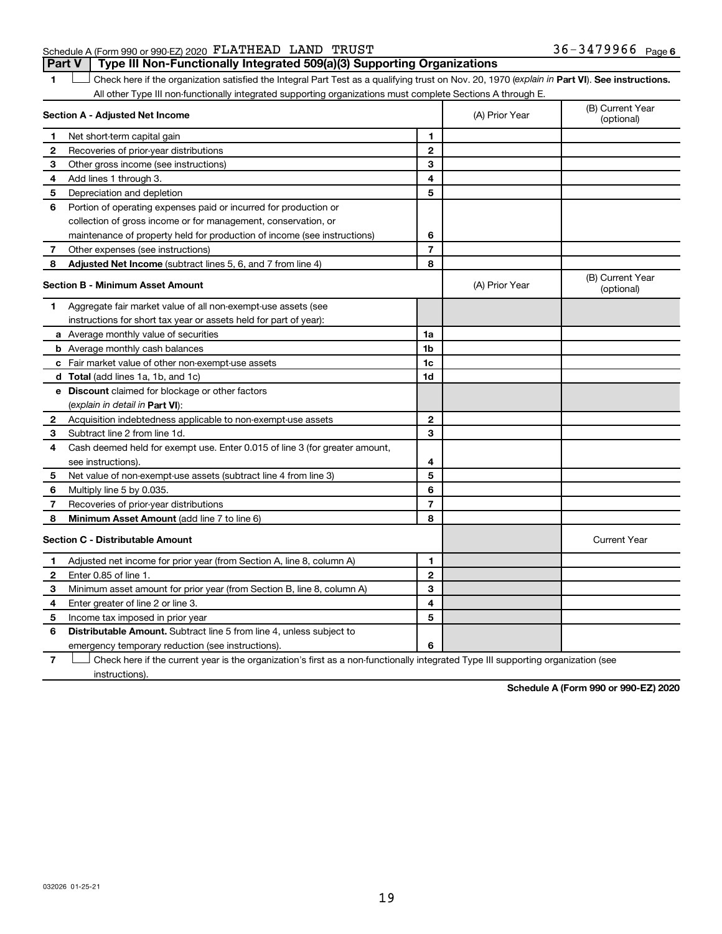### Schedule A (Form 990 or 990-EZ) 2020  ${\bf FLATHEAD}$   ${\bf LAND}$   ${\bf TRUST}$   $36-3479966$   ${\bf Page}$ **Part V Type III Non-Functionally Integrated 509(a)(3) Supporting Organizations**

1 **Letter See instructions.** Check here if the organization satisfied the Integral Part Test as a qualifying trust on Nov. 20, 1970 (*explain in* Part **VI**). See instructions. All other Type III non-functionally integrated supporting organizations must complete Sections A through E.

| Section A - Adjusted Net Income |                                                                             | (A) Prior Year | (B) Current Year<br>(optional) |                                |
|---------------------------------|-----------------------------------------------------------------------------|----------------|--------------------------------|--------------------------------|
| 1                               | Net short-term capital gain                                                 | 1              |                                |                                |
| 2                               | Recoveries of prior-year distributions                                      | $\mathbf{2}$   |                                |                                |
| 3                               | Other gross income (see instructions)                                       | 3              |                                |                                |
| 4                               | Add lines 1 through 3.                                                      | 4              |                                |                                |
| 5                               | Depreciation and depletion                                                  | 5              |                                |                                |
| 6                               | Portion of operating expenses paid or incurred for production or            |                |                                |                                |
|                                 | collection of gross income or for management, conservation, or              |                |                                |                                |
|                                 | maintenance of property held for production of income (see instructions)    | 6              |                                |                                |
| 7                               | Other expenses (see instructions)                                           | $\overline{7}$ |                                |                                |
| 8                               | Adjusted Net Income (subtract lines 5, 6, and 7 from line 4)                | 8              |                                |                                |
|                                 | <b>Section B - Minimum Asset Amount</b>                                     |                | (A) Prior Year                 | (B) Current Year<br>(optional) |
| 1.                              | Aggregate fair market value of all non-exempt-use assets (see               |                |                                |                                |
|                                 | instructions for short tax year or assets held for part of year):           |                |                                |                                |
|                                 | a Average monthly value of securities                                       | 1a             |                                |                                |
|                                 | <b>b</b> Average monthly cash balances                                      | 1 <sub>b</sub> |                                |                                |
|                                 | c Fair market value of other non-exempt-use assets                          | 1c             |                                |                                |
|                                 | <b>d</b> Total (add lines 1a, 1b, and 1c)                                   | 1d             |                                |                                |
|                                 | e Discount claimed for blockage or other factors                            |                |                                |                                |
|                                 | (explain in detail in <b>Part VI</b> ):                                     |                |                                |                                |
| $\mathbf{2}$                    | Acquisition indebtedness applicable to non-exempt-use assets                | $\mathbf{2}$   |                                |                                |
| 3                               | Subtract line 2 from line 1d.                                               | 3              |                                |                                |
| 4                               | Cash deemed held for exempt use. Enter 0.015 of line 3 (for greater amount, |                |                                |                                |
|                                 | see instructions).                                                          | 4              |                                |                                |
| 5                               | Net value of non-exempt-use assets (subtract line 4 from line 3)            | 5              |                                |                                |
| 6                               | Multiply line 5 by 0.035.                                                   | 6              |                                |                                |
| 7                               | Recoveries of prior-year distributions                                      | 7              |                                |                                |
| 8                               | Minimum Asset Amount (add line 7 to line 6)                                 | 8              |                                |                                |
|                                 | <b>Section C - Distributable Amount</b>                                     |                |                                | <b>Current Year</b>            |
| 1                               | Adjusted net income for prior year (from Section A, line 8, column A)       | 1              |                                |                                |
| $\mathbf{2}$                    | Enter 0.85 of line 1.                                                       | $\mathbf{2}$   |                                |                                |
| 3                               | Minimum asset amount for prior year (from Section B, line 8, column A)      | 3              |                                |                                |
| 4                               | Enter greater of line 2 or line 3.                                          | 4              |                                |                                |
| 5                               | Income tax imposed in prior year                                            | 5              |                                |                                |
| 6                               | Distributable Amount. Subtract line 5 from line 4, unless subject to        |                |                                |                                |
|                                 | emergency temporary reduction (see instructions).                           | 6              |                                |                                |
|                                 |                                                                             |                |                                |                                |

**7** Let Check here if the current year is the organization's first as a non-functionally integrated Type III supporting organization (see instructions).

**Schedule A (Form 990 or 990-EZ) 2020**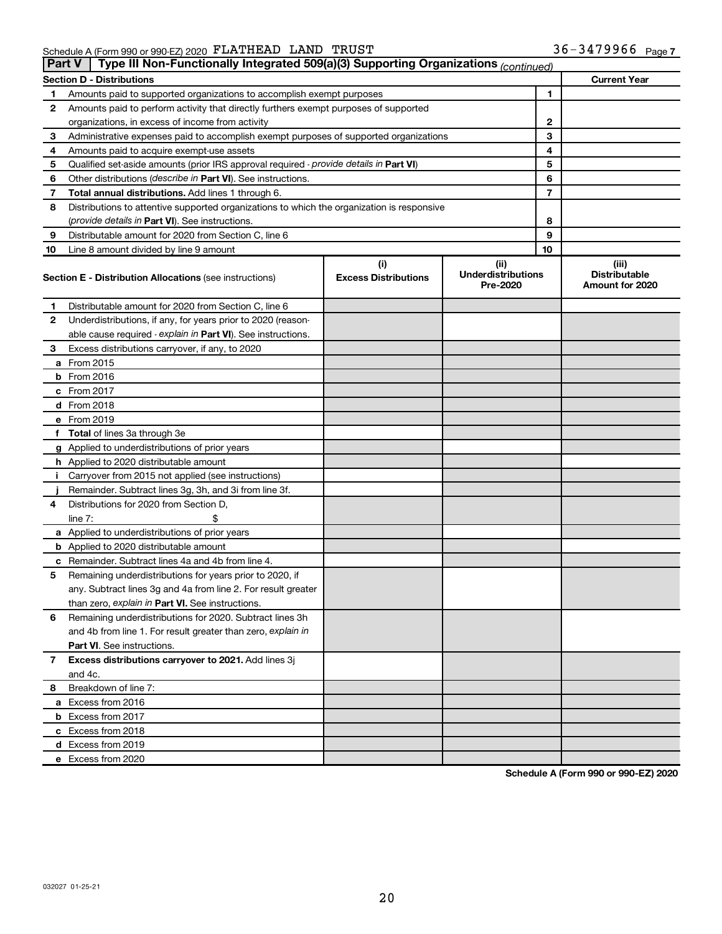|    | Type III Non-Functionally Integrated 509(a)(3) Supporting Organizations (continued)<br>∣ Part V∣ |                             |                                       |                                         |  |  |  |
|----|--------------------------------------------------------------------------------------------------|-----------------------------|---------------------------------------|-----------------------------------------|--|--|--|
|    | <b>Current Year</b><br>Section D - Distributions                                                 |                             |                                       |                                         |  |  |  |
| 1  | Amounts paid to supported organizations to accomplish exempt purposes                            | 1                           |                                       |                                         |  |  |  |
| 2  | Amounts paid to perform activity that directly furthers exempt purposes of supported             |                             |                                       |                                         |  |  |  |
|    | organizations, in excess of income from activity                                                 | 2                           |                                       |                                         |  |  |  |
| 3  | Administrative expenses paid to accomplish exempt purposes of supported organizations            |                             | 3                                     |                                         |  |  |  |
| 4  | Amounts paid to acquire exempt-use assets                                                        |                             | 4                                     |                                         |  |  |  |
| 5  | Qualified set-aside amounts (prior IRS approval required - provide details in Part VI)           |                             | 5                                     |                                         |  |  |  |
| 6  | Other distributions (describe in Part VI). See instructions.                                     |                             | 6                                     |                                         |  |  |  |
| 7  | Total annual distributions. Add lines 1 through 6.                                               |                             | 7                                     |                                         |  |  |  |
| 8  | Distributions to attentive supported organizations to which the organization is responsive       |                             |                                       |                                         |  |  |  |
|    | (provide details in Part VI). See instructions.                                                  |                             | 8                                     |                                         |  |  |  |
| 9  | Distributable amount for 2020 from Section C, line 6                                             |                             | 9                                     |                                         |  |  |  |
| 10 | Line 8 amount divided by line 9 amount                                                           |                             | 10                                    |                                         |  |  |  |
|    |                                                                                                  | (i)                         | (ii)                                  | (iii)                                   |  |  |  |
|    | <b>Section E - Distribution Allocations (see instructions)</b>                                   | <b>Excess Distributions</b> | <b>Underdistributions</b><br>Pre-2020 | <b>Distributable</b><br>Amount for 2020 |  |  |  |
| 1  | Distributable amount for 2020 from Section C, line 6                                             |                             |                                       |                                         |  |  |  |
| 2  | Underdistributions, if any, for years prior to 2020 (reason-                                     |                             |                                       |                                         |  |  |  |
|    | able cause required - explain in Part VI). See instructions.                                     |                             |                                       |                                         |  |  |  |
| 3  | Excess distributions carryover, if any, to 2020                                                  |                             |                                       |                                         |  |  |  |
|    | a From 2015                                                                                      |                             |                                       |                                         |  |  |  |
|    | <b>b</b> From 2016                                                                               |                             |                                       |                                         |  |  |  |
|    | c From 2017                                                                                      |                             |                                       |                                         |  |  |  |
|    | <b>d</b> From 2018                                                                               |                             |                                       |                                         |  |  |  |
|    | e From 2019                                                                                      |                             |                                       |                                         |  |  |  |
|    | f Total of lines 3a through 3e                                                                   |                             |                                       |                                         |  |  |  |
|    | g Applied to underdistributions of prior years                                                   |                             |                                       |                                         |  |  |  |
|    | h Applied to 2020 distributable amount                                                           |                             |                                       |                                         |  |  |  |
| Ť. | Carryover from 2015 not applied (see instructions)                                               |                             |                                       |                                         |  |  |  |
|    | Remainder. Subtract lines 3g, 3h, and 3i from line 3f.                                           |                             |                                       |                                         |  |  |  |
| 4  | Distributions for 2020 from Section D,                                                           |                             |                                       |                                         |  |  |  |
|    | line $7:$                                                                                        |                             |                                       |                                         |  |  |  |
|    | a Applied to underdistributions of prior years                                                   |                             |                                       |                                         |  |  |  |
|    | <b>b</b> Applied to 2020 distributable amount                                                    |                             |                                       |                                         |  |  |  |
| c  | Remainder. Subtract lines 4a and 4b from line 4.                                                 |                             |                                       |                                         |  |  |  |
| 5  | Remaining underdistributions for years prior to 2020, if                                         |                             |                                       |                                         |  |  |  |
|    | any. Subtract lines 3g and 4a from line 2. For result greater                                    |                             |                                       |                                         |  |  |  |
|    | than zero, explain in Part VI. See instructions.                                                 |                             |                                       |                                         |  |  |  |
| 6  | Remaining underdistributions for 2020. Subtract lines 3h                                         |                             |                                       |                                         |  |  |  |
|    | and 4b from line 1. For result greater than zero, explain in                                     |                             |                                       |                                         |  |  |  |
|    | <b>Part VI.</b> See instructions.                                                                |                             |                                       |                                         |  |  |  |
| 7  | Excess distributions carryover to 2021. Add lines 3j                                             |                             |                                       |                                         |  |  |  |
|    | and 4c.                                                                                          |                             |                                       |                                         |  |  |  |
| 8  | Breakdown of line 7:                                                                             |                             |                                       |                                         |  |  |  |
|    | a Excess from 2016                                                                               |                             |                                       |                                         |  |  |  |
|    | <b>b</b> Excess from 2017                                                                        |                             |                                       |                                         |  |  |  |
|    | c Excess from 2018                                                                               |                             |                                       |                                         |  |  |  |
|    |                                                                                                  |                             |                                       |                                         |  |  |  |
|    | d Excess from 2019<br>e Excess from 2020                                                         |                             |                                       |                                         |  |  |  |
|    |                                                                                                  |                             |                                       |                                         |  |  |  |

**Schedule A (Form 990 or 990-EZ) 2020**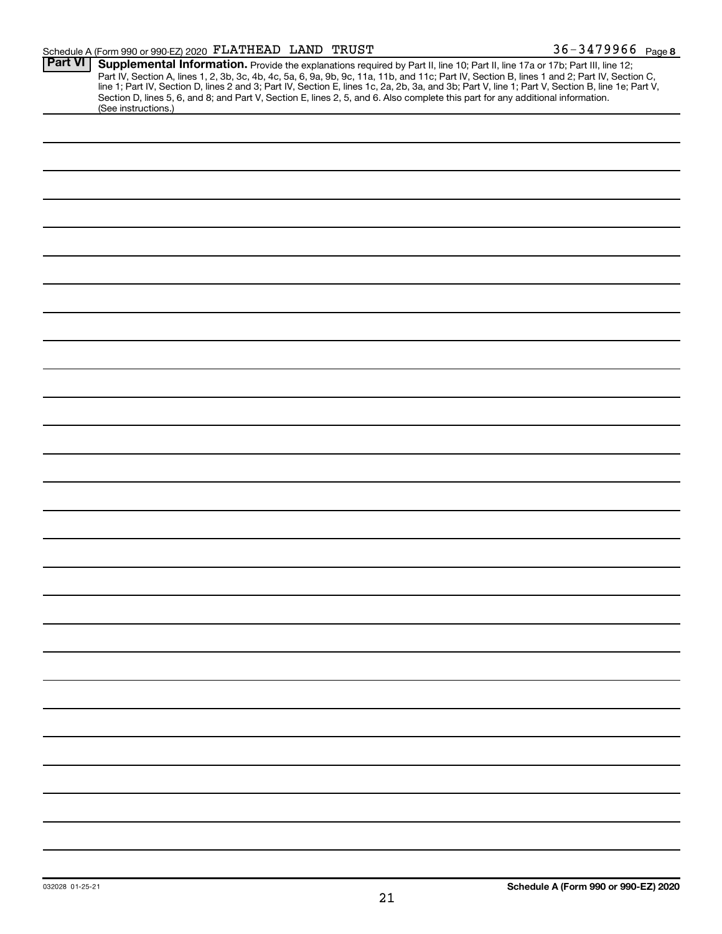| <b>Part VI</b> |                                                                                                                                                                                                                                                                               |  |  |
|----------------|-------------------------------------------------------------------------------------------------------------------------------------------------------------------------------------------------------------------------------------------------------------------------------|--|--|
|                | Supplemental Information. Provide the explanations required by Part II, line 10; Part II, line 17a or 17b; Part III, line 12;<br>Part IV, Section A, lines 1, 2, 3b, 3c, 4b, 4c, 5a, 6, 9a, 9b, 9c, 11a, 11b, and 11c; Part IV, Section B, lines 1 and 2; Part IV, Section C, |  |  |
|                | line 1; Part IV, Section D, lines 2 and 3; Part IV, Section E, lines 1c, 2a, 2b, 3a, and 3b; Part V, line 1; Part V, Section B, line 1e; Part V,                                                                                                                              |  |  |
|                | Section D, lines 5, 6, and 8; and Part V, Section E, lines 2, 5, and 6. Also complete this part for any additional information.                                                                                                                                               |  |  |
|                | (See instructions.)                                                                                                                                                                                                                                                           |  |  |
|                |                                                                                                                                                                                                                                                                               |  |  |
|                |                                                                                                                                                                                                                                                                               |  |  |
|                |                                                                                                                                                                                                                                                                               |  |  |
|                |                                                                                                                                                                                                                                                                               |  |  |
|                |                                                                                                                                                                                                                                                                               |  |  |
|                |                                                                                                                                                                                                                                                                               |  |  |
|                |                                                                                                                                                                                                                                                                               |  |  |
|                |                                                                                                                                                                                                                                                                               |  |  |
|                |                                                                                                                                                                                                                                                                               |  |  |
|                |                                                                                                                                                                                                                                                                               |  |  |
|                |                                                                                                                                                                                                                                                                               |  |  |
|                |                                                                                                                                                                                                                                                                               |  |  |
|                |                                                                                                                                                                                                                                                                               |  |  |
|                |                                                                                                                                                                                                                                                                               |  |  |
|                |                                                                                                                                                                                                                                                                               |  |  |
|                |                                                                                                                                                                                                                                                                               |  |  |
|                |                                                                                                                                                                                                                                                                               |  |  |
|                |                                                                                                                                                                                                                                                                               |  |  |
|                |                                                                                                                                                                                                                                                                               |  |  |
|                |                                                                                                                                                                                                                                                                               |  |  |
|                |                                                                                                                                                                                                                                                                               |  |  |
|                |                                                                                                                                                                                                                                                                               |  |  |
|                |                                                                                                                                                                                                                                                                               |  |  |
|                |                                                                                                                                                                                                                                                                               |  |  |
|                |                                                                                                                                                                                                                                                                               |  |  |
|                |                                                                                                                                                                                                                                                                               |  |  |
|                |                                                                                                                                                                                                                                                                               |  |  |
|                |                                                                                                                                                                                                                                                                               |  |  |
|                |                                                                                                                                                                                                                                                                               |  |  |
|                |                                                                                                                                                                                                                                                                               |  |  |
|                |                                                                                                                                                                                                                                                                               |  |  |
|                |                                                                                                                                                                                                                                                                               |  |  |
|                |                                                                                                                                                                                                                                                                               |  |  |
|                |                                                                                                                                                                                                                                                                               |  |  |
|                |                                                                                                                                                                                                                                                                               |  |  |
|                |                                                                                                                                                                                                                                                                               |  |  |
|                |                                                                                                                                                                                                                                                                               |  |  |
|                |                                                                                                                                                                                                                                                                               |  |  |
|                |                                                                                                                                                                                                                                                                               |  |  |
|                |                                                                                                                                                                                                                                                                               |  |  |
|                |                                                                                                                                                                                                                                                                               |  |  |
|                |                                                                                                                                                                                                                                                                               |  |  |
|                |                                                                                                                                                                                                                                                                               |  |  |
|                |                                                                                                                                                                                                                                                                               |  |  |
|                |                                                                                                                                                                                                                                                                               |  |  |
|                |                                                                                                                                                                                                                                                                               |  |  |
|                |                                                                                                                                                                                                                                                                               |  |  |
|                |                                                                                                                                                                                                                                                                               |  |  |
|                |                                                                                                                                                                                                                                                                               |  |  |
|                |                                                                                                                                                                                                                                                                               |  |  |
|                |                                                                                                                                                                                                                                                                               |  |  |
|                |                                                                                                                                                                                                                                                                               |  |  |
|                |                                                                                                                                                                                                                                                                               |  |  |
|                |                                                                                                                                                                                                                                                                               |  |  |
|                |                                                                                                                                                                                                                                                                               |  |  |
|                |                                                                                                                                                                                                                                                                               |  |  |
|                |                                                                                                                                                                                                                                                                               |  |  |
|                |                                                                                                                                                                                                                                                                               |  |  |
|                |                                                                                                                                                                                                                                                                               |  |  |
|                |                                                                                                                                                                                                                                                                               |  |  |
|                |                                                                                                                                                                                                                                                                               |  |  |
|                |                                                                                                                                                                                                                                                                               |  |  |
|                |                                                                                                                                                                                                                                                                               |  |  |
|                |                                                                                                                                                                                                                                                                               |  |  |
|                |                                                                                                                                                                                                                                                                               |  |  |
|                |                                                                                                                                                                                                                                                                               |  |  |
|                |                                                                                                                                                                                                                                                                               |  |  |
|                |                                                                                                                                                                                                                                                                               |  |  |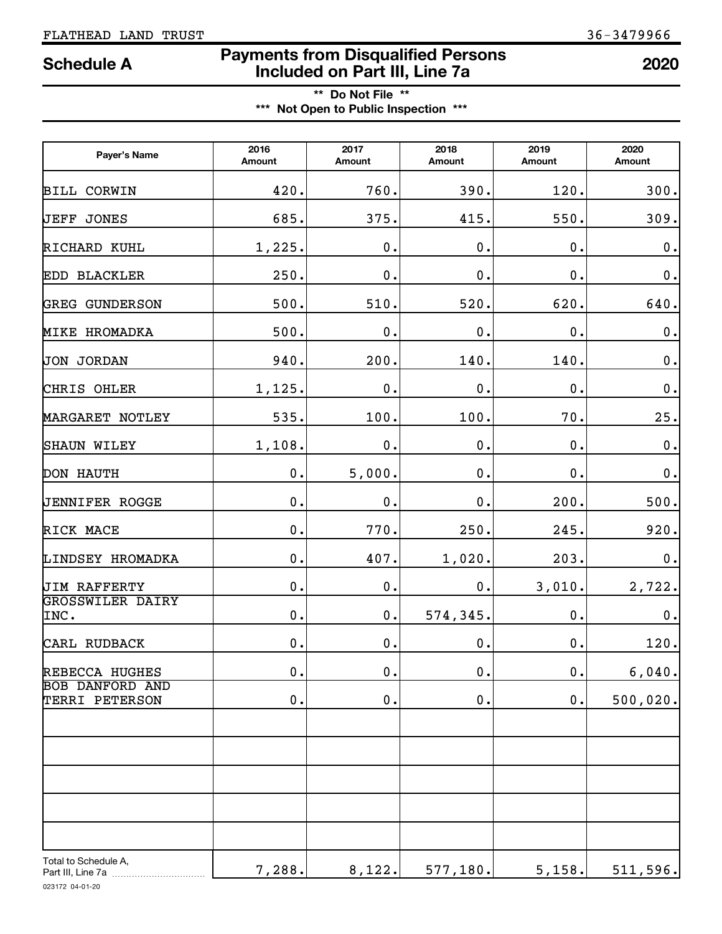# **Payments from Disqualified Persons Included on Part III, Line 7a Schedule A <sup>2020</sup>**

**\*\* Do Not File \*\* \*\*\* Not Open to Public Inspection \*\*\***

| Payer's Name                              | 2016<br>Amount | 2017<br>Amount | 2018<br>Amount | 2019<br>Amount | 2020<br>Amount |
|-------------------------------------------|----------------|----------------|----------------|----------------|----------------|
| <b>BILL CORWIN</b>                        | 420.           | 760.           | 390.           | 120.           | 300.           |
| JEFF<br><b>JONES</b>                      | 685.           | 375.           | 415.           | 550.           | 309.           |
| RICHARD KUHL                              | 1,225.         | 0.             | 0.             | $\mathbf 0$ .  | $\mathbf 0$ .  |
| <b>EDD BLACKLER</b>                       | 250.           | 0.             | 0.             | $\mathbf 0$ .  | 0.             |
| <b>GREG GUNDERSON</b>                     | 500.           | 510.           | 520.           | 620.           | 640.           |
| <b>MIKE HROMADKA</b>                      | 500.           | 0.             | 0.             | $\mathbf 0$ .  | $\mathbf 0$ .  |
| JON JORDAN                                | 940.           | 200.           | 140.           | 140.           | $\mathbf 0$ .  |
| CHRIS OHLER                               | 1,125.         | 0.             | 0.             | $\mathbf 0$ .  | $\mathbf 0$ .  |
| <b>MARGARET NOTLEY</b>                    | 535.           | 100.           | 100.           | 70.            | 25.            |
| <b>SHAUN WILEY</b>                        | 1,108.         | 0.             | 0.             | $\mathbf 0$ .  | $\mathbf 0$ .  |
| DON HAUTH                                 | 0.             | 5,000.         | 0.             | $\mathbf 0$ .  | 0.             |
| <b>JENNIFER ROGGE</b>                     | 0.             | 0.             | 0.             | 200.           | 500.           |
| RICK MACE                                 | 0.             | 770.           | 250.           | 245.           | 920.           |
| LINDSEY HROMADKA                          | 0.             | 407.           | 1,020.         | 203.           | 0.             |
| <b>JIM RAFFERTY</b>                       | 0.             | 0.             | 0.             | 3,010.         | 2,722.         |
| <b>GROSSWILER DAIRY</b><br>INC.           | 0.             | 0.             | 574,345.       | $\mathbf 0$ .  | 0.             |
| CARL RUDBACK                              | 0.             | $\mathbf 0$ .  | 0.             | $\mathbf 0$ .  | 120.           |
| REBECCA HUGHES                            | 0.             | 0.             | 0.             | $\mathbf 0$ .  | 6,040.         |
| <b>BOB DANFORD AND</b><br>TERRI PETERSON  | 0.             | 0.             | 0.             | $\mathbf 0$ .  | 500,020.       |
|                                           |                |                |                |                |                |
| Total to Schedule A,<br>Part III, Line 7a | 7,288.         | 8,122.         | 577,180.       | 5,158.         | 511, 596.      |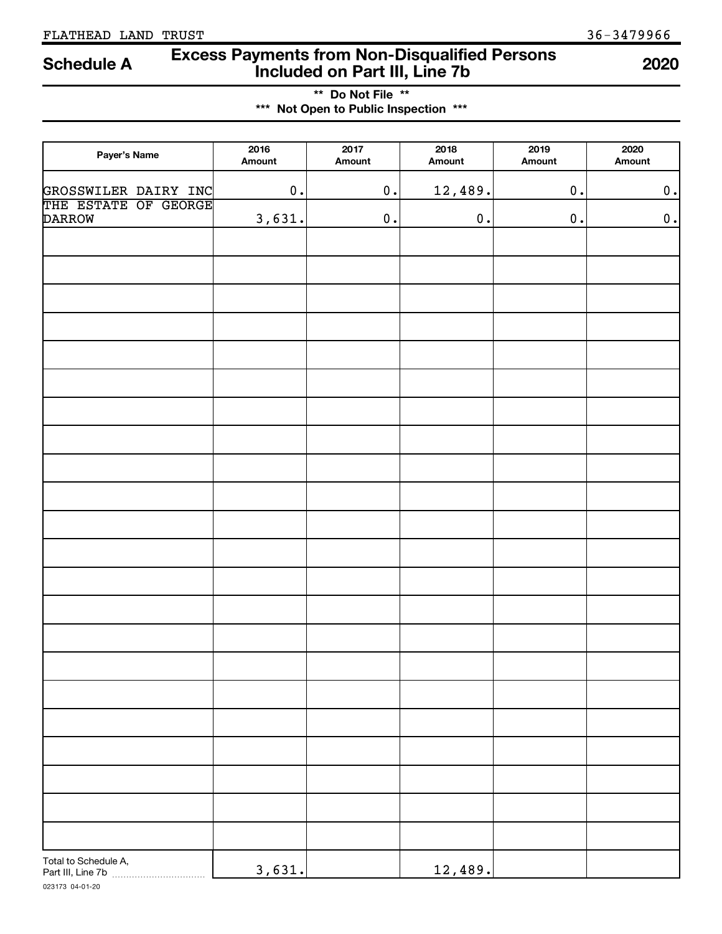# **Excess Payments from Non-Disqualified Persons Included on Part III, Line 7b Schedule A <sup>2020</sup>**

**\*\* Do Not File \*\* \*\*\* Not Open to Public Inspection \*\*\***

| Payer's Name                              | 2016<br>Amount | 2017<br>Amount | 2018<br>Amount | 2019<br>Amount | 2020<br>Amount |
|-------------------------------------------|----------------|----------------|----------------|----------------|----------------|
| GROSSWILER DAIRY INC                      | $\mathbf 0$ .  | $\mathbf 0$ .  | 12,489.        | $\mathbf 0$ .  | $\mathbf{0}$ . |
| THE ESTATE OF GEORGE<br><b>DARROW</b>     | 3,631.         | $\mathbf 0$ .  | $\mathbf 0$ .  | $\mathbf 0$ .  | 0.             |
|                                           |                |                |                |                |                |
|                                           |                |                |                |                |                |
|                                           |                |                |                |                |                |
|                                           |                |                |                |                |                |
|                                           |                |                |                |                |                |
|                                           |                |                |                |                |                |
|                                           |                |                |                |                |                |
|                                           |                |                |                |                |                |
|                                           |                |                |                |                |                |
|                                           |                |                |                |                |                |
|                                           |                |                |                |                |                |
|                                           |                |                |                |                |                |
|                                           |                |                |                |                |                |
|                                           |                |                |                |                |                |
|                                           |                |                |                |                |                |
|                                           |                |                |                |                |                |
|                                           |                |                |                |                |                |
|                                           |                |                |                |                |                |
|                                           |                |                |                |                |                |
|                                           |                |                |                |                |                |
|                                           |                |                |                |                |                |
|                                           |                |                |                |                |                |
| Total to Schedule A,<br>Part III, Line 7b | 3,631.         |                | 12,489.        |                |                |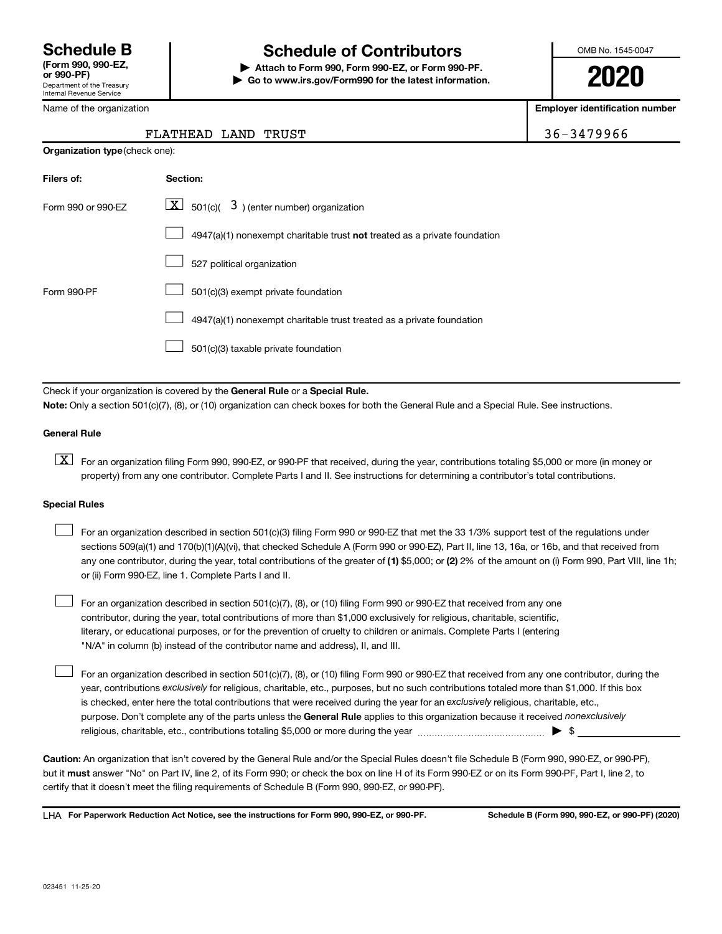Department of the Treasury Internal Revenue Service

## **Schedule B Schedule of Contributors**

**or 990-PF) | Attach to Form 990, Form 990-EZ, or Form 990-PF. | Go to www.irs.gov/Form990 for the latest information.** OMB No. 1545-0047

**2020**

**Employer identification number**

| Name of the organization |
|--------------------------|
|--------------------------|

**Organization type** (check one):

### FLATHEAD LAND TRUST NATIONAL SERVICE RELATION 136-3479966

| Filers of:         | Section:                                                                           |
|--------------------|------------------------------------------------------------------------------------|
| Form 990 or 990-EZ | $\boxed{\textbf{X}}$ 501(c)( 3) (enter number) organization                        |
|                    | $4947(a)(1)$ nonexempt charitable trust <b>not</b> treated as a private foundation |
|                    | 527 political organization                                                         |
| Form 990-PF        | 501(c)(3) exempt private foundation                                                |
|                    | 4947(a)(1) nonexempt charitable trust treated as a private foundation              |
|                    | 501(c)(3) taxable private foundation                                               |

Check if your organization is covered by the General Rule or a Special Rule.

**Note:**  Only a section 501(c)(7), (8), or (10) organization can check boxes for both the General Rule and a Special Rule. See instructions.

### **General Rule**

**K** For an organization filing Form 990, 990-EZ, or 990-PF that received, during the year, contributions totaling \$5,000 or more (in money or property) from any one contributor. Complete Parts I and II. See instructions for determining a contributor's total contributions.

### **Special Rules**

 $\Box$ 

any one contributor, during the year, total contributions of the greater of (1) \$5,000; or (2) 2% of the amount on (i) Form 990, Part VIII, line 1h; For an organization described in section 501(c)(3) filing Form 990 or 990-EZ that met the 33 1/3% support test of the regulations under sections 509(a)(1) and 170(b)(1)(A)(vi), that checked Schedule A (Form 990 or 990-EZ), Part II, line 13, 16a, or 16b, and that received from or (ii) Form 990-EZ, line 1. Complete Parts I and II.  $\Box$ 

For an organization described in section 501(c)(7), (8), or (10) filing Form 990 or 990-EZ that received from any one contributor, during the year, total contributions of more than \$1,000 exclusively for religious, charitable, scientific, literary, or educational purposes, or for the prevention of cruelty to children or animals. Complete Parts I (entering "N/A" in column (b) instead of the contributor name and address), II, and III.  $\Box$ 

purpose. Don't complete any of the parts unless the General Rule applies to this organization because it received nonexclusively year, contributions exclusively for religious, charitable, etc., purposes, but no such contributions totaled more than \$1,000. If this box is checked, enter here the total contributions that were received during the year for an exclusively religious, charitable, etc., For an organization described in section 501(c)(7), (8), or (10) filing Form 990 or 990-EZ that received from any one contributor, during the religious, charitable, etc., contributions totaling \$5,000 or more during the year  $\ldots$  $\ldots$  $\ldots$  $\ldots$  $\ldots$  $\ldots$ 

**Caution:**  An organization that isn't covered by the General Rule and/or the Special Rules doesn't file Schedule B (Form 990, 990-EZ, or 990-PF),  **must** but it answer "No" on Part IV, line 2, of its Form 990; or check the box on line H of its Form 990-EZ or on its Form 990-PF, Part I, line 2, to certify that it doesn't meet the filing requirements of Schedule B (Form 990, 990-EZ, or 990-PF).

**For Paperwork Reduction Act Notice, see the instructions for Form 990, 990-EZ, or 990-PF. Schedule B (Form 990, 990-EZ, or 990-PF) (2020)** LHA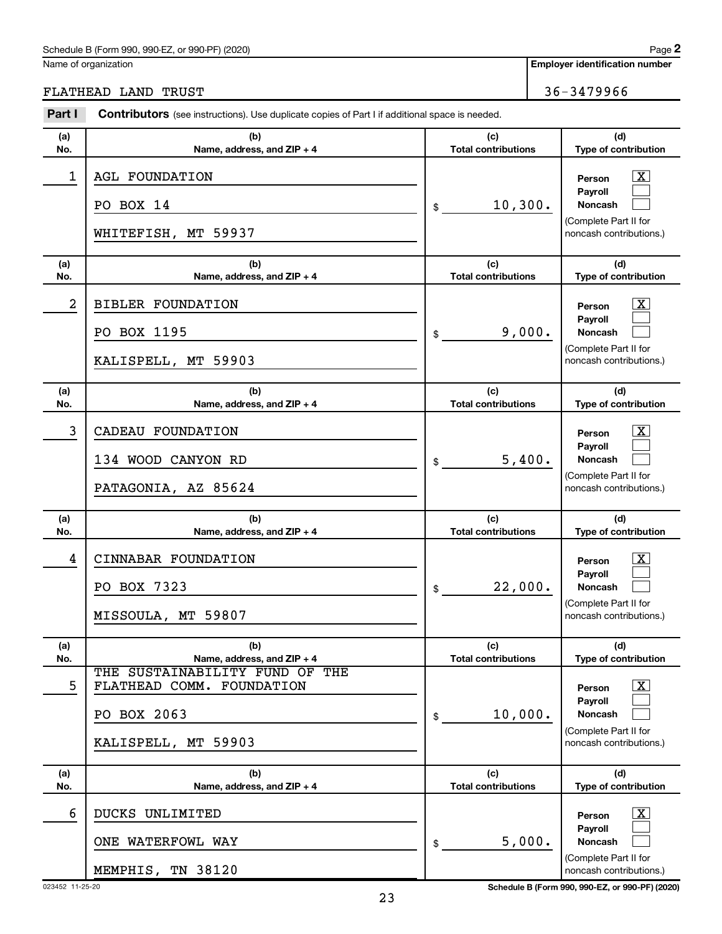Name of organization

### FLATHEAD LAND TRUST 36-3479966

| Part I     | <b>Contributors</b> (see instructions). Use duplicate copies of Part I if additional space is needed. |                                   |                                                                                                                           |  |  |
|------------|-------------------------------------------------------------------------------------------------------|-----------------------------------|---------------------------------------------------------------------------------------------------------------------------|--|--|
| (a)<br>No. | (b)<br>Name, address, and ZIP + 4                                                                     | (c)<br><b>Total contributions</b> | (d)<br>Type of contribution                                                                                               |  |  |
| 1          | <b>AGL FOUNDATION</b><br>PO BOX 14<br>WHITEFISH, MT 59937                                             | 10,300.<br>\$                     | $\overline{\mathbf{X}}$<br>Person<br><b>Payroll</b><br><b>Noncash</b><br>(Complete Part II for<br>noncash contributions.) |  |  |
| (a)<br>No. | (b)<br>Name, address, and $ZIP + 4$                                                                   | (c)<br><b>Total contributions</b> | (d)<br>Type of contribution                                                                                               |  |  |
| 2          | <b>BIBLER FOUNDATION</b><br>PO BOX 1195<br>KALISPELL, MT 59903                                        | 9,000.<br>\$                      | $\overline{\mathbf{X}}$<br>Person<br>Payroll<br><b>Noncash</b><br>(Complete Part II for<br>noncash contributions.)        |  |  |
| (a)<br>No. | (b)<br>Name, address, and $ZIP + 4$                                                                   | (c)<br><b>Total contributions</b> | (d)<br>Type of contribution                                                                                               |  |  |
| 3          | CADEAU FOUNDATION<br>134 WOOD CANYON RD<br>PATAGONIA, AZ 85624                                        | 5,400.<br>\$                      | $\overline{\mathbf{X}}$<br>Person<br>Payroll<br><b>Noncash</b><br>(Complete Part II for<br>noncash contributions.)        |  |  |
| (a)<br>No. | (b)<br>Name, address, and $ZIP + 4$                                                                   | (c)<br><b>Total contributions</b> | (d)<br><b>Type of contribution</b>                                                                                        |  |  |
| 4          | CINNABAR FOUNDATION<br>PO BOX 7323<br>MISSOULA, MT 59807                                              | 22,000.<br>\$                     | $\overline{\mathbf{X}}$<br>Person<br>Payroll<br><b>Noncash</b><br>(Complete Part II for<br>noncash contributions.)        |  |  |
| (a)<br>No. | (b)<br>Name, address, and ZIP + 4                                                                     | (c)<br><b>Total contributions</b> | (d)<br>Type of contribution                                                                                               |  |  |
| 5          | THE SUSTAINABILITY FUND OF THE<br>FLATHEAD COMM. FOUNDATION<br>PO BOX 2063<br>KALISPELL, MT 59903     | 10,000.<br>\$                     | $\overline{\mathbf{X}}$<br>Person<br>Payroll<br><b>Noncash</b><br>(Complete Part II for<br>noncash contributions.)        |  |  |
| (a)<br>No. | (b)<br>Name, address, and $ZIP + 4$                                                                   | (c)<br><b>Total contributions</b> | (d)<br>Type of contribution                                                                                               |  |  |
| 6          | DUCKS UNLIMITED<br>ONE WATERFOWL WAY<br>MEMPHIS, TN 38120                                             | 5,000.<br>\$                      | $\vert X \vert$<br>Person<br>Payroll<br><b>Noncash</b><br>(Complete Part II for<br>noncash contributions.)                |  |  |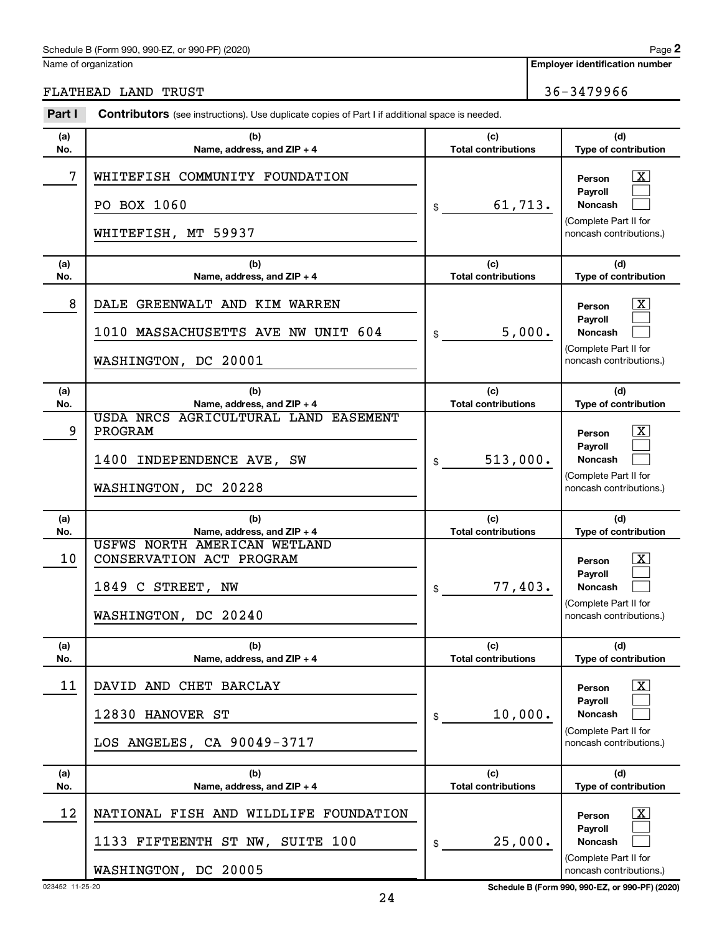Name of organization

### FLATHEAD LAND TRUST 36-3479966

| Part I     | <b>Contributors</b> (see instructions). Use duplicate copies of Part I if additional space is needed.                                 |                                              |                                                                                                                                                   |  |  |
|------------|---------------------------------------------------------------------------------------------------------------------------------------|----------------------------------------------|---------------------------------------------------------------------------------------------------------------------------------------------------|--|--|
| (a)<br>No. | (b)<br>Name, address, and ZIP + 4                                                                                                     | (c)<br><b>Total contributions</b>            | (d)<br>Type of contribution                                                                                                                       |  |  |
| 7          | WHITEFISH COMMUNITY FOUNDATION<br>PO BOX 1060<br>WHITEFISH, MT 59937                                                                  | 61,713.<br>\$                                | <u>x</u><br>Person<br><b>Payroll</b><br><b>Noncash</b><br>(Complete Part II for<br>noncash contributions.)                                        |  |  |
| (a)<br>No. | (b)<br>Name, address, and $ZIP + 4$                                                                                                   | (c)<br><b>Total contributions</b>            | (d)<br>Type of contribution                                                                                                                       |  |  |
| 8          | DALE GREENWALT AND KIM WARREN<br>1010 MASSACHUSETTS AVE NW UNIT 604<br>WASHINGTON, DC 20001                                           | 5,000.<br>\$                                 | $\overline{\mathbf{X}}$<br>Person<br><b>Payroll</b><br><b>Noncash</b><br>(Complete Part II for<br>noncash contributions.)                         |  |  |
| (a)        | (b)                                                                                                                                   | (c)                                          | (d)                                                                                                                                               |  |  |
| No.<br>9   | Name, address, and $ZIP + 4$<br>USDA NRCS AGRICULTURAL LAND EASEMENT<br>PROGRAM<br>1400 INDEPENDENCE AVE, SW<br>WASHINGTON, DC 20228  | <b>Total contributions</b><br>513,000.<br>\$ | Type of contribution<br>$\overline{\text{X}}$<br>Person<br><b>Pavroll</b><br><b>Noncash</b><br>(Complete Part II for<br>noncash contributions.)   |  |  |
| (a)        | (b)                                                                                                                                   | (c)                                          | (d)                                                                                                                                               |  |  |
| No.<br>10  | Name, address, and $ZIP + 4$<br>USFWS NORTH AMERICAN WETLAND<br>CONSERVATION ACT PROGRAM<br>1849 C STREET, NW<br>WASHINGTON, DC 20240 | <b>Total contributions</b><br>77,403.<br>\$  | Type of contribution<br>$\overline{\mathbf{X}}$<br>Person<br><b>Pavroll</b><br><b>Noncash</b><br>(Complete Part II for<br>noncash contributions.) |  |  |
| (a)<br>No. | (b)<br>Name, address, and $ZIP + 4$                                                                                                   | (c)<br><b>Total contributions</b>            | (d)<br>Type of contribution                                                                                                                       |  |  |
| 11         | DAVID AND CHET BARCLAY<br>12830 HANOVER ST<br>LOS ANGELES, CA 90049-3717                                                              | 10,000.<br>\$                                | $\mathbf{X}$<br>Person<br><b>Payroll</b><br>Noncash<br>(Complete Part II for<br>noncash contributions.)                                           |  |  |
| (a)<br>No. | (b)<br>Name, address, and $ZIP + 4$                                                                                                   | (c)<br><b>Total contributions</b>            | (d)<br>Type of contribution                                                                                                                       |  |  |
| 12         | NATIONAL FISH AND WILDLIFE FOUNDATION<br>1133 FIFTEENTH ST NW, SUITE 100<br>WASHINGTON, DC 20005                                      | 25,000.<br>\$                                | $\mathbf{X}$<br>Person<br><b>Payroll</b><br><b>Noncash</b><br>(Complete Part II for<br>noncash contributions.)                                    |  |  |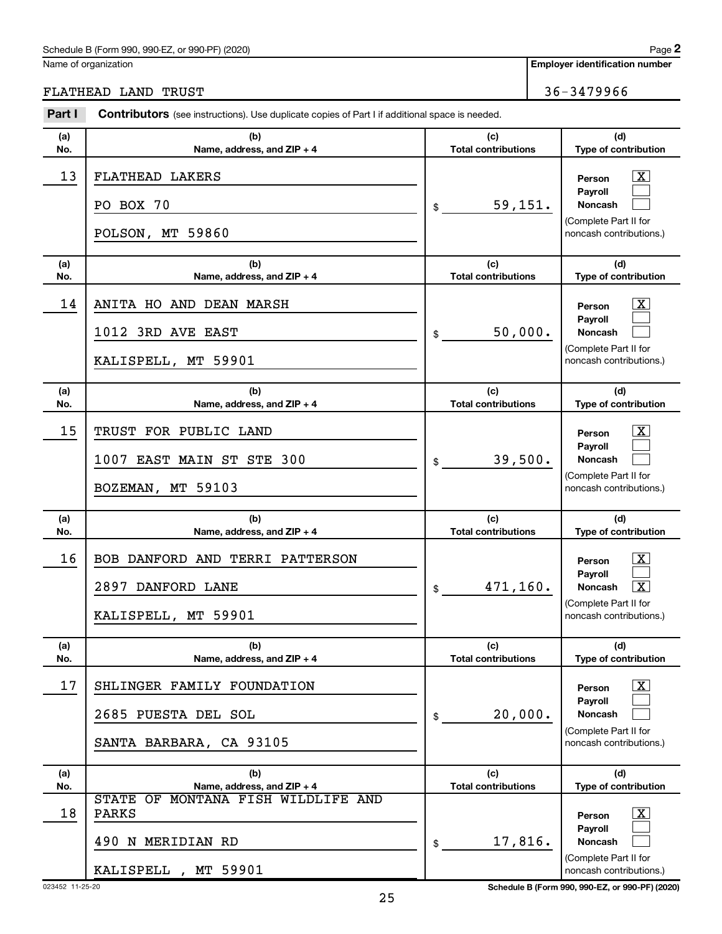Name of organization

FLATHEAD LAND TRUST 36-3479966

#### **(a) No. (b) Name, address, and ZIP + 4 (c) Total contributions (d) Type of contribution Person Payroll Noncash (a) No. (b) Name, address, and ZIP + 4 (c) Total contributions (d) Type of contribution Person Payroll Noncash (a) No. (b) Name, address, and ZIP + 4 (c) Total contributions (d) Type of contribution Person Payroll Noncash (a) No. (b) Name, address, and ZIP + 4 (c) Total contributions (d) Type of contribution Person Payroll Noncash (a) No. (b) Name, address, and ZIP + 4 (c) Total contributions (d) Type of contribution Person Payroll Noncash (a) No. (b) Name, address, and ZIP + 4 (c) Total contributions (d) Type of contribution Person Payroll Noncash Part I** Contributors (see instructions). Use duplicate copies of Part I if additional space is needed. \$ (Complete Part II for noncash contributions.) \$ (Complete Part II for noncash contributions.) \$ (Complete Part II for noncash contributions.) \$ (Complete Part II for noncash contributions.) \$ (Complete Part II for noncash contributions.) \$ (Complete Part II for noncash contributions.) †  $\Box$  $\Box$  $\overline{\mathbf{X}}$  $\Box$  $\Box$  $\lceil \text{X} \rceil$  $\Box$  $\Box$  $\boxed{\textbf{X}}$  $\Box$  $\lceil \texttt{X} \rceil$  $\boxed{\textbf{X}}$  $\Box$  $\Box$  $\boxed{\textbf{X}}$  $\Box$  $\Box$ 13 | FLATHEAD LAKERS PO BOX 70  $\frac{1}{3}$  59,151. POLSON, MT 59860 14 | ANITA HO AND DEAN MARSH 1012 3RD AVE EAST  $\begin{array}{ccc} 1012 & 3R \end{array}$  50,000. KALISPELL, MT 59901 15 | TRUST FOR PUBLIC LAND 1007 EAST MAIN ST STE 300  $\frac{1}{3}$  39,500. BOZEMAN, MT 59103 16 | BOB DANFORD AND TERRI PATTERSON  $2897$  DANFORD LANE  $\begin{array}{ccc} 1 & 471,160 \end{array}$ KALISPELL, MT 59901 17 | SHLINGER FAMILY FOUNDATION 2685 PUESTA DEL SOL 20,000. SANTA BARBARA, CA 93105 18 STATE OF MONTANA FISH WILDLIFE AND PARKS X 490 N MERIDIAN RD **17,816**. KALISPELL , MT 59901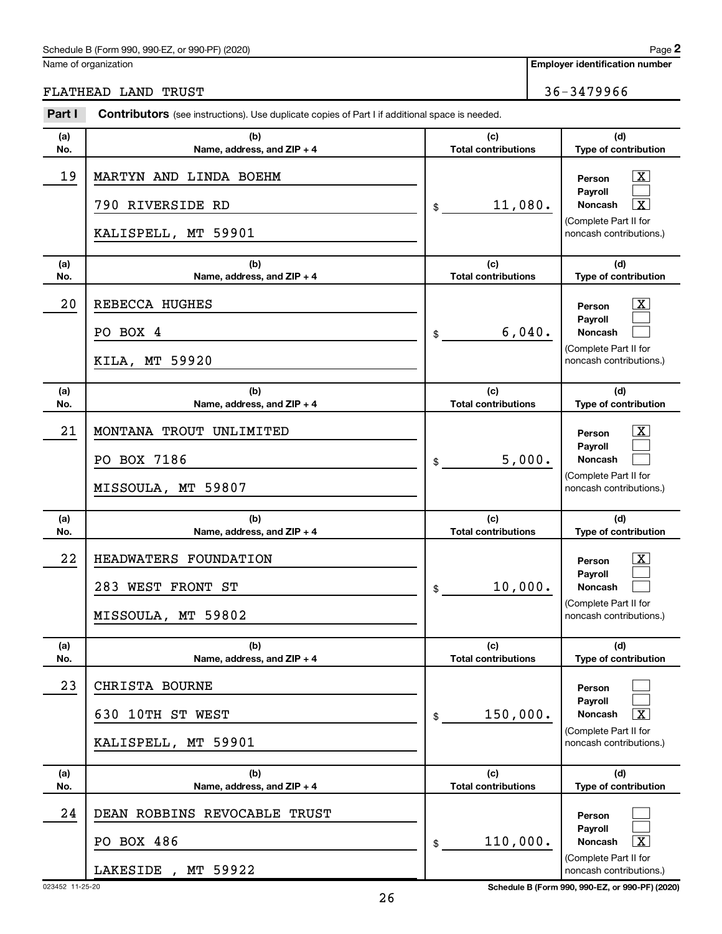Name of organization

FLATHEAD LAND TRUST 36-3479966

#### **(a) No. (b) Name, address, and ZIP + 4 (c) Total contributions (d) Type of contribution Person Payroll Noncash (a) No. (b) Name, address, and ZIP + 4 (c) Total contributions (d) Type of contribution Person Payroll Noncash (a) No. (b) Name, address, and ZIP + 4 (c) Total contributions (d) Type of contribution Person Payroll Noncash (a) No. (b) Name, address, and ZIP + 4 (c) Total contributions (d) Type of contribution Person Payroll Noncash (a) No. (b) Name, address, and ZIP + 4 (c) Total contributions (d) Type of contribution Person Payroll Noncash (a) No. (b) Name, address, and ZIP + 4 (c) Total contributions (d) Type of contribution Person Payroll Noncash Part I** Contributors (see instructions). Use duplicate copies of Part I if additional space is needed. \$ (Complete Part II for noncash contributions.) \$ (Complete Part II for noncash contributions.) \$ (Complete Part II for noncash contributions.) \$ (Complete Part II for noncash contributions.) \$ (Complete Part II for noncash contributions.) \$ (Complete Part II for noncash contributions.) †  $\Box$  $\lceil \texttt{X} \rceil$  $\overline{\mathbf{X}}$  $\Box$  $\Box$  $\lceil \text{X} \rceil$  $\Box$  $\Box$  $\boxed{\textbf{X}}$  $\Box$  $\Box$  $\Box$  $\Box$  $\sqrt{X}$  $\Box$  $\Box$  $\sqrt{X}$ 19 MARTYN AND LINDA BOEHM X 790 RIVERSIDE RD 11,080. X KALISPELL, MT 59901 20 | REBECCA HUGHES PO BOX 4 6,040. KILA, MT 59920 21 | MONTANA TROUT UNLIMITED PO BOX 7186  $\frac{1}{3}$  5,000. MISSOULA, MT 59807 22 | HEADWATERS FOUNDATION 283 WEST FRONT ST 10,000. MISSOULA, MT 59802 23 CHRISTA BOURNE 630 10TH ST WEST  $\begin{array}{c|c|c|c|c} \hline \end{array}$  (s 150,000. KALISPELL, MT 59901 24 DEAN ROBBINS REVOCABLE TRUST PO BOX 486  $\frac{1}{3}$  110,000. LAKESIDE , MT 59922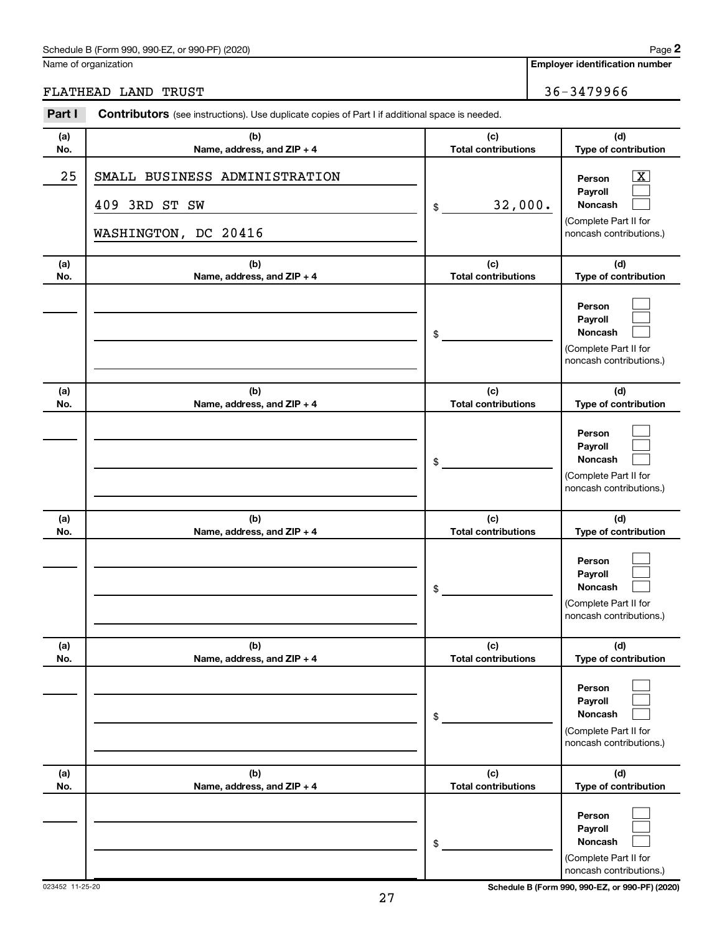Name of organization

**Employer identification number**

FLATHEAD LAND TRUST 36-3479966

| Part I     | <b>Contributors</b> (see instructions). Use duplicate copies of Part I if additional space is needed. |                                   |                                                                                                           |
|------------|-------------------------------------------------------------------------------------------------------|-----------------------------------|-----------------------------------------------------------------------------------------------------------|
| (a)<br>No. | (b)<br>Name, address, and ZIP + 4                                                                     | (c)<br><b>Total contributions</b> | (d)<br>Type of contribution                                                                               |
| 25         | SMALL BUSINESS ADMINISTRATION<br>409 3RD ST SW<br>WASHINGTON, DC 20416                                | 32,000.<br>\$                     | $\overline{\text{X}}$<br>Person<br>Payroll<br>Noncash<br>(Complete Part II for<br>noncash contributions.) |
| (a)<br>No. | (b)<br>Name, address, and ZIP + 4                                                                     | (c)<br><b>Total contributions</b> | (d)<br>Type of contribution                                                                               |
|            |                                                                                                       | \$                                | Person<br>Payroll<br>Noncash<br>(Complete Part II for<br>noncash contributions.)                          |
| (a)<br>No. | (b)<br>Name, address, and ZIP + 4                                                                     | (c)<br><b>Total contributions</b> | (d)<br>Type of contribution                                                                               |
|            |                                                                                                       | \$                                | Person<br>Payroll<br>Noncash<br>(Complete Part II for<br>noncash contributions.)                          |
| (a)<br>No. | (b)<br>Name, address, and ZIP + 4                                                                     | (c)<br><b>Total contributions</b> | (d)<br>Type of contribution                                                                               |
|            |                                                                                                       | \$                                | Person<br>Payroll<br><b>Noncash</b><br>(Complete Part II for<br>noncash contributions.)                   |
| (a)<br>No. | (b)<br>Name, address, and ZIP + 4                                                                     | (c)<br><b>Total contributions</b> | (d)<br>Type of contribution                                                                               |
|            |                                                                                                       | \$                                | Person<br>Payroll<br>Noncash<br>(Complete Part II for<br>noncash contributions.)                          |
| (a)<br>No. | (b)<br>Name, address, and ZIP + 4                                                                     | (c)<br><b>Total contributions</b> | (d)<br>Type of contribution                                                                               |
|            |                                                                                                       | \$                                | Person<br>Payroll<br>Noncash<br>(Complete Part II for<br>noncash contributions.)                          |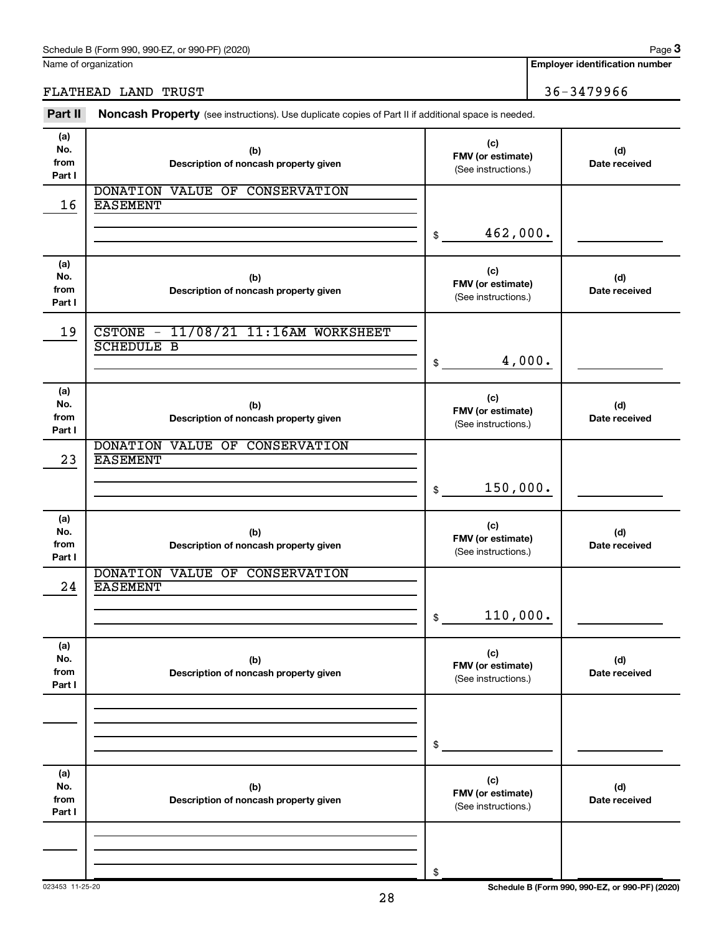Name of organization

### FLATHEAD LAND TRUST 36-3479966

Part II Noncash Property (see instructions). Use duplicate copies of Part II if additional space is needed.

| (a)<br>No.      | (b)                                                                          | (c)<br>FMV (or estimate)                 | (d)                                             |
|-----------------|------------------------------------------------------------------------------|------------------------------------------|-------------------------------------------------|
| from<br>Part I  | Description of noncash property given                                        | (See instructions.)                      | Date received                                   |
| 16              | <b>CONSERVATION</b><br><b>DONATION</b><br>VALUE OF<br><b>EASEMENT</b>        |                                          |                                                 |
|                 |                                                                              | 462,000.<br>\$                           |                                                 |
|                 |                                                                              |                                          |                                                 |
| (a)<br>No.      | (b)                                                                          | (c)<br>FMV (or estimate)                 | (d)                                             |
| from<br>Part I  | Description of noncash property given                                        | (See instructions.)                      | Date received                                   |
| 19              | CSTONE - 11/08/21 11:16AM WORKSHEET                                          |                                          |                                                 |
|                 | <b>SCHEDULE B</b>                                                            | 4,000.<br>\$                             |                                                 |
|                 |                                                                              |                                          |                                                 |
| (a)<br>No.      | (b)                                                                          | (c)                                      | (d)                                             |
| from<br>Part I  | Description of noncash property given                                        | FMV (or estimate)<br>(See instructions.) | Date received                                   |
| 23              | <b>DONATION</b><br><b>VALUE OF</b><br><b>CONSERVATION</b><br><b>EASEMENT</b> |                                          |                                                 |
|                 |                                                                              |                                          |                                                 |
|                 |                                                                              | 150,000.<br>\$                           |                                                 |
| (a)<br>No.      | (b)                                                                          | (c)                                      | (d)                                             |
| from            | Description of noncash property given                                        | FMV (or estimate)<br>(See instructions.) | Date received                                   |
| Part I          | <b>DONATION</b><br>VALUE OF<br><b>CONSERVATION</b>                           |                                          |                                                 |
| 24              | <b>EASEMENT</b>                                                              |                                          |                                                 |
|                 |                                                                              | 110,000.<br>\$                           |                                                 |
| (a)             |                                                                              |                                          |                                                 |
| No.<br>from     | (b)<br>Description of noncash property given                                 | (c)<br>FMV (or estimate)                 | (d)<br>Date received                            |
| Part I          |                                                                              | (See instructions.)                      |                                                 |
|                 |                                                                              |                                          |                                                 |
|                 |                                                                              | \$                                       |                                                 |
|                 |                                                                              |                                          |                                                 |
| (a)<br>No.      | (b)                                                                          | (c)<br>FMV (or estimate)                 | (d)                                             |
| from<br>Part I  | Description of noncash property given                                        | (See instructions.)                      | Date received                                   |
|                 |                                                                              |                                          |                                                 |
|                 |                                                                              |                                          |                                                 |
| 023453 11-25-20 |                                                                              | \$                                       | Schedule B (Form 990, 990-EZ, or 990-PF) (2020) |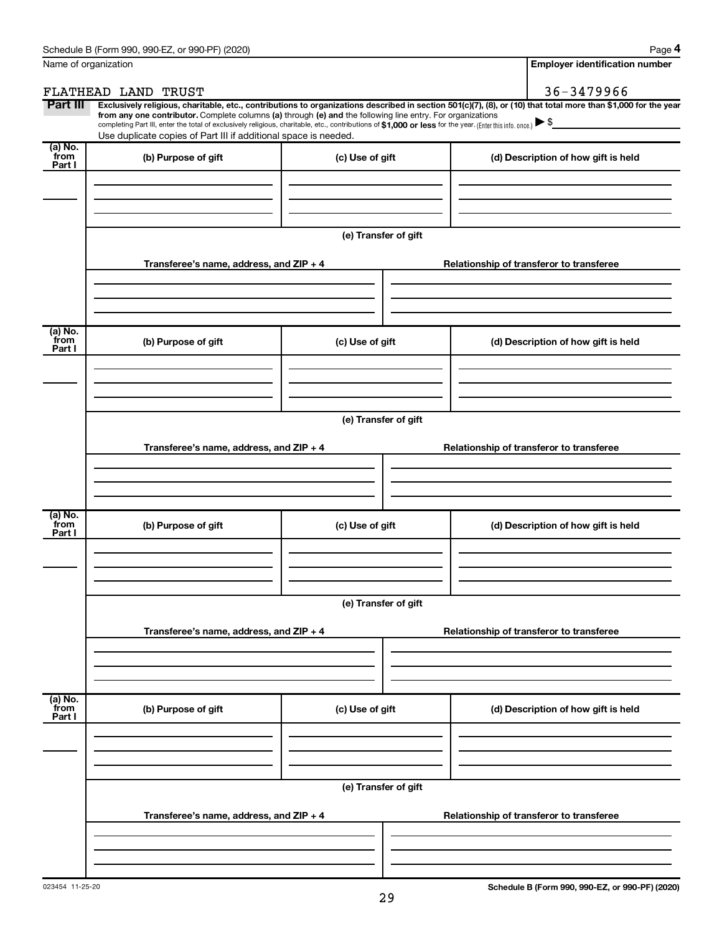| Name of organization      |                                                                                                                                                                                                                                                                                                                                                                                                                                                                                                             |                      |  | <b>Employer identification number</b>    |
|---------------------------|-------------------------------------------------------------------------------------------------------------------------------------------------------------------------------------------------------------------------------------------------------------------------------------------------------------------------------------------------------------------------------------------------------------------------------------------------------------------------------------------------------------|----------------------|--|------------------------------------------|
|                           | FLATHEAD LAND TRUST                                                                                                                                                                                                                                                                                                                                                                                                                                                                                         |                      |  | 36-3479966                               |
| Part III                  | Exclusively religious, charitable, etc., contributions to organizations described in section 501(c)(7), (8), or (10) that total more than \$1,000 for the year<br>from any one contributor. Complete columns (a) through (e) and the following line entry. For organizations<br>completing Part III, enter the total of exclusively religious, charitable, etc., contributions of \$1,000 or less for the year. (Enter this info. once.)<br>Use duplicate copies of Part III if additional space is needed. |                      |  |                                          |
| (a) No.<br>from<br>Part I | (b) Purpose of gift                                                                                                                                                                                                                                                                                                                                                                                                                                                                                         | (c) Use of gift      |  | (d) Description of how gift is held      |
|                           |                                                                                                                                                                                                                                                                                                                                                                                                                                                                                                             |                      |  |                                          |
|                           |                                                                                                                                                                                                                                                                                                                                                                                                                                                                                                             | (e) Transfer of gift |  |                                          |
|                           | Transferee's name, address, and ZIP + 4                                                                                                                                                                                                                                                                                                                                                                                                                                                                     |                      |  | Relationship of transferor to transferee |
| (a) No.<br>from           | (b) Purpose of gift                                                                                                                                                                                                                                                                                                                                                                                                                                                                                         | (c) Use of gift      |  | (d) Description of how gift is held      |
| Part I                    |                                                                                                                                                                                                                                                                                                                                                                                                                                                                                                             |                      |  |                                          |
|                           |                                                                                                                                                                                                                                                                                                                                                                                                                                                                                                             | (e) Transfer of gift |  |                                          |
|                           | Transferee's name, address, and ZIP + 4                                                                                                                                                                                                                                                                                                                                                                                                                                                                     |                      |  | Relationship of transferor to transferee |
| (a) No.<br>from<br>Part I | (b) Purpose of gift                                                                                                                                                                                                                                                                                                                                                                                                                                                                                         | (c) Use of gift      |  | (d) Description of how gift is held      |
|                           |                                                                                                                                                                                                                                                                                                                                                                                                                                                                                                             |                      |  |                                          |
|                           | Transferee's name, address, and ZIP + 4                                                                                                                                                                                                                                                                                                                                                                                                                                                                     | (e) Transfer of gift |  | Relationship of transferor to transferee |
|                           |                                                                                                                                                                                                                                                                                                                                                                                                                                                                                                             |                      |  |                                          |
| (a) No.<br>from<br>Part I | (b) Purpose of gift                                                                                                                                                                                                                                                                                                                                                                                                                                                                                         | (c) Use of gift      |  | (d) Description of how gift is held      |
|                           |                                                                                                                                                                                                                                                                                                                                                                                                                                                                                                             |                      |  |                                          |
|                           |                                                                                                                                                                                                                                                                                                                                                                                                                                                                                                             | (e) Transfer of gift |  |                                          |
|                           | Transferee's name, address, and ZIP + 4                                                                                                                                                                                                                                                                                                                                                                                                                                                                     |                      |  | Relationship of transferor to transferee |
|                           |                                                                                                                                                                                                                                                                                                                                                                                                                                                                                                             |                      |  |                                          |
|                           |                                                                                                                                                                                                                                                                                                                                                                                                                                                                                                             |                      |  |                                          |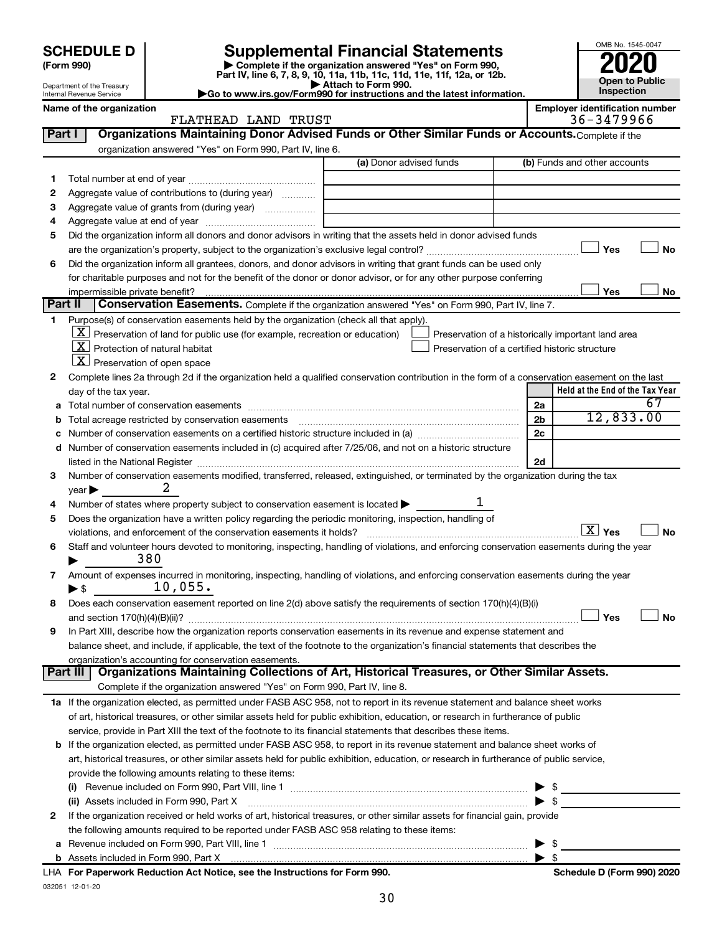| <b>SCHEDULE D</b> |  |
|-------------------|--|
|-------------------|--|

| (Form 990) |
|------------|
|            |

**(Form 990) | Complete if the organization answered "Yes" on Form 990, Part IV, line 6, 7, 8, 9, 10, 11a, 11b, 11c, 11d, 11e, 11f, 12a, or 12b. SCHEDULE D Supplemental Financial Statements**<br> **Form 990 2020**<br> **Part IV** line 6.7.8.9.10, 11a, 11b, 11d, 11d, 11d, 11d, 11d, 12a, 0r, 12b



Department of the Treasury Internal Revenue Service

|                                                                                              | Attach to Form 990. |  |
|----------------------------------------------------------------------------------------------|---------------------|--|
| $\blacktriangleright$ Go to www.irs.gov/Form990 for instructions and the latest information. |                     |  |

Name of the organization<br> **EMPLATE EMPLO BY AND TRUST** Employer identification number<br> **EMPLATE AND TRUST** 

|         | FLATHEAD LAND TRUST                                                                                                                            | 36-3479966                                         |
|---------|------------------------------------------------------------------------------------------------------------------------------------------------|----------------------------------------------------|
| Part I  | Organizations Maintaining Donor Advised Funds or Other Similar Funds or Accounts. Complete if the                                              |                                                    |
|         | organization answered "Yes" on Form 990, Part IV, line 6.                                                                                      |                                                    |
|         | (a) Donor advised funds                                                                                                                        | (b) Funds and other accounts                       |
| 1       |                                                                                                                                                |                                                    |
| 2       | Aggregate value of contributions to (during year)                                                                                              |                                                    |
| З       |                                                                                                                                                |                                                    |
| 4       |                                                                                                                                                |                                                    |
| 5       | Did the organization inform all donors and donor advisors in writing that the assets held in donor advised funds                               |                                                    |
|         |                                                                                                                                                | Yes<br>No                                          |
| 6       | Did the organization inform all grantees, donors, and donor advisors in writing that grant funds can be used only                              |                                                    |
|         | for charitable purposes and not for the benefit of the donor or donor advisor, or for any other purpose conferring                             |                                                    |
|         | impermissible private benefit?                                                                                                                 | Yes<br>No                                          |
| Part II | Conservation Easements. Complete if the organization answered "Yes" on Form 990, Part IV, line 7.                                              |                                                    |
| 1       | Purpose(s) of conservation easements held by the organization (check all that apply).                                                          |                                                    |
|         | $\lfloor \underline{X} \rfloor$ Preservation of land for public use (for example, recreation or education)                                     | Preservation of a historically important land area |
|         | $\lfloor x \rfloor$ Protection of natural habitat                                                                                              | Preservation of a certified historic structure     |
|         | $X$ Preservation of open space                                                                                                                 |                                                    |
| 2       | Complete lines 2a through 2d if the organization held a qualified conservation contribution in the form of a conservation easement on the last |                                                    |
|         | day of the tax year.                                                                                                                           | Held at the End of the Tax Year                    |
| а       |                                                                                                                                                | 67<br>2a                                           |
|         | Total acreage restricted by conservation easements                                                                                             | 12,833.00<br>2 <sub>b</sub>                        |
|         | Number of conservation easements on a certified historic structure included in (a) manufacture included in (a)                                 | 2c                                                 |
| d       | Number of conservation easements included in (c) acquired after 7/25/06, and not on a historic structure                                       |                                                    |
|         | listed in the National Register [111] Martin March 1999 (120) March 1999 (120) March 1999 (120) March 1999 (1                                  | 2d                                                 |
| 3       | Number of conservation easements modified, transferred, released, extinguished, or terminated by the organization during the tax               |                                                    |
|         | 2<br>$\vee$ ear $\blacktriangleright$                                                                                                          |                                                    |
| 4       | Number of states where property subject to conservation easement is located >                                                                  |                                                    |
| 5       | Does the organization have a written policy regarding the periodic monitoring, inspection, handling of                                         |                                                    |
|         | violations, and enforcement of the conservation easements it holds?                                                                            | $\overline{X}$ Yes<br>No                           |
| 6       | Staff and volunteer hours devoted to monitoring, inspecting, handling of violations, and enforcing conservation easements during the year      |                                                    |
|         | 380                                                                                                                                            |                                                    |
| 7       | Amount of expenses incurred in monitoring, inspecting, handling of violations, and enforcing conservation easements during the year            |                                                    |
|         | 10,055.<br>$\blacktriangleright$ \$                                                                                                            |                                                    |
| 8       | Does each conservation easement reported on line 2(d) above satisfy the requirements of section 170(h)(4)(B)(i)                                |                                                    |
|         |                                                                                                                                                | Yes<br>No                                          |
| 9       | In Part XIII, describe how the organization reports conservation easements in its revenue and expense statement and                            |                                                    |
|         | balance sheet, and include, if applicable, the text of the footnote to the organization's financial statements that describes the              |                                                    |
|         | organization's accounting for conservation easements.                                                                                          |                                                    |
|         | Organizations Maintaining Collections of Art, Historical Treasures, or Other Similar Assets.<br>Part III                                       |                                                    |
|         | Complete if the organization answered "Yes" on Form 990, Part IV, line 8.                                                                      |                                                    |
|         | 1a If the organization elected, as permitted under FASB ASC 958, not to report in its revenue statement and balance sheet works                |                                                    |
|         | of art, historical treasures, or other similar assets held for public exhibition, education, or research in furtherance of public              |                                                    |
|         | service, provide in Part XIII the text of the footnote to its financial statements that describes these items.                                 |                                                    |
| b       | If the organization elected, as permitted under FASB ASC 958, to report in its revenue statement and balance sheet works of                    |                                                    |
|         | art, historical treasures, or other similar assets held for public exhibition, education, or research in furtherance of public service,        |                                                    |
|         | provide the following amounts relating to these items:                                                                                         |                                                    |
|         |                                                                                                                                                | \$                                                 |
|         | (ii) Assets included in Form 990, Part X                                                                                                       | $\blacktriangleright$ \$                           |
| 2       | If the organization received or held works of art, historical treasures, or other similar assets for financial gain, provide                   |                                                    |
|         | the following amounts required to be reported under FASB ASC 958 relating to these items:                                                      |                                                    |
| а       |                                                                                                                                                | \$                                                 |
| b       |                                                                                                                                                | $\blacktriangleright$ s                            |
|         |                                                                                                                                                |                                                    |

032051 12-01-20 **For Paperwork Reduction Act Notice, see the Instructions for Form 990. Schedule D (Form 990) 2020** LHA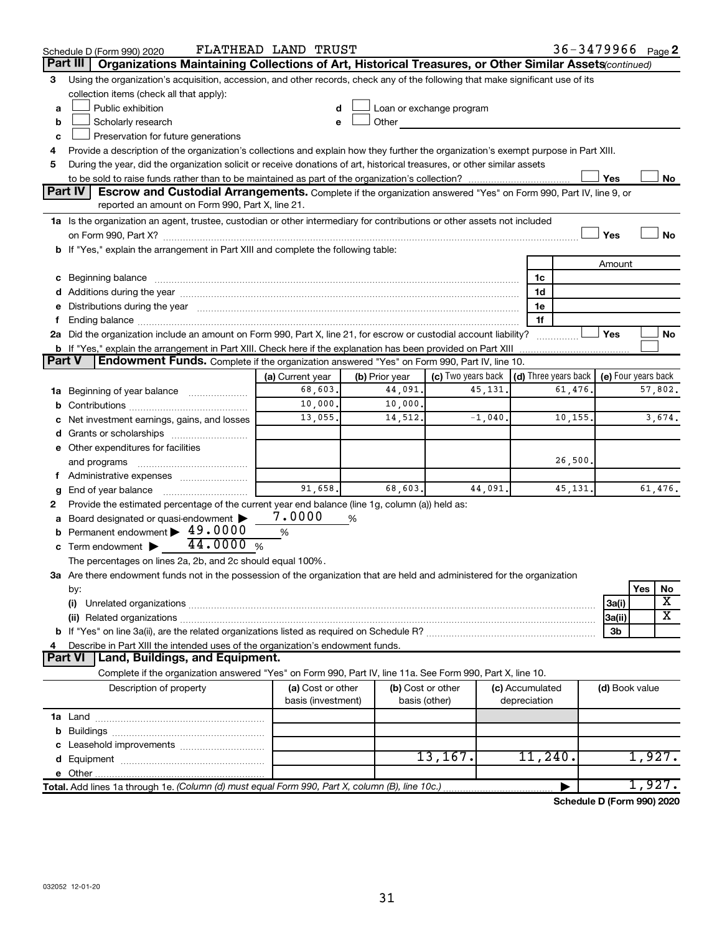| Part III<br>Organizations Maintaining Collections of Art, Historical Treasures, or Other Similar Assets (continued)<br>Using the organization's acquisition, accession, and other records, check any of the following that make significant use of its<br>3<br>collection items (check all that apply):<br>Public exhibition<br>Loan or exchange program<br>a<br>Other<br>Scholarly research<br>b<br>Preservation for future generations<br>c<br>Provide a description of the organization's collections and explain how they further the organization's exempt purpose in Part XIII.<br>4<br>During the year, did the organization solicit or receive donations of art, historical treasures, or other similar assets<br>5<br>Yes<br>No<br><b>Part IV</b><br><b>Escrow and Custodial Arrangements.</b> Complete if the organization answered "Yes" on Form 990, Part IV, line 9, or<br>reported an amount on Form 990, Part X, line 21.<br>1a Is the organization an agent, trustee, custodian or other intermediary for contributions or other assets not included<br><b>No</b><br>Yes<br>b If "Yes," explain the arrangement in Part XIII and complete the following table:<br>Amount<br>1c<br>1d<br>e Distributions during the year manufactured and continuum and contact the year manufactured and contact the year manufactured and contact the year manufactured and contact the year manufactured and contact the year manufa<br>1e<br>1f<br>2a Did the organization include an amount on Form 990, Part X, line 21, for escrow or custodial account liability?<br>Yes<br>No<br>b If "Yes," explain the arrangement in Part XIII. Check here if the explanation has been provided on Part XIII<br><b>Part V</b><br>Endowment Funds. Complete if the organization answered "Yes" on Form 990, Part IV, line 10.<br>(c) Two years back $\vert$ (d) Three years back $\vert$<br>(e) Four years back<br>(a) Current year<br>(b) Prior year<br>68,603.<br>44,091.<br>45, 131.<br>61,476.<br>57,802.<br>1a Beginning of year balance<br>10,000.<br>10,000.<br>$-1,040.$<br>3,674.<br>13,055.<br>14,512.<br>10, 155.<br>c Net investment earnings, gains, and losses<br>e Other expenditures for facilities<br>26,500.<br>and programs<br>f Administrative expenses<br>91,658.<br>68,603.<br>44,091.<br>61,476.<br>45, 131.<br>g<br>Provide the estimated percentage of the current year end balance (line 1g, column (a)) held as:<br>2<br>7.0000<br>Board designated or quasi-endowment<br>%<br>a<br><b>b</b> Permanent endowment $\blacktriangleright$ 49.0000<br>%<br>44.0000 $%$<br>$\mathbf c$ Term endowment $\blacktriangleright$<br>The percentages on lines 2a, 2b, and 2c should equal 100%.<br>3a Are there endowment funds not in the possession of the organization that are held and administered for the organization<br>Yes<br>No<br>by:<br>х<br>(i)<br>3a(i)<br>$\overline{\textbf{x}}$<br> 3a(ii)<br>3b<br>Describe in Part XIII the intended uses of the organization's endowment funds.<br>4<br><b>Land, Buildings, and Equipment.</b><br><b>Part VI</b><br>Complete if the organization answered "Yes" on Form 990, Part IV, line 11a. See Form 990, Part X, line 10.<br>Description of property<br>(a) Cost or other<br>(b) Cost or other<br>(c) Accumulated<br>(d) Book value<br>basis (investment)<br>depreciation<br>basis (other)<br>13, 167.<br>$11,240$ .<br>1,927.<br>1,927.<br>Total. Add lines 1a through 1e. (Column (d) must equal Form 990, Part X, column (B), line 10c.) | Schedule D (Form 990) 2020 | FLATHEAD LAND TRUST |  |  |  | 36-3479966 Page 2 |  |  |  |
|-----------------------------------------------------------------------------------------------------------------------------------------------------------------------------------------------------------------------------------------------------------------------------------------------------------------------------------------------------------------------------------------------------------------------------------------------------------------------------------------------------------------------------------------------------------------------------------------------------------------------------------------------------------------------------------------------------------------------------------------------------------------------------------------------------------------------------------------------------------------------------------------------------------------------------------------------------------------------------------------------------------------------------------------------------------------------------------------------------------------------------------------------------------------------------------------------------------------------------------------------------------------------------------------------------------------------------------------------------------------------------------------------------------------------------------------------------------------------------------------------------------------------------------------------------------------------------------------------------------------------------------------------------------------------------------------------------------------------------------------------------------------------------------------------------------------------------------------------------------------------------------------------------------------------------------------------------------------------------------------------------------------------------------------------------------------------------------------------------------------------------------------------------------------------------------------------------------------------------------------------------------------------------------------------------------------------------------------------------------------------------------------------------------------------------------------------------------------------------------------------------------------------------------------------------------------------------------------------------------------------------------------------------------------------------------------------------------------------------------------------------------------------------------------------------------------------------------------------------------------------------------------------------------------------------------------------------------------------------------------------------------------------------------------------------------------------------------------------------------------------------------------------------------------------------------------------------------------------------------------------------------------------------------------------------------------------------------------------------------------------------------------------------------------------------------------------------------------------------------------------------------------|----------------------------|---------------------|--|--|--|-------------------|--|--|--|
|                                                                                                                                                                                                                                                                                                                                                                                                                                                                                                                                                                                                                                                                                                                                                                                                                                                                                                                                                                                                                                                                                                                                                                                                                                                                                                                                                                                                                                                                                                                                                                                                                                                                                                                                                                                                                                                                                                                                                                                                                                                                                                                                                                                                                                                                                                                                                                                                                                                                                                                                                                                                                                                                                                                                                                                                                                                                                                                                                                                                                                                                                                                                                                                                                                                                                                                                                                                                                                                                                                                 |                            |                     |  |  |  |                   |  |  |  |
|                                                                                                                                                                                                                                                                                                                                                                                                                                                                                                                                                                                                                                                                                                                                                                                                                                                                                                                                                                                                                                                                                                                                                                                                                                                                                                                                                                                                                                                                                                                                                                                                                                                                                                                                                                                                                                                                                                                                                                                                                                                                                                                                                                                                                                                                                                                                                                                                                                                                                                                                                                                                                                                                                                                                                                                                                                                                                                                                                                                                                                                                                                                                                                                                                                                                                                                                                                                                                                                                                                                 |                            |                     |  |  |  |                   |  |  |  |
|                                                                                                                                                                                                                                                                                                                                                                                                                                                                                                                                                                                                                                                                                                                                                                                                                                                                                                                                                                                                                                                                                                                                                                                                                                                                                                                                                                                                                                                                                                                                                                                                                                                                                                                                                                                                                                                                                                                                                                                                                                                                                                                                                                                                                                                                                                                                                                                                                                                                                                                                                                                                                                                                                                                                                                                                                                                                                                                                                                                                                                                                                                                                                                                                                                                                                                                                                                                                                                                                                                                 |                            |                     |  |  |  |                   |  |  |  |
|                                                                                                                                                                                                                                                                                                                                                                                                                                                                                                                                                                                                                                                                                                                                                                                                                                                                                                                                                                                                                                                                                                                                                                                                                                                                                                                                                                                                                                                                                                                                                                                                                                                                                                                                                                                                                                                                                                                                                                                                                                                                                                                                                                                                                                                                                                                                                                                                                                                                                                                                                                                                                                                                                                                                                                                                                                                                                                                                                                                                                                                                                                                                                                                                                                                                                                                                                                                                                                                                                                                 |                            |                     |  |  |  |                   |  |  |  |
|                                                                                                                                                                                                                                                                                                                                                                                                                                                                                                                                                                                                                                                                                                                                                                                                                                                                                                                                                                                                                                                                                                                                                                                                                                                                                                                                                                                                                                                                                                                                                                                                                                                                                                                                                                                                                                                                                                                                                                                                                                                                                                                                                                                                                                                                                                                                                                                                                                                                                                                                                                                                                                                                                                                                                                                                                                                                                                                                                                                                                                                                                                                                                                                                                                                                                                                                                                                                                                                                                                                 |                            |                     |  |  |  |                   |  |  |  |
|                                                                                                                                                                                                                                                                                                                                                                                                                                                                                                                                                                                                                                                                                                                                                                                                                                                                                                                                                                                                                                                                                                                                                                                                                                                                                                                                                                                                                                                                                                                                                                                                                                                                                                                                                                                                                                                                                                                                                                                                                                                                                                                                                                                                                                                                                                                                                                                                                                                                                                                                                                                                                                                                                                                                                                                                                                                                                                                                                                                                                                                                                                                                                                                                                                                                                                                                                                                                                                                                                                                 |                            |                     |  |  |  |                   |  |  |  |
|                                                                                                                                                                                                                                                                                                                                                                                                                                                                                                                                                                                                                                                                                                                                                                                                                                                                                                                                                                                                                                                                                                                                                                                                                                                                                                                                                                                                                                                                                                                                                                                                                                                                                                                                                                                                                                                                                                                                                                                                                                                                                                                                                                                                                                                                                                                                                                                                                                                                                                                                                                                                                                                                                                                                                                                                                                                                                                                                                                                                                                                                                                                                                                                                                                                                                                                                                                                                                                                                                                                 |                            |                     |  |  |  |                   |  |  |  |
|                                                                                                                                                                                                                                                                                                                                                                                                                                                                                                                                                                                                                                                                                                                                                                                                                                                                                                                                                                                                                                                                                                                                                                                                                                                                                                                                                                                                                                                                                                                                                                                                                                                                                                                                                                                                                                                                                                                                                                                                                                                                                                                                                                                                                                                                                                                                                                                                                                                                                                                                                                                                                                                                                                                                                                                                                                                                                                                                                                                                                                                                                                                                                                                                                                                                                                                                                                                                                                                                                                                 |                            |                     |  |  |  |                   |  |  |  |
|                                                                                                                                                                                                                                                                                                                                                                                                                                                                                                                                                                                                                                                                                                                                                                                                                                                                                                                                                                                                                                                                                                                                                                                                                                                                                                                                                                                                                                                                                                                                                                                                                                                                                                                                                                                                                                                                                                                                                                                                                                                                                                                                                                                                                                                                                                                                                                                                                                                                                                                                                                                                                                                                                                                                                                                                                                                                                                                                                                                                                                                                                                                                                                                                                                                                                                                                                                                                                                                                                                                 |                            |                     |  |  |  |                   |  |  |  |
|                                                                                                                                                                                                                                                                                                                                                                                                                                                                                                                                                                                                                                                                                                                                                                                                                                                                                                                                                                                                                                                                                                                                                                                                                                                                                                                                                                                                                                                                                                                                                                                                                                                                                                                                                                                                                                                                                                                                                                                                                                                                                                                                                                                                                                                                                                                                                                                                                                                                                                                                                                                                                                                                                                                                                                                                                                                                                                                                                                                                                                                                                                                                                                                                                                                                                                                                                                                                                                                                                                                 |                            |                     |  |  |  |                   |  |  |  |
|                                                                                                                                                                                                                                                                                                                                                                                                                                                                                                                                                                                                                                                                                                                                                                                                                                                                                                                                                                                                                                                                                                                                                                                                                                                                                                                                                                                                                                                                                                                                                                                                                                                                                                                                                                                                                                                                                                                                                                                                                                                                                                                                                                                                                                                                                                                                                                                                                                                                                                                                                                                                                                                                                                                                                                                                                                                                                                                                                                                                                                                                                                                                                                                                                                                                                                                                                                                                                                                                                                                 |                            |                     |  |  |  |                   |  |  |  |
|                                                                                                                                                                                                                                                                                                                                                                                                                                                                                                                                                                                                                                                                                                                                                                                                                                                                                                                                                                                                                                                                                                                                                                                                                                                                                                                                                                                                                                                                                                                                                                                                                                                                                                                                                                                                                                                                                                                                                                                                                                                                                                                                                                                                                                                                                                                                                                                                                                                                                                                                                                                                                                                                                                                                                                                                                                                                                                                                                                                                                                                                                                                                                                                                                                                                                                                                                                                                                                                                                                                 |                            |                     |  |  |  |                   |  |  |  |
|                                                                                                                                                                                                                                                                                                                                                                                                                                                                                                                                                                                                                                                                                                                                                                                                                                                                                                                                                                                                                                                                                                                                                                                                                                                                                                                                                                                                                                                                                                                                                                                                                                                                                                                                                                                                                                                                                                                                                                                                                                                                                                                                                                                                                                                                                                                                                                                                                                                                                                                                                                                                                                                                                                                                                                                                                                                                                                                                                                                                                                                                                                                                                                                                                                                                                                                                                                                                                                                                                                                 |                            |                     |  |  |  |                   |  |  |  |
|                                                                                                                                                                                                                                                                                                                                                                                                                                                                                                                                                                                                                                                                                                                                                                                                                                                                                                                                                                                                                                                                                                                                                                                                                                                                                                                                                                                                                                                                                                                                                                                                                                                                                                                                                                                                                                                                                                                                                                                                                                                                                                                                                                                                                                                                                                                                                                                                                                                                                                                                                                                                                                                                                                                                                                                                                                                                                                                                                                                                                                                                                                                                                                                                                                                                                                                                                                                                                                                                                                                 |                            |                     |  |  |  |                   |  |  |  |
|                                                                                                                                                                                                                                                                                                                                                                                                                                                                                                                                                                                                                                                                                                                                                                                                                                                                                                                                                                                                                                                                                                                                                                                                                                                                                                                                                                                                                                                                                                                                                                                                                                                                                                                                                                                                                                                                                                                                                                                                                                                                                                                                                                                                                                                                                                                                                                                                                                                                                                                                                                                                                                                                                                                                                                                                                                                                                                                                                                                                                                                                                                                                                                                                                                                                                                                                                                                                                                                                                                                 |                            |                     |  |  |  |                   |  |  |  |
|                                                                                                                                                                                                                                                                                                                                                                                                                                                                                                                                                                                                                                                                                                                                                                                                                                                                                                                                                                                                                                                                                                                                                                                                                                                                                                                                                                                                                                                                                                                                                                                                                                                                                                                                                                                                                                                                                                                                                                                                                                                                                                                                                                                                                                                                                                                                                                                                                                                                                                                                                                                                                                                                                                                                                                                                                                                                                                                                                                                                                                                                                                                                                                                                                                                                                                                                                                                                                                                                                                                 |                            |                     |  |  |  |                   |  |  |  |
|                                                                                                                                                                                                                                                                                                                                                                                                                                                                                                                                                                                                                                                                                                                                                                                                                                                                                                                                                                                                                                                                                                                                                                                                                                                                                                                                                                                                                                                                                                                                                                                                                                                                                                                                                                                                                                                                                                                                                                                                                                                                                                                                                                                                                                                                                                                                                                                                                                                                                                                                                                                                                                                                                                                                                                                                                                                                                                                                                                                                                                                                                                                                                                                                                                                                                                                                                                                                                                                                                                                 |                            |                     |  |  |  |                   |  |  |  |
|                                                                                                                                                                                                                                                                                                                                                                                                                                                                                                                                                                                                                                                                                                                                                                                                                                                                                                                                                                                                                                                                                                                                                                                                                                                                                                                                                                                                                                                                                                                                                                                                                                                                                                                                                                                                                                                                                                                                                                                                                                                                                                                                                                                                                                                                                                                                                                                                                                                                                                                                                                                                                                                                                                                                                                                                                                                                                                                                                                                                                                                                                                                                                                                                                                                                                                                                                                                                                                                                                                                 |                            |                     |  |  |  |                   |  |  |  |
|                                                                                                                                                                                                                                                                                                                                                                                                                                                                                                                                                                                                                                                                                                                                                                                                                                                                                                                                                                                                                                                                                                                                                                                                                                                                                                                                                                                                                                                                                                                                                                                                                                                                                                                                                                                                                                                                                                                                                                                                                                                                                                                                                                                                                                                                                                                                                                                                                                                                                                                                                                                                                                                                                                                                                                                                                                                                                                                                                                                                                                                                                                                                                                                                                                                                                                                                                                                                                                                                                                                 |                            |                     |  |  |  |                   |  |  |  |
|                                                                                                                                                                                                                                                                                                                                                                                                                                                                                                                                                                                                                                                                                                                                                                                                                                                                                                                                                                                                                                                                                                                                                                                                                                                                                                                                                                                                                                                                                                                                                                                                                                                                                                                                                                                                                                                                                                                                                                                                                                                                                                                                                                                                                                                                                                                                                                                                                                                                                                                                                                                                                                                                                                                                                                                                                                                                                                                                                                                                                                                                                                                                                                                                                                                                                                                                                                                                                                                                                                                 |                            |                     |  |  |  |                   |  |  |  |
|                                                                                                                                                                                                                                                                                                                                                                                                                                                                                                                                                                                                                                                                                                                                                                                                                                                                                                                                                                                                                                                                                                                                                                                                                                                                                                                                                                                                                                                                                                                                                                                                                                                                                                                                                                                                                                                                                                                                                                                                                                                                                                                                                                                                                                                                                                                                                                                                                                                                                                                                                                                                                                                                                                                                                                                                                                                                                                                                                                                                                                                                                                                                                                                                                                                                                                                                                                                                                                                                                                                 |                            |                     |  |  |  |                   |  |  |  |
|                                                                                                                                                                                                                                                                                                                                                                                                                                                                                                                                                                                                                                                                                                                                                                                                                                                                                                                                                                                                                                                                                                                                                                                                                                                                                                                                                                                                                                                                                                                                                                                                                                                                                                                                                                                                                                                                                                                                                                                                                                                                                                                                                                                                                                                                                                                                                                                                                                                                                                                                                                                                                                                                                                                                                                                                                                                                                                                                                                                                                                                                                                                                                                                                                                                                                                                                                                                                                                                                                                                 |                            |                     |  |  |  |                   |  |  |  |
|                                                                                                                                                                                                                                                                                                                                                                                                                                                                                                                                                                                                                                                                                                                                                                                                                                                                                                                                                                                                                                                                                                                                                                                                                                                                                                                                                                                                                                                                                                                                                                                                                                                                                                                                                                                                                                                                                                                                                                                                                                                                                                                                                                                                                                                                                                                                                                                                                                                                                                                                                                                                                                                                                                                                                                                                                                                                                                                                                                                                                                                                                                                                                                                                                                                                                                                                                                                                                                                                                                                 |                            |                     |  |  |  |                   |  |  |  |
|                                                                                                                                                                                                                                                                                                                                                                                                                                                                                                                                                                                                                                                                                                                                                                                                                                                                                                                                                                                                                                                                                                                                                                                                                                                                                                                                                                                                                                                                                                                                                                                                                                                                                                                                                                                                                                                                                                                                                                                                                                                                                                                                                                                                                                                                                                                                                                                                                                                                                                                                                                                                                                                                                                                                                                                                                                                                                                                                                                                                                                                                                                                                                                                                                                                                                                                                                                                                                                                                                                                 |                            |                     |  |  |  |                   |  |  |  |
|                                                                                                                                                                                                                                                                                                                                                                                                                                                                                                                                                                                                                                                                                                                                                                                                                                                                                                                                                                                                                                                                                                                                                                                                                                                                                                                                                                                                                                                                                                                                                                                                                                                                                                                                                                                                                                                                                                                                                                                                                                                                                                                                                                                                                                                                                                                                                                                                                                                                                                                                                                                                                                                                                                                                                                                                                                                                                                                                                                                                                                                                                                                                                                                                                                                                                                                                                                                                                                                                                                                 |                            |                     |  |  |  |                   |  |  |  |
|                                                                                                                                                                                                                                                                                                                                                                                                                                                                                                                                                                                                                                                                                                                                                                                                                                                                                                                                                                                                                                                                                                                                                                                                                                                                                                                                                                                                                                                                                                                                                                                                                                                                                                                                                                                                                                                                                                                                                                                                                                                                                                                                                                                                                                                                                                                                                                                                                                                                                                                                                                                                                                                                                                                                                                                                                                                                                                                                                                                                                                                                                                                                                                                                                                                                                                                                                                                                                                                                                                                 |                            |                     |  |  |  |                   |  |  |  |
|                                                                                                                                                                                                                                                                                                                                                                                                                                                                                                                                                                                                                                                                                                                                                                                                                                                                                                                                                                                                                                                                                                                                                                                                                                                                                                                                                                                                                                                                                                                                                                                                                                                                                                                                                                                                                                                                                                                                                                                                                                                                                                                                                                                                                                                                                                                                                                                                                                                                                                                                                                                                                                                                                                                                                                                                                                                                                                                                                                                                                                                                                                                                                                                                                                                                                                                                                                                                                                                                                                                 |                            |                     |  |  |  |                   |  |  |  |
|                                                                                                                                                                                                                                                                                                                                                                                                                                                                                                                                                                                                                                                                                                                                                                                                                                                                                                                                                                                                                                                                                                                                                                                                                                                                                                                                                                                                                                                                                                                                                                                                                                                                                                                                                                                                                                                                                                                                                                                                                                                                                                                                                                                                                                                                                                                                                                                                                                                                                                                                                                                                                                                                                                                                                                                                                                                                                                                                                                                                                                                                                                                                                                                                                                                                                                                                                                                                                                                                                                                 |                            |                     |  |  |  |                   |  |  |  |
|                                                                                                                                                                                                                                                                                                                                                                                                                                                                                                                                                                                                                                                                                                                                                                                                                                                                                                                                                                                                                                                                                                                                                                                                                                                                                                                                                                                                                                                                                                                                                                                                                                                                                                                                                                                                                                                                                                                                                                                                                                                                                                                                                                                                                                                                                                                                                                                                                                                                                                                                                                                                                                                                                                                                                                                                                                                                                                                                                                                                                                                                                                                                                                                                                                                                                                                                                                                                                                                                                                                 |                            |                     |  |  |  |                   |  |  |  |
|                                                                                                                                                                                                                                                                                                                                                                                                                                                                                                                                                                                                                                                                                                                                                                                                                                                                                                                                                                                                                                                                                                                                                                                                                                                                                                                                                                                                                                                                                                                                                                                                                                                                                                                                                                                                                                                                                                                                                                                                                                                                                                                                                                                                                                                                                                                                                                                                                                                                                                                                                                                                                                                                                                                                                                                                                                                                                                                                                                                                                                                                                                                                                                                                                                                                                                                                                                                                                                                                                                                 |                            |                     |  |  |  |                   |  |  |  |
|                                                                                                                                                                                                                                                                                                                                                                                                                                                                                                                                                                                                                                                                                                                                                                                                                                                                                                                                                                                                                                                                                                                                                                                                                                                                                                                                                                                                                                                                                                                                                                                                                                                                                                                                                                                                                                                                                                                                                                                                                                                                                                                                                                                                                                                                                                                                                                                                                                                                                                                                                                                                                                                                                                                                                                                                                                                                                                                                                                                                                                                                                                                                                                                                                                                                                                                                                                                                                                                                                                                 |                            |                     |  |  |  |                   |  |  |  |
|                                                                                                                                                                                                                                                                                                                                                                                                                                                                                                                                                                                                                                                                                                                                                                                                                                                                                                                                                                                                                                                                                                                                                                                                                                                                                                                                                                                                                                                                                                                                                                                                                                                                                                                                                                                                                                                                                                                                                                                                                                                                                                                                                                                                                                                                                                                                                                                                                                                                                                                                                                                                                                                                                                                                                                                                                                                                                                                                                                                                                                                                                                                                                                                                                                                                                                                                                                                                                                                                                                                 |                            |                     |  |  |  |                   |  |  |  |
|                                                                                                                                                                                                                                                                                                                                                                                                                                                                                                                                                                                                                                                                                                                                                                                                                                                                                                                                                                                                                                                                                                                                                                                                                                                                                                                                                                                                                                                                                                                                                                                                                                                                                                                                                                                                                                                                                                                                                                                                                                                                                                                                                                                                                                                                                                                                                                                                                                                                                                                                                                                                                                                                                                                                                                                                                                                                                                                                                                                                                                                                                                                                                                                                                                                                                                                                                                                                                                                                                                                 |                            |                     |  |  |  |                   |  |  |  |
|                                                                                                                                                                                                                                                                                                                                                                                                                                                                                                                                                                                                                                                                                                                                                                                                                                                                                                                                                                                                                                                                                                                                                                                                                                                                                                                                                                                                                                                                                                                                                                                                                                                                                                                                                                                                                                                                                                                                                                                                                                                                                                                                                                                                                                                                                                                                                                                                                                                                                                                                                                                                                                                                                                                                                                                                                                                                                                                                                                                                                                                                                                                                                                                                                                                                                                                                                                                                                                                                                                                 |                            |                     |  |  |  |                   |  |  |  |
|                                                                                                                                                                                                                                                                                                                                                                                                                                                                                                                                                                                                                                                                                                                                                                                                                                                                                                                                                                                                                                                                                                                                                                                                                                                                                                                                                                                                                                                                                                                                                                                                                                                                                                                                                                                                                                                                                                                                                                                                                                                                                                                                                                                                                                                                                                                                                                                                                                                                                                                                                                                                                                                                                                                                                                                                                                                                                                                                                                                                                                                                                                                                                                                                                                                                                                                                                                                                                                                                                                                 |                            |                     |  |  |  |                   |  |  |  |
|                                                                                                                                                                                                                                                                                                                                                                                                                                                                                                                                                                                                                                                                                                                                                                                                                                                                                                                                                                                                                                                                                                                                                                                                                                                                                                                                                                                                                                                                                                                                                                                                                                                                                                                                                                                                                                                                                                                                                                                                                                                                                                                                                                                                                                                                                                                                                                                                                                                                                                                                                                                                                                                                                                                                                                                                                                                                                                                                                                                                                                                                                                                                                                                                                                                                                                                                                                                                                                                                                                                 |                            |                     |  |  |  |                   |  |  |  |
|                                                                                                                                                                                                                                                                                                                                                                                                                                                                                                                                                                                                                                                                                                                                                                                                                                                                                                                                                                                                                                                                                                                                                                                                                                                                                                                                                                                                                                                                                                                                                                                                                                                                                                                                                                                                                                                                                                                                                                                                                                                                                                                                                                                                                                                                                                                                                                                                                                                                                                                                                                                                                                                                                                                                                                                                                                                                                                                                                                                                                                                                                                                                                                                                                                                                                                                                                                                                                                                                                                                 |                            |                     |  |  |  |                   |  |  |  |
|                                                                                                                                                                                                                                                                                                                                                                                                                                                                                                                                                                                                                                                                                                                                                                                                                                                                                                                                                                                                                                                                                                                                                                                                                                                                                                                                                                                                                                                                                                                                                                                                                                                                                                                                                                                                                                                                                                                                                                                                                                                                                                                                                                                                                                                                                                                                                                                                                                                                                                                                                                                                                                                                                                                                                                                                                                                                                                                                                                                                                                                                                                                                                                                                                                                                                                                                                                                                                                                                                                                 |                            |                     |  |  |  |                   |  |  |  |
|                                                                                                                                                                                                                                                                                                                                                                                                                                                                                                                                                                                                                                                                                                                                                                                                                                                                                                                                                                                                                                                                                                                                                                                                                                                                                                                                                                                                                                                                                                                                                                                                                                                                                                                                                                                                                                                                                                                                                                                                                                                                                                                                                                                                                                                                                                                                                                                                                                                                                                                                                                                                                                                                                                                                                                                                                                                                                                                                                                                                                                                                                                                                                                                                                                                                                                                                                                                                                                                                                                                 |                            |                     |  |  |  |                   |  |  |  |
|                                                                                                                                                                                                                                                                                                                                                                                                                                                                                                                                                                                                                                                                                                                                                                                                                                                                                                                                                                                                                                                                                                                                                                                                                                                                                                                                                                                                                                                                                                                                                                                                                                                                                                                                                                                                                                                                                                                                                                                                                                                                                                                                                                                                                                                                                                                                                                                                                                                                                                                                                                                                                                                                                                                                                                                                                                                                                                                                                                                                                                                                                                                                                                                                                                                                                                                                                                                                                                                                                                                 |                            |                     |  |  |  |                   |  |  |  |
|                                                                                                                                                                                                                                                                                                                                                                                                                                                                                                                                                                                                                                                                                                                                                                                                                                                                                                                                                                                                                                                                                                                                                                                                                                                                                                                                                                                                                                                                                                                                                                                                                                                                                                                                                                                                                                                                                                                                                                                                                                                                                                                                                                                                                                                                                                                                                                                                                                                                                                                                                                                                                                                                                                                                                                                                                                                                                                                                                                                                                                                                                                                                                                                                                                                                                                                                                                                                                                                                                                                 |                            |                     |  |  |  |                   |  |  |  |
|                                                                                                                                                                                                                                                                                                                                                                                                                                                                                                                                                                                                                                                                                                                                                                                                                                                                                                                                                                                                                                                                                                                                                                                                                                                                                                                                                                                                                                                                                                                                                                                                                                                                                                                                                                                                                                                                                                                                                                                                                                                                                                                                                                                                                                                                                                                                                                                                                                                                                                                                                                                                                                                                                                                                                                                                                                                                                                                                                                                                                                                                                                                                                                                                                                                                                                                                                                                                                                                                                                                 |                            |                     |  |  |  |                   |  |  |  |
|                                                                                                                                                                                                                                                                                                                                                                                                                                                                                                                                                                                                                                                                                                                                                                                                                                                                                                                                                                                                                                                                                                                                                                                                                                                                                                                                                                                                                                                                                                                                                                                                                                                                                                                                                                                                                                                                                                                                                                                                                                                                                                                                                                                                                                                                                                                                                                                                                                                                                                                                                                                                                                                                                                                                                                                                                                                                                                                                                                                                                                                                                                                                                                                                                                                                                                                                                                                                                                                                                                                 |                            |                     |  |  |  |                   |  |  |  |
|                                                                                                                                                                                                                                                                                                                                                                                                                                                                                                                                                                                                                                                                                                                                                                                                                                                                                                                                                                                                                                                                                                                                                                                                                                                                                                                                                                                                                                                                                                                                                                                                                                                                                                                                                                                                                                                                                                                                                                                                                                                                                                                                                                                                                                                                                                                                                                                                                                                                                                                                                                                                                                                                                                                                                                                                                                                                                                                                                                                                                                                                                                                                                                                                                                                                                                                                                                                                                                                                                                                 |                            |                     |  |  |  |                   |  |  |  |
|                                                                                                                                                                                                                                                                                                                                                                                                                                                                                                                                                                                                                                                                                                                                                                                                                                                                                                                                                                                                                                                                                                                                                                                                                                                                                                                                                                                                                                                                                                                                                                                                                                                                                                                                                                                                                                                                                                                                                                                                                                                                                                                                                                                                                                                                                                                                                                                                                                                                                                                                                                                                                                                                                                                                                                                                                                                                                                                                                                                                                                                                                                                                                                                                                                                                                                                                                                                                                                                                                                                 |                            |                     |  |  |  |                   |  |  |  |
|                                                                                                                                                                                                                                                                                                                                                                                                                                                                                                                                                                                                                                                                                                                                                                                                                                                                                                                                                                                                                                                                                                                                                                                                                                                                                                                                                                                                                                                                                                                                                                                                                                                                                                                                                                                                                                                                                                                                                                                                                                                                                                                                                                                                                                                                                                                                                                                                                                                                                                                                                                                                                                                                                                                                                                                                                                                                                                                                                                                                                                                                                                                                                                                                                                                                                                                                                                                                                                                                                                                 |                            |                     |  |  |  |                   |  |  |  |
|                                                                                                                                                                                                                                                                                                                                                                                                                                                                                                                                                                                                                                                                                                                                                                                                                                                                                                                                                                                                                                                                                                                                                                                                                                                                                                                                                                                                                                                                                                                                                                                                                                                                                                                                                                                                                                                                                                                                                                                                                                                                                                                                                                                                                                                                                                                                                                                                                                                                                                                                                                                                                                                                                                                                                                                                                                                                                                                                                                                                                                                                                                                                                                                                                                                                                                                                                                                                                                                                                                                 |                            |                     |  |  |  |                   |  |  |  |
|                                                                                                                                                                                                                                                                                                                                                                                                                                                                                                                                                                                                                                                                                                                                                                                                                                                                                                                                                                                                                                                                                                                                                                                                                                                                                                                                                                                                                                                                                                                                                                                                                                                                                                                                                                                                                                                                                                                                                                                                                                                                                                                                                                                                                                                                                                                                                                                                                                                                                                                                                                                                                                                                                                                                                                                                                                                                                                                                                                                                                                                                                                                                                                                                                                                                                                                                                                                                                                                                                                                 |                            |                     |  |  |  |                   |  |  |  |
|                                                                                                                                                                                                                                                                                                                                                                                                                                                                                                                                                                                                                                                                                                                                                                                                                                                                                                                                                                                                                                                                                                                                                                                                                                                                                                                                                                                                                                                                                                                                                                                                                                                                                                                                                                                                                                                                                                                                                                                                                                                                                                                                                                                                                                                                                                                                                                                                                                                                                                                                                                                                                                                                                                                                                                                                                                                                                                                                                                                                                                                                                                                                                                                                                                                                                                                                                                                                                                                                                                                 |                            |                     |  |  |  |                   |  |  |  |

**Schedule D (Form 990) 2020**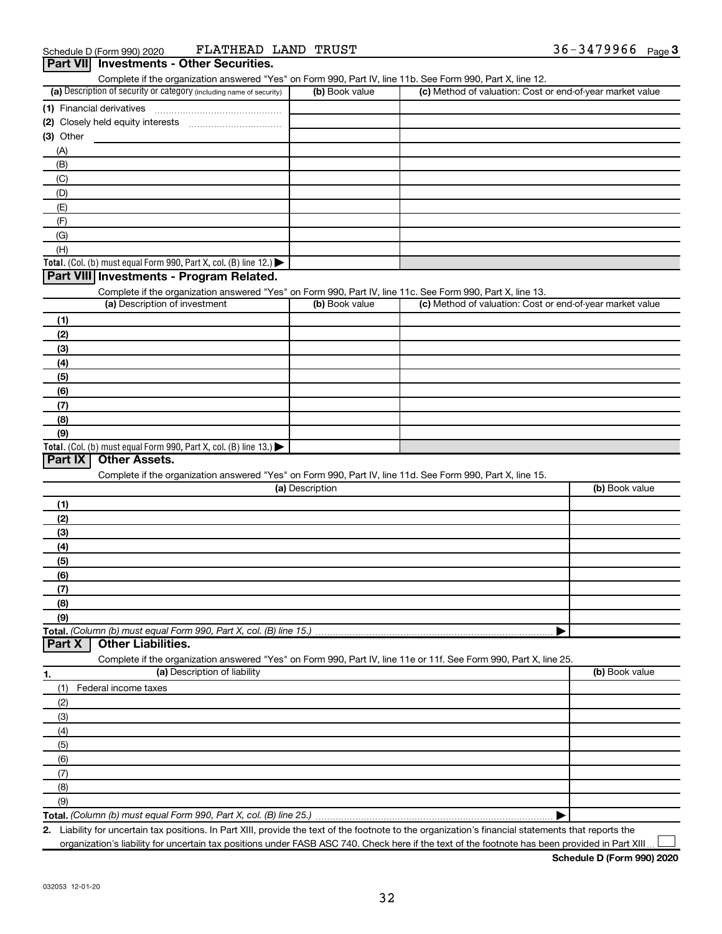| (a) Description of security or category (including name of security) |                 |                                                                                                                   |                                                           |
|----------------------------------------------------------------------|-----------------|-------------------------------------------------------------------------------------------------------------------|-----------------------------------------------------------|
|                                                                      |                 |                                                                                                                   | (c) Method of valuation: Cost or end-of-year market value |
|                                                                      |                 |                                                                                                                   |                                                           |
|                                                                      |                 |                                                                                                                   |                                                           |
|                                                                      |                 |                                                                                                                   |                                                           |
|                                                                      |                 |                                                                                                                   |                                                           |
|                                                                      |                 |                                                                                                                   |                                                           |
|                                                                      |                 |                                                                                                                   |                                                           |
|                                                                      |                 |                                                                                                                   |                                                           |
|                                                                      |                 |                                                                                                                   |                                                           |
|                                                                      |                 |                                                                                                                   |                                                           |
|                                                                      |                 |                                                                                                                   |                                                           |
|                                                                      |                 |                                                                                                                   |                                                           |
|                                                                      |                 |                                                                                                                   |                                                           |
| Total. (Col. (b) must equal Form 990, Part X, col. (B) line 12.)     |                 |                                                                                                                   |                                                           |
| Part VIII Investments - Program Related.                             |                 |                                                                                                                   |                                                           |
|                                                                      |                 | Complete if the organization answered "Yes" on Form 990, Part IV, line 11c. See Form 990, Part X, line 13.        |                                                           |
|                                                                      |                 |                                                                                                                   | (c) Method of valuation: Cost or end-of-year market value |
| (a) Description of investment                                        | (b) Book value  |                                                                                                                   |                                                           |
|                                                                      |                 |                                                                                                                   |                                                           |
|                                                                      |                 |                                                                                                                   |                                                           |
|                                                                      |                 |                                                                                                                   |                                                           |
|                                                                      |                 |                                                                                                                   |                                                           |
|                                                                      |                 |                                                                                                                   |                                                           |
|                                                                      |                 |                                                                                                                   |                                                           |
|                                                                      |                 |                                                                                                                   |                                                           |
|                                                                      |                 |                                                                                                                   |                                                           |
|                                                                      |                 |                                                                                                                   |                                                           |
|                                                                      |                 |                                                                                                                   |                                                           |
| Total. (Col. (b) must equal Form 990, Part X, col. (B) line 13.)     |                 |                                                                                                                   |                                                           |
|                                                                      |                 |                                                                                                                   |                                                           |
|                                                                      |                 | Complete if the organization answered "Yes" on Form 990, Part IV, line 11d. See Form 990, Part X, line 15.        |                                                           |
|                                                                      | (a) Description |                                                                                                                   | (b) Book value                                            |
|                                                                      |                 |                                                                                                                   |                                                           |
|                                                                      |                 |                                                                                                                   |                                                           |
|                                                                      |                 |                                                                                                                   |                                                           |
|                                                                      |                 |                                                                                                                   |                                                           |
|                                                                      |                 |                                                                                                                   |                                                           |
|                                                                      |                 |                                                                                                                   |                                                           |
|                                                                      |                 |                                                                                                                   |                                                           |
|                                                                      |                 |                                                                                                                   |                                                           |
|                                                                      |                 |                                                                                                                   |                                                           |
|                                                                      |                 |                                                                                                                   |                                                           |
|                                                                      |                 |                                                                                                                   |                                                           |
|                                                                      |                 |                                                                                                                   |                                                           |
|                                                                      |                 | Complete if the organization answered "Yes" on Form 990, Part IV, line 11e or 11f. See Form 990, Part X, line 25. |                                                           |
| (a) Description of liability                                         |                 |                                                                                                                   | (b) Book value                                            |
|                                                                      |                 |                                                                                                                   |                                                           |
|                                                                      |                 |                                                                                                                   |                                                           |
|                                                                      |                 |                                                                                                                   |                                                           |
|                                                                      |                 |                                                                                                                   |                                                           |
|                                                                      |                 |                                                                                                                   |                                                           |
|                                                                      |                 |                                                                                                                   |                                                           |
|                                                                      |                 |                                                                                                                   |                                                           |
|                                                                      |                 |                                                                                                                   |                                                           |
|                                                                      |                 |                                                                                                                   |                                                           |
|                                                                      |                 |                                                                                                                   |                                                           |
|                                                                      |                 |                                                                                                                   |                                                           |
|                                                                      |                 |                                                                                                                   |                                                           |
|                                                                      |                 |                                                                                                                   |                                                           |
|                                                                      |                 |                                                                                                                   |                                                           |
|                                                                      |                 |                                                                                                                   |                                                           |
|                                                                      |                 |                                                                                                                   |                                                           |
|                                                                      |                 |                                                                                                                   |                                                           |
|                                                                      |                 |                                                                                                                   |                                                           |
|                                                                      |                 |                                                                                                                   |                                                           |
|                                                                      |                 |                                                                                                                   |                                                           |
|                                                                      |                 |                                                                                                                   |                                                           |
|                                                                      |                 |                                                                                                                   |                                                           |
|                                                                      |                 |                                                                                                                   |                                                           |
|                                                                      |                 |                                                                                                                   |                                                           |
|                                                                      |                 |                                                                                                                   |                                                           |
|                                                                      |                 |                                                                                                                   |                                                           |
|                                                                      |                 |                                                                                                                   |                                                           |
|                                                                      |                 |                                                                                                                   |                                                           |
|                                                                      |                 |                                                                                                                   |                                                           |
|                                                                      |                 |                                                                                                                   |                                                           |
|                                                                      |                 |                                                                                                                   |                                                           |
|                                                                      |                 |                                                                                                                   |                                                           |
|                                                                      |                 |                                                                                                                   |                                                           |
|                                                                      |                 |                                                                                                                   |                                                           |
|                                                                      |                 |                                                                                                                   |                                                           |
|                                                                      |                 |                                                                                                                   |                                                           |
|                                                                      |                 |                                                                                                                   |                                                           |
|                                                                      |                 |                                                                                                                   |                                                           |
|                                                                      |                 |                                                                                                                   |                                                           |
|                                                                      |                 |                                                                                                                   |                                                           |
|                                                                      |                 |                                                                                                                   |                                                           |
|                                                                      |                 |                                                                                                                   |                                                           |
|                                                                      |                 |                                                                                                                   |                                                           |
|                                                                      |                 |                                                                                                                   |                                                           |
|                                                                      |                 |                                                                                                                   |                                                           |
|                                                                      |                 |                                                                                                                   |                                                           |
|                                                                      |                 |                                                                                                                   |                                                           |
|                                                                      |                 |                                                                                                                   |                                                           |
|                                                                      |                 |                                                                                                                   |                                                           |
|                                                                      |                 |                                                                                                                   |                                                           |
|                                                                      |                 |                                                                                                                   |                                                           |
|                                                                      |                 |                                                                                                                   |                                                           |
|                                                                      |                 |                                                                                                                   |                                                           |
|                                                                      |                 |                                                                                                                   |                                                           |
|                                                                      |                 |                                                                                                                   |                                                           |
|                                                                      |                 |                                                                                                                   | (b) Book value                                            |

**2.** Liability for uncertain tax positions. In Part XIII, provide the text of the footnote to the organization's financial statements that reports the

organization's liability for uncertain tax positions under FASB ASC 740. Check here if the text of the footnote has been provided in Part XIII.  $\perp$ 

**Schedule D (Form 990) 2020**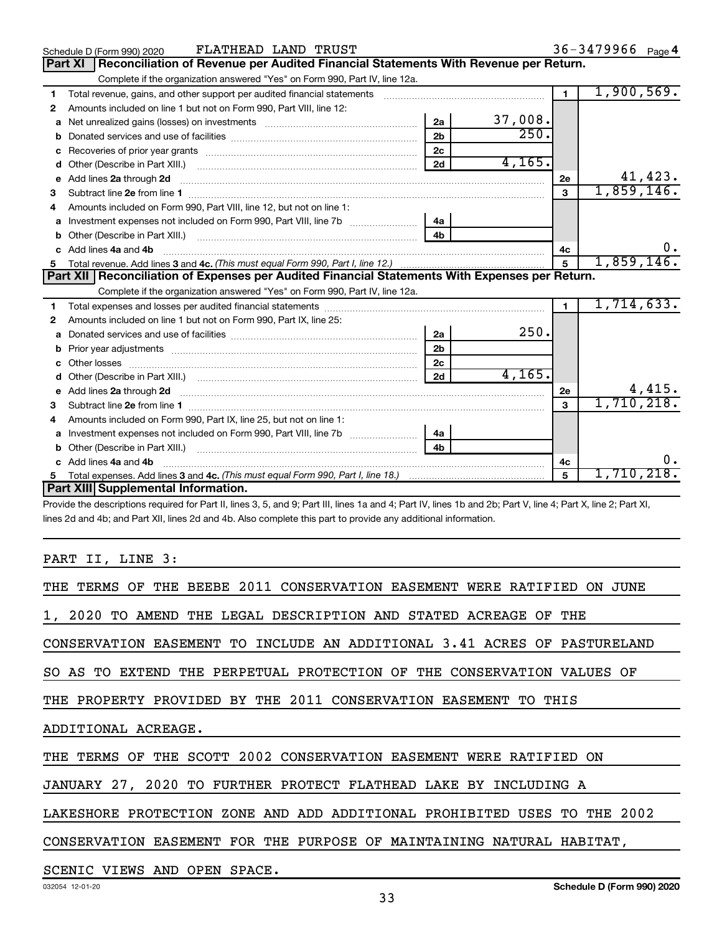|    | FLATHEAD LAND TRUST<br>Schedule D (Form 990) 2020                                                                                                                                                                                        |                |         |                | 36-3479966 Page 4 |
|----|------------------------------------------------------------------------------------------------------------------------------------------------------------------------------------------------------------------------------------------|----------------|---------|----------------|-------------------|
|    | Part XI   Reconciliation of Revenue per Audited Financial Statements With Revenue per Return.                                                                                                                                            |                |         |                |                   |
|    | Complete if the organization answered "Yes" on Form 990, Part IV, line 12a.                                                                                                                                                              |                |         |                |                   |
| 1  | Total revenue, gains, and other support per audited financial statements [[[[[[[[[[[[[[[[[[[[[[[]]]]]]]]]]]]]                                                                                                                            |                |         | $\mathbf{1}$   | 1,900,569.        |
| 2  | Amounts included on line 1 but not on Form 990, Part VIII, line 12:                                                                                                                                                                      |                |         |                |                   |
| a  |                                                                                                                                                                                                                                          | 2a             | 37,008. |                |                   |
| b  |                                                                                                                                                                                                                                          | 2 <sub>b</sub> | 250.    |                |                   |
| c  |                                                                                                                                                                                                                                          | 2c             |         |                |                   |
| d  | Other (Describe in Part XIII.) <b>Construction Contract Construction</b> Chemistry Chemistry Chemistry Chemistry Chemistry                                                                                                               | 2d             | 4,165.  |                |                   |
| е  | Add lines 2a through 2d <b>minimum contained a contract of the contract of the contract of the contract of the contract of the contract of the contract of the contract of the contract of the contract of the contract of the c</b>     |                |         | 2e             | 41,423.           |
| з  |                                                                                                                                                                                                                                          |                |         | 3              | 1,859,146.        |
|    | Amounts included on Form 990, Part VIII, line 12, but not on line 1:                                                                                                                                                                     |                |         |                |                   |
| a  |                                                                                                                                                                                                                                          | 4a             |         |                |                   |
|    |                                                                                                                                                                                                                                          | 4b             |         |                |                   |
|    | Add lines 4a and 4b                                                                                                                                                                                                                      |                |         | 4с             |                   |
| 5  |                                                                                                                                                                                                                                          |                |         | 5              | 1,859,146.        |
|    | Part XII   Reconciliation of Expenses per Audited Financial Statements With Expenses per Return.                                                                                                                                         |                |         |                |                   |
|    |                                                                                                                                                                                                                                          |                |         |                |                   |
|    | Complete if the organization answered "Yes" on Form 990, Part IV, line 12a.                                                                                                                                                              |                |         |                |                   |
| 1  |                                                                                                                                                                                                                                          |                |         | $\blacksquare$ | 1,714,633.        |
| 2  | Amounts included on line 1 but not on Form 990, Part IX, line 25:                                                                                                                                                                        |                |         |                |                   |
| a  |                                                                                                                                                                                                                                          | 2a             | 250.    |                |                   |
|    | <b>b</b> Prior year adjustments <i>maching machines are constructed to the construction</i> and the prior of the construction of the construction of the construction of the construction of the construction of the construction of the | 2 <sub>b</sub> |         |                |                   |
| c. |                                                                                                                                                                                                                                          | 2c             |         |                |                   |
|    |                                                                                                                                                                                                                                          | 2d             | 4,165.  |                |                   |
|    |                                                                                                                                                                                                                                          |                |         | 2e             | 4,415.            |
| 3  |                                                                                                                                                                                                                                          |                |         | 3              | 1,710,218.        |
| 4  | Amounts included on Form 990, Part IX, line 25, but not on line 1:                                                                                                                                                                       |                |         |                |                   |
| a  | Investment expenses not included on Form 990, Part VIII, line 7b [                                                                                                                                                                       | 4a             |         |                |                   |
|    |                                                                                                                                                                                                                                          | 4b             |         |                |                   |
|    | Add lines 4a and 4b                                                                                                                                                                                                                      |                |         | 4с             | 0.                |
|    | Part XIII Supplemental Information.                                                                                                                                                                                                      |                |         | 5              | 1,710,218.        |

Provide the descriptions required for Part II, lines 3, 5, and 9; Part III, lines 1a and 4; Part IV, lines 1b and 2b; Part V, line 4; Part X, line 2; Part XI, lines 2d and 4b; and Part XII, lines 2d and 4b. Also complete this part to provide any additional information.

### PART II, LINE 3:

### SCENIC VIEWS AND OPEN SPACE.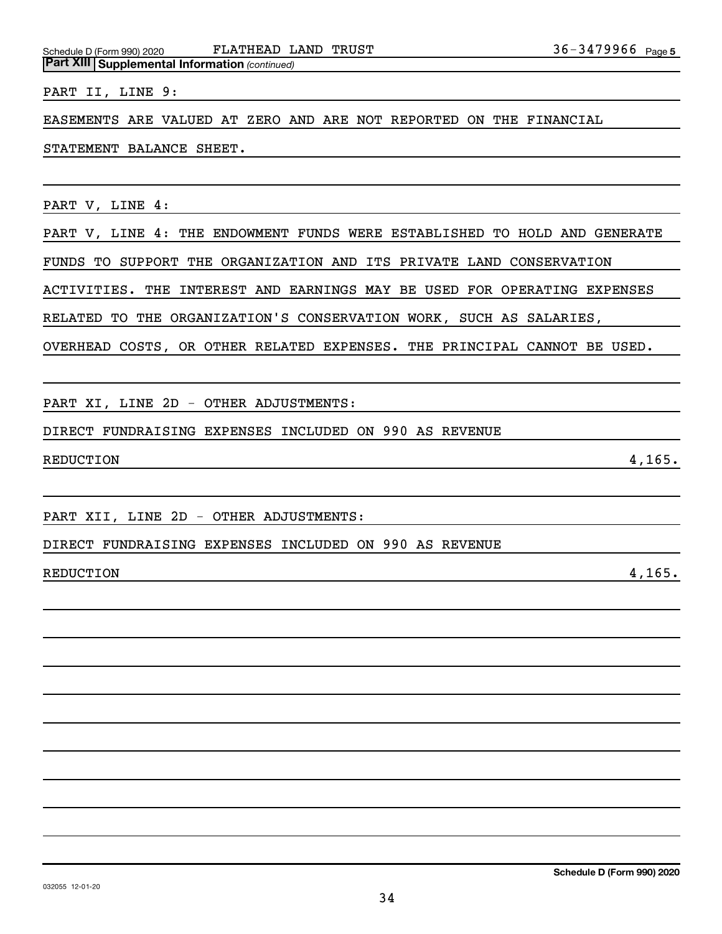PART II, LINE 9:

EASEMENTS ARE VALUED AT ZERO AND ARE NOT REPORTED ON THE FINANCIAL

STATEMENT BALANCE SHEET.

PART V, LINE 4:

PART V, LINE 4: THE ENDOWMENT FUNDS WERE ESTABLISHED TO HOLD AND GENERATE FUNDS TO SUPPORT THE ORGANIZATION AND ITS PRIVATE LAND CONSERVATION ACTIVITIES. THE INTEREST AND EARNINGS MAY BE USED FOR OPERATING EXPENSES RELATED TO THE ORGANIZATION'S CONSERVATION WORK, SUCH AS SALARIES, OVERHEAD COSTS, OR OTHER RELATED EXPENSES. THE PRINCIPAL CANNOT BE USED.

PART XI, LINE 2D - OTHER ADJUSTMENTS:

DIRECT FUNDRAISING EXPENSES INCLUDED ON 990 AS REVENUE

REDUCTION 4, 165.

PART XII, LINE 2D - OTHER ADJUSTMENTS:

DIRECT FUNDRAISING EXPENSES INCLUDED ON 990 AS REVENUE

REDUCTION 4, 165.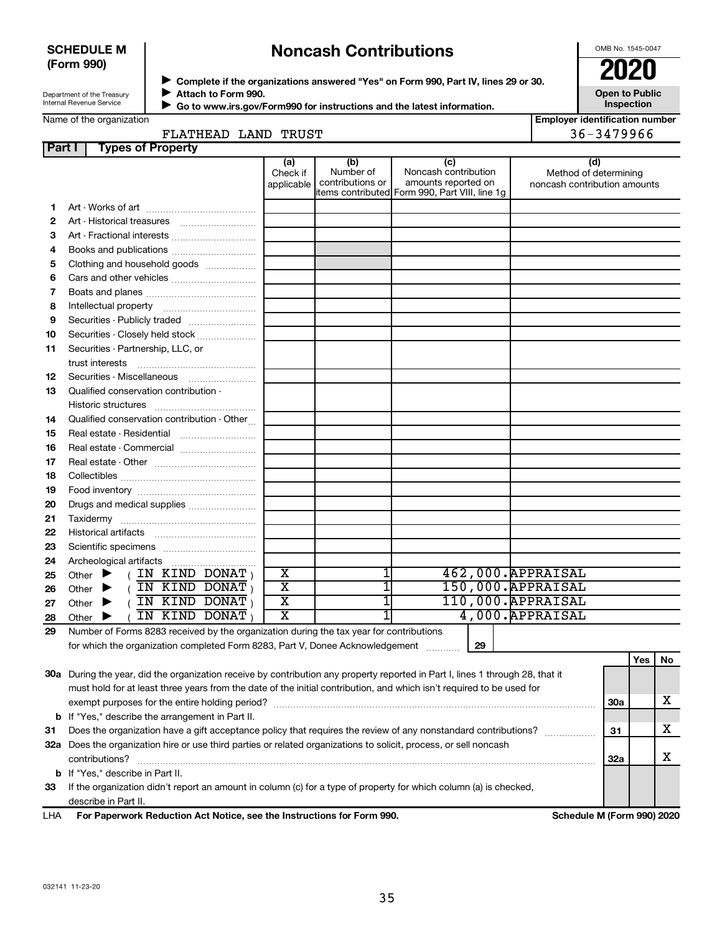### **SCHEDULE M (Form 990)**

## **Noncash Contributions**

OMB No. 1545-0047

**Open to Public**

| Department of the Treasury      |
|---------------------------------|
|                                 |
| <b>Internal Revenue Service</b> |
|                                 |

◆ Complete if the organizations answered "Yes" on Form 990, Part IV, lines 29 or 30.<br>● Complete if the organizations answered "Yes" on Form 990, Part IV, lines 29 or 30. **Attach to Form 990.**  $\blacktriangleright$ 

 **Go to www.irs.gov/Form990 for instructions and the latest information.** J

**Inspection Employer identification number**

| Name of the organization |  |
|--------------------------|--|
|--------------------------|--|

FLATHEAD LAND TRUST 36-3479966

| Part I | <b>Types of Property</b>                                                                                                       |                         |                  |                                                                         |                              |            |     |           |
|--------|--------------------------------------------------------------------------------------------------------------------------------|-------------------------|------------------|-------------------------------------------------------------------------|------------------------------|------------|-----|-----------|
|        |                                                                                                                                | (a)                     | (b)              | (c)                                                                     | (d)                          |            |     |           |
|        |                                                                                                                                | Check if                | Number of        | Noncash contribution                                                    | Method of determining        |            |     |           |
|        |                                                                                                                                | applicable              | contributions or | amounts reported on<br>litems contributed  Form 990, Part VIII, line 1q | noncash contribution amounts |            |     |           |
| 1.     |                                                                                                                                |                         |                  |                                                                         |                              |            |     |           |
| 2      |                                                                                                                                |                         |                  |                                                                         |                              |            |     |           |
| 3      | Art - Fractional interests                                                                                                     |                         |                  |                                                                         |                              |            |     |           |
| 4      | Books and publications                                                                                                         |                         |                  |                                                                         |                              |            |     |           |
| 5      | Clothing and household goods                                                                                                   |                         |                  |                                                                         |                              |            |     |           |
| 6      |                                                                                                                                |                         |                  |                                                                         |                              |            |     |           |
| 7      |                                                                                                                                |                         |                  |                                                                         |                              |            |     |           |
| 8      |                                                                                                                                |                         |                  |                                                                         |                              |            |     |           |
| 9      | Securities - Publicly traded                                                                                                   |                         |                  |                                                                         |                              |            |     |           |
| 10     | Securities - Closely held stock                                                                                                |                         |                  |                                                                         |                              |            |     |           |
| 11     | Securities - Partnership, LLC, or                                                                                              |                         |                  |                                                                         |                              |            |     |           |
|        | trust interests                                                                                                                |                         |                  |                                                                         |                              |            |     |           |
| 12     |                                                                                                                                |                         |                  |                                                                         |                              |            |     |           |
| 13     | Qualified conservation contribution -                                                                                          |                         |                  |                                                                         |                              |            |     |           |
|        |                                                                                                                                |                         |                  |                                                                         |                              |            |     |           |
| 14     | Qualified conservation contribution - Other                                                                                    |                         |                  |                                                                         |                              |            |     |           |
| 15     |                                                                                                                                |                         |                  |                                                                         |                              |            |     |           |
| 16     | Real estate - Commercial                                                                                                       |                         |                  |                                                                         |                              |            |     |           |
| 17     |                                                                                                                                |                         |                  |                                                                         |                              |            |     |           |
| 18     |                                                                                                                                |                         |                  |                                                                         |                              |            |     |           |
| 19     |                                                                                                                                |                         |                  |                                                                         |                              |            |     |           |
| 20     | Drugs and medical supplies                                                                                                     |                         |                  |                                                                         |                              |            |     |           |
| 21     |                                                                                                                                |                         |                  |                                                                         |                              |            |     |           |
| 22     |                                                                                                                                |                         |                  |                                                                         |                              |            |     |           |
| 23     |                                                                                                                                |                         |                  |                                                                         |                              |            |     |           |
| 24     |                                                                                                                                |                         |                  |                                                                         |                              |            |     |           |
| 25     | IN KIND DONAT)<br>Other $\blacktriangleright$                                                                                  | X                       |                  |                                                                         | 462,000. APPRAISAL           |            |     |           |
| 26     | IN KIND DONAT)<br>▶<br>Other                                                                                                   | $\overline{\mathtt{x}}$ | 1                |                                                                         | 150,000. APPRAISAL           |            |     |           |
| 27     | IN KIND DONAT<br>Other<br>▶                                                                                                    | $\overline{\texttt{x}}$ | 1                |                                                                         | 110,000. APPRAISAL           |            |     |           |
| 28     | IN KIND DONAT<br>▶<br>Other                                                                                                    | $\overline{\text{x}}$   | 1                |                                                                         | 4,000. APPRAISAL             |            |     |           |
| 29     | Number of Forms 8283 received by the organization during the tax year for contributions                                        |                         |                  |                                                                         |                              |            |     |           |
|        | for which the organization completed Form 8283, Part V, Donee Acknowledgement                                                  |                         |                  | 29                                                                      |                              |            |     |           |
|        |                                                                                                                                |                         |                  |                                                                         |                              |            | Yes | <b>No</b> |
|        | 30a During the year, did the organization receive by contribution any property reported in Part I, lines 1 through 28, that it |                         |                  |                                                                         |                              |            |     |           |
|        | must hold for at least three years from the date of the initial contribution, and which isn't required to be used for          |                         |                  |                                                                         |                              |            |     |           |
|        |                                                                                                                                |                         |                  |                                                                         |                              | <b>30a</b> |     | X         |
|        | <b>b</b> If "Yes," describe the arrangement in Part II.                                                                        |                         |                  |                                                                         |                              |            |     |           |
| 31     | Does the organization have a gift acceptance policy that requires the review of any nonstandard contributions?                 |                         |                  |                                                                         |                              | 31         |     | x         |
|        | 32a Does the organization hire or use third parties or related organizations to solicit, process, or sell noncash              |                         |                  |                                                                         |                              |            |     |           |
|        | contributions?                                                                                                                 |                         |                  |                                                                         |                              | 32a        |     | X         |
|        | <b>b</b> If "Yes," describe in Part II.                                                                                        |                         |                  |                                                                         |                              |            |     |           |
| າາ     | If the examination didn't report an emount in column (a) for a type of preparty for which column (a) is obsolved               |                         |                  |                                                                         |                              |            |     |           |

**33** If the organization didn't report an amount in column (c) for a type of property for which column (a) is checked, describe in Part II.

**For Paperwork Reduction Act Notice, see the Instructions for Form 990. Schedule M (Form 990) 2020** LHA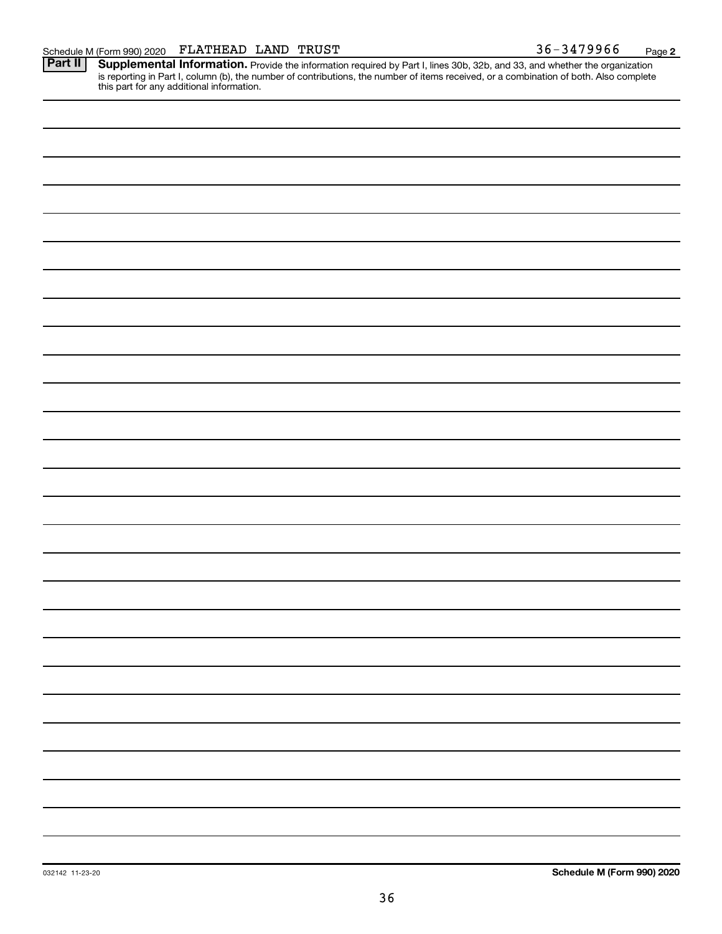Provide the information required by Part I, lines 30b, 32b, and 33, and whether the organization is reporting in Part I, column (b), the number of contributions, the number of items received, or a combination of both. Also complete this part for any additional information. **Part II Supplemental Information.**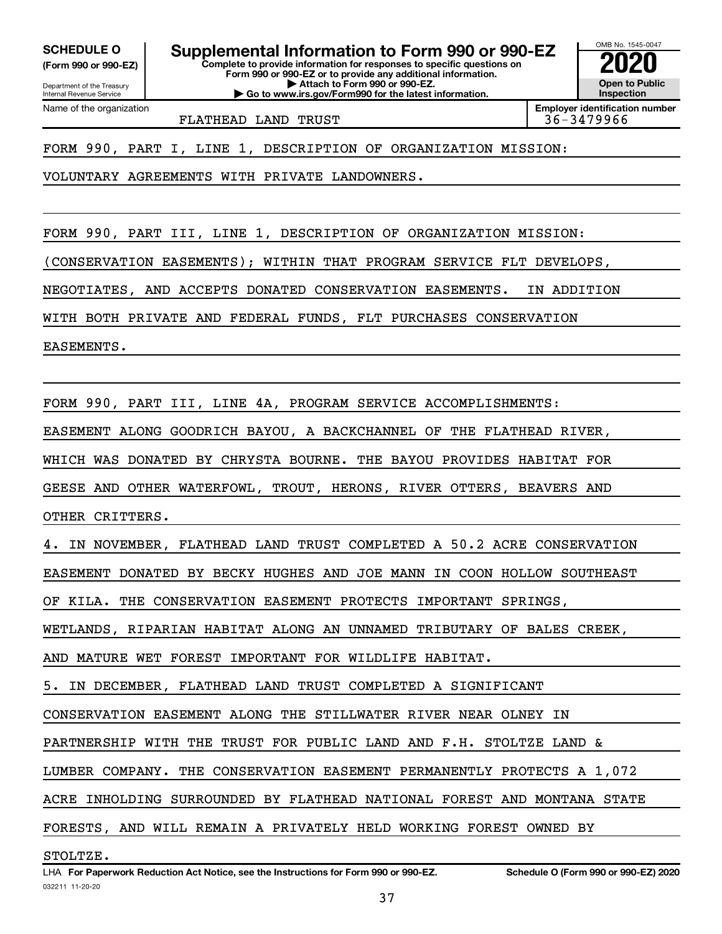**(Form 990 or 990-EZ)**

**Complete to provide information for responses to specific questions on Form 990 or 990-EZ or to provide any additional information. SCHEDULE O Supplemental Information to Form 990 or 990-EZ 2020**<br>(Form 990 or 990-EZ) Complete to provide information for responses to specific questions on

Department of the Treasury Internal Revenue Service Name of the organization

**| Attach to Form 990 or 990-EZ. | Go to www.irs.gov/Form990 for the latest information.**



**Employer identification number**

FLATHEAD LAND TRUST **19966** 136-3479966

FORM 990, PART I, LINE 1, DESCRIPTION OF ORGANIZATION MISSION:

VOLUNTARY AGREEMENTS WITH PRIVATE LANDOWNERS.

FORM 990, PART III, LINE 1, DESCRIPTION OF ORGANIZATION MISSION:

(CONSERVATION EASEMENTS); WITHIN THAT PROGRAM SERVICE FLT DEVELOPS,

NEGOTIATES, AND ACCEPTS DONATED CONSERVATION EASEMENTS. IN ADDITION

WITH BOTH PRIVATE AND FEDERAL FUNDS, FLT PURCHASES CONSERVATION

EASEMENTS.

FORM 990, PART III, LINE 4A, PROGRAM SERVICE ACCOMPLISHMENTS:

EASEMENT ALONG GOODRICH BAYOU, A BACKCHANNEL OF THE FLATHEAD RIVER,

WHICH WAS DONATED BY CHRYSTA BOURNE. THE BAYOU PROVIDES HABITAT FOR

GEESE AND OTHER WATERFOWL, TROUT, HERONS, RIVER OTTERS, BEAVERS AND

OTHER CRITTERS.

4. IN NOVEMBER, FLATHEAD LAND TRUST COMPLETED A 50.2 ACRE CONSERVATION

EASEMENT DONATED BY BECKY HUGHES AND JOE MANN IN COON HOLLOW SOUTHEAST

OF KILA. THE CONSERVATION EASEMENT PROTECTS IMPORTANT SPRINGS,

WETLANDS, RIPARIAN HABITAT ALONG AN UNNAMED TRIBUTARY OF BALES CREEK,

AND MATURE WET FOREST IMPORTANT FOR WILDLIFE HABITAT.

5. IN DECEMBER, FLATHEAD LAND TRUST COMPLETED A SIGNIFICANT

CONSERVATION EASEMENT ALONG THE STILLWATER RIVER NEAR OLNEY IN

PARTNERSHIP WITH THE TRUST FOR PUBLIC LAND AND F.H. STOLTZE LAND &

LUMBER COMPANY. THE CONSERVATION EASEMENT PERMANENTLY PROTECTS A 1,072

ACRE INHOLDING SURROUNDED BY FLATHEAD NATIONAL FOREST AND MONTANA STATE

FORESTS, AND WILL REMAIN A PRIVATELY HELD WORKING FOREST OWNED BY

### STOLTZE.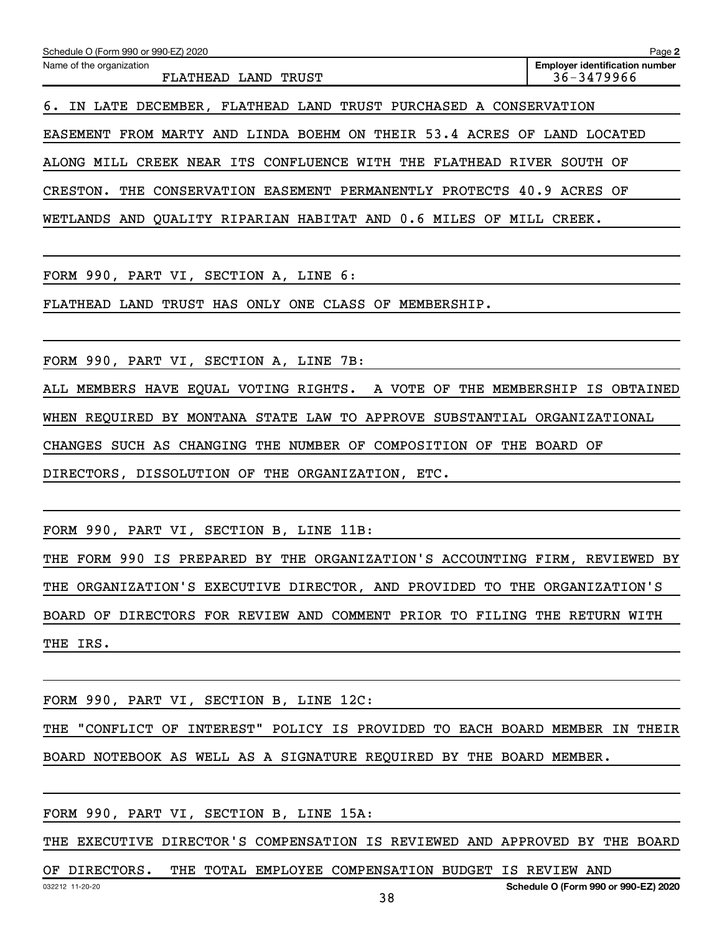| Schedule O (Form 990 or 990-EZ) 2020            | Page 2                                              |
|-------------------------------------------------|-----------------------------------------------------|
| Name of the organization<br>FLATHEAD LAND TRUST | <b>Employer identification number</b><br>36-3479966 |
|                                                 |                                                     |

6. IN LATE DECEMBER, FLATHEAD LAND TRUST PURCHASED A CONSERVATION

EASEMENT FROM MARTY AND LINDA BOEHM ON THEIR 53.4 ACRES OF LAND LOCATED

ALONG MILL CREEK NEAR ITS CONFLUENCE WITH THE FLATHEAD RIVER SOUTH OF

CRESTON. THE CONSERVATION EASEMENT PERMANENTLY PROTECTS 40.9 ACRES OF

WETLANDS AND QUALITY RIPARIAN HABITAT AND 0.6 MILES OF MILL CREEK.

FORM 990, PART VI, SECTION A, LINE 6:

FLATHEAD LAND TRUST HAS ONLY ONE CLASS OF MEMBERSHIP.

FORM 990, PART VI, SECTION A, LINE 7B:

ALL MEMBERS HAVE EQUAL VOTING RIGHTS. A VOTE OF THE MEMBERSHIP IS OBTAINED WHEN REQUIRED BY MONTANA STATE LAW TO APPROVE SUBSTANTIAL ORGANIZATIONAL CHANGES SUCH AS CHANGING THE NUMBER OF COMPOSITION OF THE BOARD OF DIRECTORS, DISSOLUTION OF THE ORGANIZATION, ETC.

FORM 990, PART VI, SECTION B, LINE 11B:

THE FORM 990 IS PREPARED BY THE ORGANIZATION'S ACCOUNTING FIRM, REVIEWED BY THE ORGANIZATION'S EXECUTIVE DIRECTOR, AND PROVIDED TO THE ORGANIZATION'S BOARD OF DIRECTORS FOR REVIEW AND COMMENT PRIOR TO FILING THE RETURN WITH THE IRS.

FORM 990, PART VI, SECTION B, LINE 12C: THE "CONFLICT OF INTEREST" POLICY IS PROVIDED TO EACH BOARD MEMBER IN THEIR BOARD NOTEBOOK AS WELL AS A SIGNATURE REQUIRED BY THE BOARD MEMBER.

FORM 990, PART VI, SECTION B, LINE 15A:

THE EXECUTIVE DIRECTOR'S COMPENSATION IS REVIEWED AND APPROVED BY THE BOARD